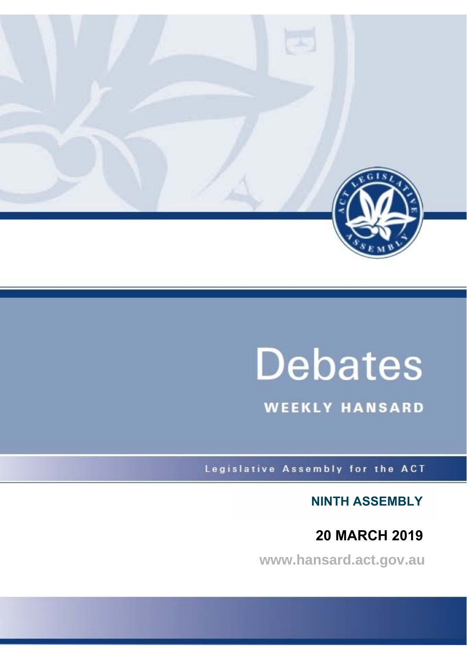

# **Debates**

**WEEKLY HANSARD** 

Legislative Assembly for the ACT

**NINTH ASSEMBLY**

 **20 MARCH 2019**

**www.hansard.act.gov.au**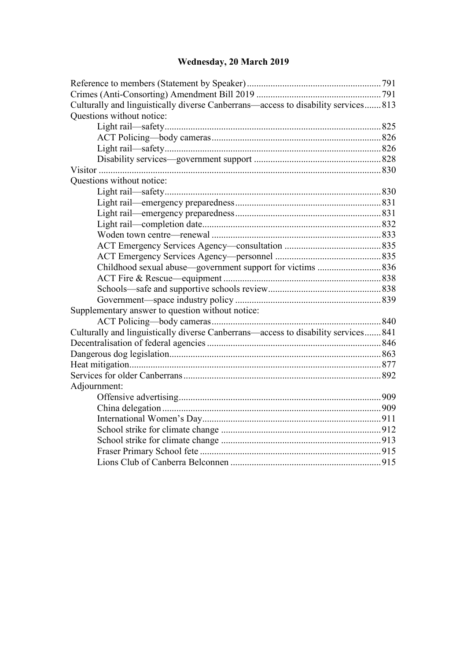## **[Wednesday, 20 March 2019](#page-2-0)**

| Culturally and linguistically diverse Canberrans—access to disability services 813 |  |
|------------------------------------------------------------------------------------|--|
| Questions without notice:                                                          |  |
|                                                                                    |  |
|                                                                                    |  |
|                                                                                    |  |
|                                                                                    |  |
|                                                                                    |  |
| Questions without notice:                                                          |  |
|                                                                                    |  |
|                                                                                    |  |
|                                                                                    |  |
|                                                                                    |  |
|                                                                                    |  |
|                                                                                    |  |
|                                                                                    |  |
|                                                                                    |  |
|                                                                                    |  |
|                                                                                    |  |
|                                                                                    |  |
| Supplementary answer to question without notice:                                   |  |
|                                                                                    |  |
| Culturally and linguistically diverse Canberrans—access to disability services 841 |  |
|                                                                                    |  |
|                                                                                    |  |
|                                                                                    |  |
|                                                                                    |  |
| Adjournment:                                                                       |  |
|                                                                                    |  |
|                                                                                    |  |
|                                                                                    |  |
|                                                                                    |  |
|                                                                                    |  |
|                                                                                    |  |
|                                                                                    |  |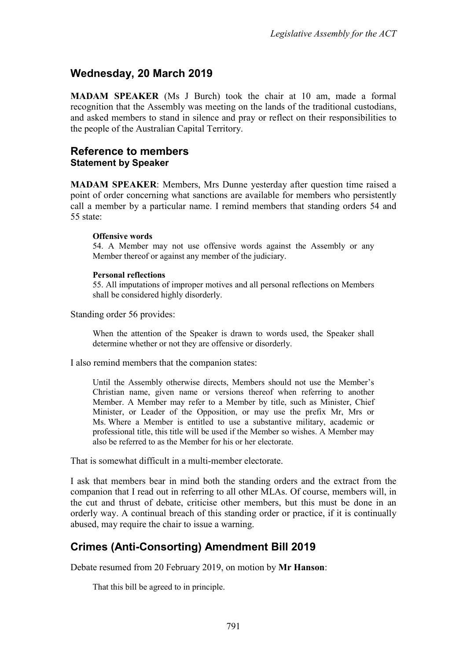### <span id="page-2-0"></span>**Wednesday, 20 March 2019**

**MADAM SPEAKER** (Ms J Burch) took the chair at 10 am, made a formal recognition that the Assembly was meeting on the lands of the traditional custodians, and asked members to stand in silence and pray or reflect on their responsibilities to the people of the Australian Capital Territory.

#### <span id="page-2-2"></span><span id="page-2-1"></span>**Reference to members Statement by Speaker**

**MADAM SPEAKER**: Members, Mrs Dunne yesterday after question time raised a point of order concerning what sanctions are available for members who persistently call a member by a particular name. I remind members that standing orders 54 and 55 state:

#### **Offensive words**

54. A Member may not use offensive words against the Assembly or any Member thereof or against any member of the judiciary.

#### **Personal reflections**

55. All imputations of improper motives and all personal reflections on Members shall be considered highly disorderly.

Standing order 56 provides:

When the attention of the Speaker is drawn to words used, the Speaker shall determine whether or not they are offensive or disorderly.

I also remind members that the companion states:

Until the Assembly otherwise directs, Members should not use the Member's Christian name, given name or versions thereof when referring to another Member. A Member may refer to a Member by title, such as Minister, Chief Minister, or Leader of the Opposition, or may use the prefix Mr, Mrs or Ms. Where a Member is entitled to use a substantive military, academic or professional title, this title will be used if the Member so wishes. A Member may also be referred to as the Member for his or her electorate.

That is somewhat difficult in a multi-member electorate.

I ask that members bear in mind both the standing orders and the extract from the companion that I read out in referring to all other MLAs. Of course, members will, in the cut and thrust of debate, criticise other members, but this must be done in an orderly way. A continual breach of this standing order or practice, if it is continually abused, may require the chair to issue a warning.

## <span id="page-2-3"></span>**Crimes (Anti-Consorting) Amendment Bill 2019**

Debate resumed from 20 February 2019, on motion by **Mr Hanson**:

That this bill be agreed to in principle.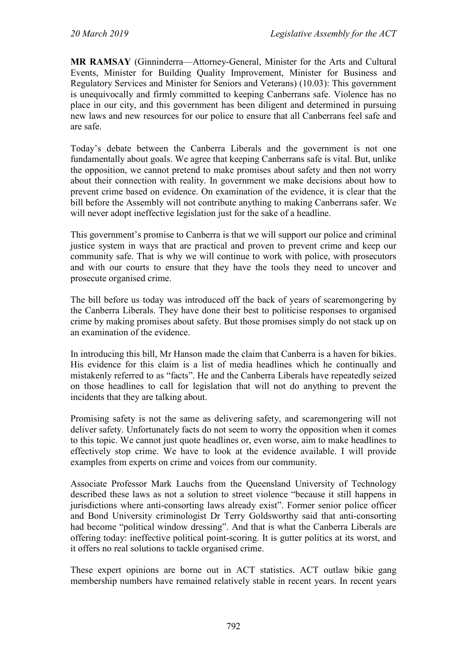**MR RAMSAY** (Ginninderra—Attorney-General, Minister for the Arts and Cultural Events, Minister for Building Quality Improvement, Minister for Business and Regulatory Services and Minister for Seniors and Veterans) (10.03): This government is unequivocally and firmly committed to keeping Canberrans safe. Violence has no place in our city, and this government has been diligent and determined in pursuing new laws and new resources for our police to ensure that all Canberrans feel safe and are safe.

Today's debate between the Canberra Liberals and the government is not one fundamentally about goals. We agree that keeping Canberrans safe is vital. But, unlike the opposition, we cannot pretend to make promises about safety and then not worry about their connection with reality. In government we make decisions about how to prevent crime based on evidence. On examination of the evidence, it is clear that the bill before the Assembly will not contribute anything to making Canberrans safer. We will never adopt ineffective legislation just for the sake of a headline.

This government's promise to Canberra is that we will support our police and criminal justice system in ways that are practical and proven to prevent crime and keep our community safe. That is why we will continue to work with police, with prosecutors and with our courts to ensure that they have the tools they need to uncover and prosecute organised crime.

The bill before us today was introduced off the back of years of scaremongering by the Canberra Liberals. They have done their best to politicise responses to organised crime by making promises about safety. But those promises simply do not stack up on an examination of the evidence.

In introducing this bill, Mr Hanson made the claim that Canberra is a haven for bikies. His evidence for this claim is a list of media headlines which he continually and mistakenly referred to as "facts". He and the Canberra Liberals have repeatedly seized on those headlines to call for legislation that will not do anything to prevent the incidents that they are talking about.

Promising safety is not the same as delivering safety, and scaremongering will not deliver safety. Unfortunately facts do not seem to worry the opposition when it comes to this topic. We cannot just quote headlines or, even worse, aim to make headlines to effectively stop crime. We have to look at the evidence available. I will provide examples from experts on crime and voices from our community.

Associate Professor Mark Lauchs from the Queensland University of Technology described these laws as not a solution to street violence "because it still happens in jurisdictions where anti-consorting laws already exist". Former senior police officer and Bond University criminologist Dr Terry Goldsworthy said that anti-consorting had become "political window dressing". And that is what the Canberra Liberals are offering today: ineffective political point-scoring. It is gutter politics at its worst, and it offers no real solutions to tackle organised crime.

These expert opinions are borne out in ACT statistics. ACT outlaw bikie gang membership numbers have remained relatively stable in recent years. In recent years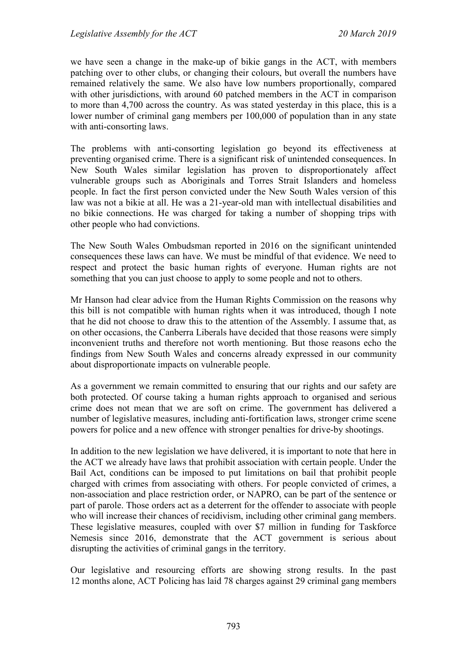we have seen a change in the make-up of bikie gangs in the ACT, with members patching over to other clubs, or changing their colours, but overall the numbers have remained relatively the same. We also have low numbers proportionally, compared with other jurisdictions, with around 60 patched members in the ACT in comparison to more than 4,700 across the country. As was stated yesterday in this place, this is a lower number of criminal gang members per 100,000 of population than in any state with anti-consorting laws.

The problems with anti-consorting legislation go beyond its effectiveness at preventing organised crime. There is a significant risk of unintended consequences. In New South Wales similar legislation has proven to disproportionately affect vulnerable groups such as Aboriginals and Torres Strait Islanders and homeless people. In fact the first person convicted under the New South Wales version of this law was not a bikie at all. He was a 21-year-old man with intellectual disabilities and no bikie connections. He was charged for taking a number of shopping trips with other people who had convictions.

The New South Wales Ombudsman reported in 2016 on the significant unintended consequences these laws can have. We must be mindful of that evidence. We need to respect and protect the basic human rights of everyone. Human rights are not something that you can just choose to apply to some people and not to others.

Mr Hanson had clear advice from the Human Rights Commission on the reasons why this bill is not compatible with human rights when it was introduced, though I note that he did not choose to draw this to the attention of the Assembly. I assume that, as on other occasions, the Canberra Liberals have decided that those reasons were simply inconvenient truths and therefore not worth mentioning. But those reasons echo the findings from New South Wales and concerns already expressed in our community about disproportionate impacts on vulnerable people.

As a government we remain committed to ensuring that our rights and our safety are both protected. Of course taking a human rights approach to organised and serious crime does not mean that we are soft on crime. The government has delivered a number of legislative measures, including anti-fortification laws, stronger crime scene powers for police and a new offence with stronger penalties for drive-by shootings.

In addition to the new legislation we have delivered, it is important to note that here in the ACT we already have laws that prohibit association with certain people. Under the Bail Act, conditions can be imposed to put limitations on bail that prohibit people charged with crimes from associating with others. For people convicted of crimes, a non-association and place restriction order, or NAPRO, can be part of the sentence or part of parole. Those orders act as a deterrent for the offender to associate with people who will increase their chances of recidivism, including other criminal gang members. These legislative measures, coupled with over \$7 million in funding for Taskforce Nemesis since 2016, demonstrate that the ACT government is serious about disrupting the activities of criminal gangs in the territory.

Our legislative and resourcing efforts are showing strong results. In the past 12 months alone, ACT Policing has laid 78 charges against 29 criminal gang members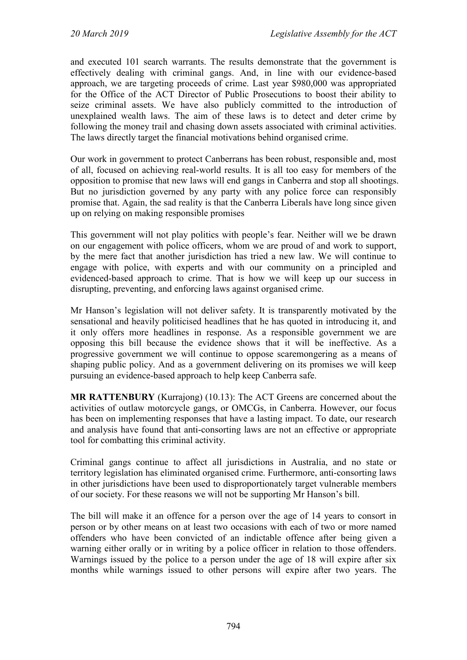and executed 101 search warrants. The results demonstrate that the government is effectively dealing with criminal gangs. And, in line with our evidence-based approach, we are targeting proceeds of crime. Last year \$980,000 was appropriated for the Office of the ACT Director of Public Prosecutions to boost their ability to seize criminal assets. We have also publicly committed to the introduction of unexplained wealth laws. The aim of these laws is to detect and deter crime by following the money trail and chasing down assets associated with criminal activities. The laws directly target the financial motivations behind organised crime.

Our work in government to protect Canberrans has been robust, responsible and, most of all, focused on achieving real-world results. It is all too easy for members of the opposition to promise that new laws will end gangs in Canberra and stop all shootings. But no jurisdiction governed by any party with any police force can responsibly promise that. Again, the sad reality is that the Canberra Liberals have long since given up on relying on making responsible promises

This government will not play politics with people's fear. Neither will we be drawn on our engagement with police officers, whom we are proud of and work to support, by the mere fact that another jurisdiction has tried a new law. We will continue to engage with police, with experts and with our community on a principled and evidenced-based approach to crime. That is how we will keep up our success in disrupting, preventing, and enforcing laws against organised crime.

Mr Hanson's legislation will not deliver safety. It is transparently motivated by the sensational and heavily politicised headlines that he has quoted in introducing it, and it only offers more headlines in response. As a responsible government we are opposing this bill because the evidence shows that it will be ineffective. As a progressive government we will continue to oppose scaremongering as a means of shaping public policy. And as a government delivering on its promises we will keep pursuing an evidence-based approach to help keep Canberra safe.

**MR RATTENBURY** (Kurrajong) (10.13): The ACT Greens are concerned about the activities of outlaw motorcycle gangs, or OMCGs, in Canberra. However, our focus has been on implementing responses that have a lasting impact. To date, our research and analysis have found that anti-consorting laws are not an effective or appropriate tool for combatting this criminal activity.

Criminal gangs continue to affect all jurisdictions in Australia, and no state or territory legislation has eliminated organised crime. Furthermore, anti-consorting laws in other jurisdictions have been used to disproportionately target vulnerable members of our society. For these reasons we will not be supporting Mr Hanson's bill.

The bill will make it an offence for a person over the age of 14 years to consort in person or by other means on at least two occasions with each of two or more named offenders who have been convicted of an indictable offence after being given a warning either orally or in writing by a police officer in relation to those offenders. Warnings issued by the police to a person under the age of 18 will expire after six months while warnings issued to other persons will expire after two years. The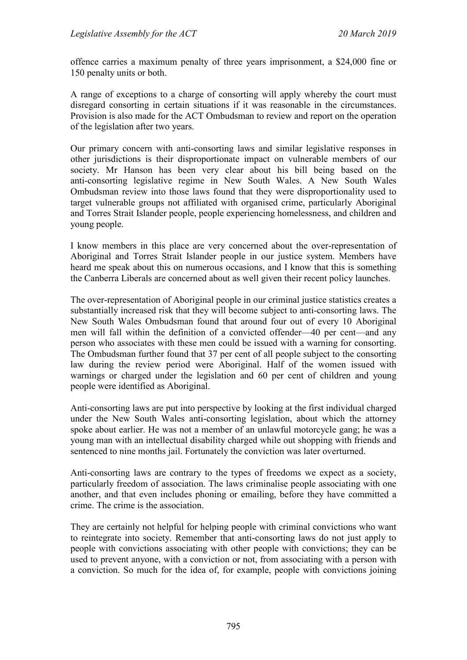offence carries a maximum penalty of three years imprisonment, a \$24,000 fine or 150 penalty units or both.

A range of exceptions to a charge of consorting will apply whereby the court must disregard consorting in certain situations if it was reasonable in the circumstances. Provision is also made for the ACT Ombudsman to review and report on the operation of the legislation after two years.

Our primary concern with anti-consorting laws and similar legislative responses in other jurisdictions is their disproportionate impact on vulnerable members of our society. Mr Hanson has been very clear about his bill being based on the anti-consorting legislative regime in New South Wales. A New South Wales Ombudsman review into those laws found that they were disproportionality used to target vulnerable groups not affiliated with organised crime, particularly Aboriginal and Torres Strait Islander people, people experiencing homelessness, and children and young people.

I know members in this place are very concerned about the over-representation of Aboriginal and Torres Strait Islander people in our justice system. Members have heard me speak about this on numerous occasions, and I know that this is something the Canberra Liberals are concerned about as well given their recent policy launches.

The over-representation of Aboriginal people in our criminal justice statistics creates a substantially increased risk that they will become subject to anti-consorting laws. The New South Wales Ombudsman found that around four out of every 10 Aboriginal men will fall within the definition of a convicted offender—40 per cent—and any person who associates with these men could be issued with a warning for consorting. The Ombudsman further found that 37 per cent of all people subject to the consorting law during the review period were Aboriginal. Half of the women issued with warnings or charged under the legislation and 60 per cent of children and young people were identified as Aboriginal.

Anti-consorting laws are put into perspective by looking at the first individual charged under the New South Wales anti-consorting legislation, about which the attorney spoke about earlier. He was not a member of an unlawful motorcycle gang; he was a young man with an intellectual disability charged while out shopping with friends and sentenced to nine months jail. Fortunately the conviction was later overturned.

Anti-consorting laws are contrary to the types of freedoms we expect as a society, particularly freedom of association. The laws criminalise people associating with one another, and that even includes phoning or emailing, before they have committed a crime. The crime is the association.

They are certainly not helpful for helping people with criminal convictions who want to reintegrate into society. Remember that anti-consorting laws do not just apply to people with convictions associating with other people with convictions; they can be used to prevent anyone, with a conviction or not, from associating with a person with a conviction. So much for the idea of, for example, people with convictions joining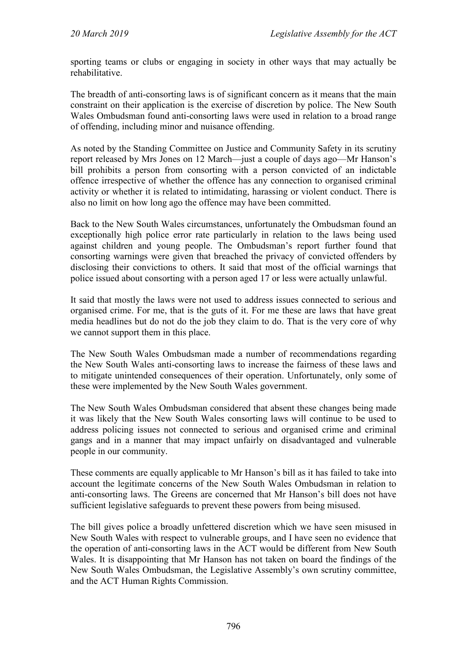sporting teams or clubs or engaging in society in other ways that may actually be rehabilitative.

The breadth of anti-consorting laws is of significant concern as it means that the main constraint on their application is the exercise of discretion by police. The New South Wales Ombudsman found anti-consorting laws were used in relation to a broad range of offending, including minor and nuisance offending.

As noted by the Standing Committee on Justice and Community Safety in its scrutiny report released by Mrs Jones on 12 March—just a couple of days ago—Mr Hanson's bill prohibits a person from consorting with a person convicted of an indictable offence irrespective of whether the offence has any connection to organised criminal activity or whether it is related to intimidating, harassing or violent conduct. There is also no limit on how long ago the offence may have been committed.

Back to the New South Wales circumstances, unfortunately the Ombudsman found an exceptionally high police error rate particularly in relation to the laws being used against children and young people. The Ombudsman's report further found that consorting warnings were given that breached the privacy of convicted offenders by disclosing their convictions to others. It said that most of the official warnings that police issued about consorting with a person aged 17 or less were actually unlawful.

It said that mostly the laws were not used to address issues connected to serious and organised crime. For me, that is the guts of it. For me these are laws that have great media headlines but do not do the job they claim to do. That is the very core of why we cannot support them in this place.

The New South Wales Ombudsman made a number of recommendations regarding the New South Wales anti-consorting laws to increase the fairness of these laws and to mitigate unintended consequences of their operation. Unfortunately, only some of these were implemented by the New South Wales government.

The New South Wales Ombudsman considered that absent these changes being made it was likely that the New South Wales consorting laws will continue to be used to address policing issues not connected to serious and organised crime and criminal gangs and in a manner that may impact unfairly on disadvantaged and vulnerable people in our community.

These comments are equally applicable to Mr Hanson's bill as it has failed to take into account the legitimate concerns of the New South Wales Ombudsman in relation to anti-consorting laws. The Greens are concerned that Mr Hanson's bill does not have sufficient legislative safeguards to prevent these powers from being misused.

The bill gives police a broadly unfettered discretion which we have seen misused in New South Wales with respect to vulnerable groups, and I have seen no evidence that the operation of anti-consorting laws in the ACT would be different from New South Wales. It is disappointing that Mr Hanson has not taken on board the findings of the New South Wales Ombudsman, the Legislative Assembly's own scrutiny committee, and the ACT Human Rights Commission.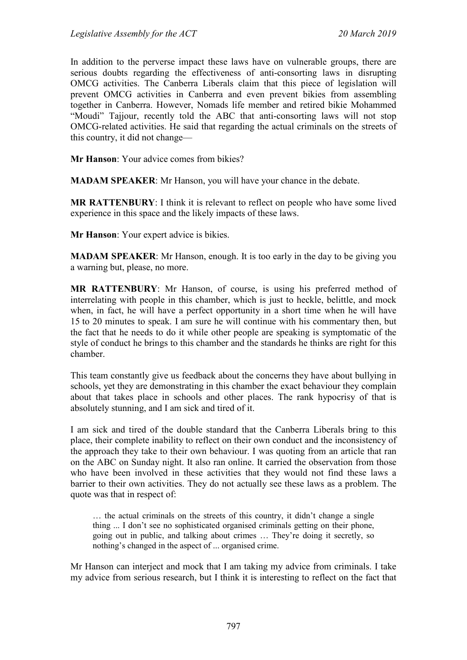In addition to the perverse impact these laws have on vulnerable groups, there are serious doubts regarding the effectiveness of anti-consorting laws in disrupting OMCG activities. The Canberra Liberals claim that this piece of legislation will prevent OMCG activities in Canberra and even prevent bikies from assembling together in Canberra. However, Nomads life member and retired bikie Mohammed "Moudi" Tajjour, recently told the ABC that anti-consorting laws will not stop OMCG-related activities. He said that regarding the actual criminals on the streets of this country, it did not change—

**Mr Hanson**: Your advice comes from bikies?

**MADAM SPEAKER**: Mr Hanson, you will have your chance in the debate.

**MR RATTENBURY**: I think it is relevant to reflect on people who have some lived experience in this space and the likely impacts of these laws.

**Mr Hanson**: Your expert advice is bikies.

**MADAM SPEAKER**: Mr Hanson, enough. It is too early in the day to be giving you a warning but, please, no more.

**MR RATTENBURY**: Mr Hanson, of course, is using his preferred method of interrelating with people in this chamber, which is just to heckle, belittle, and mock when, in fact, he will have a perfect opportunity in a short time when he will have 15 to 20 minutes to speak. I am sure he will continue with his commentary then, but the fact that he needs to do it while other people are speaking is symptomatic of the style of conduct he brings to this chamber and the standards he thinks are right for this chamber.

This team constantly give us feedback about the concerns they have about bullying in schools, yet they are demonstrating in this chamber the exact behaviour they complain about that takes place in schools and other places. The rank hypocrisy of that is absolutely stunning, and I am sick and tired of it.

I am sick and tired of the double standard that the Canberra Liberals bring to this place, their complete inability to reflect on their own conduct and the inconsistency of the approach they take to their own behaviour. I was quoting from an article that ran on the ABC on Sunday night. It also ran online. It carried the observation from those who have been involved in these activities that they would not find these laws a barrier to their own activities. They do not actually see these laws as a problem. The quote was that in respect of:

… the actual criminals on the streets of this country, it didn't change a single thing ... I don't see no sophisticated organised criminals getting on their phone, going out in public, and talking about crimes … They're doing it secretly, so nothing's changed in the aspect of ... organised crime.

Mr Hanson can interject and mock that I am taking my advice from criminals. I take my advice from serious research, but I think it is interesting to reflect on the fact that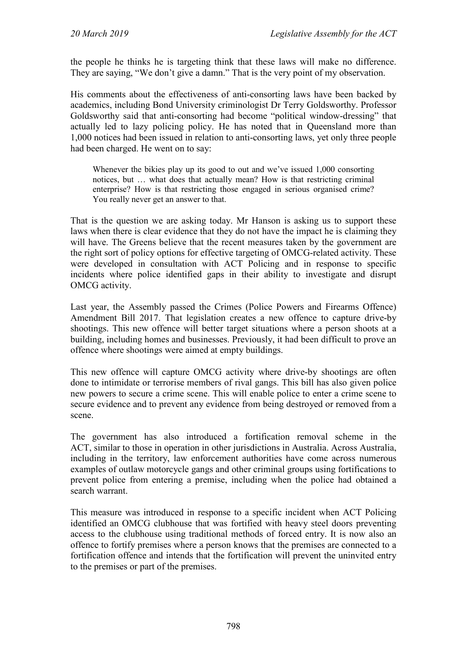the people he thinks he is targeting think that these laws will make no difference. They are saying, "We don't give a damn." That is the very point of my observation.

His comments about the effectiveness of anti-consorting laws have been backed by academics, including Bond University criminologist Dr Terry Goldsworthy. Professor Goldsworthy said that anti-consorting had become "political window-dressing" that actually led to lazy policing policy. He has noted that in Queensland more than 1,000 notices had been issued in relation to anti-consorting laws, yet only three people had been charged. He went on to say:

Whenever the bikies play up its good to out and we've issued 1,000 consorting notices, but … what does that actually mean? How is that restricting criminal enterprise? How is that restricting those engaged in serious organised crime? You really never get an answer to that.

That is the question we are asking today. Mr Hanson is asking us to support these laws when there is clear evidence that they do not have the impact he is claiming they will have. The Greens believe that the recent measures taken by the government are the right sort of policy options for effective targeting of OMCG-related activity. These were developed in consultation with ACT Policing and in response to specific incidents where police identified gaps in their ability to investigate and disrupt OMCG activity.

Last year, the Assembly passed the Crimes (Police Powers and Firearms Offence) Amendment Bill 2017. That legislation creates a new offence to capture drive-by shootings. This new offence will better target situations where a person shoots at a building, including homes and businesses. Previously, it had been difficult to prove an offence where shootings were aimed at empty buildings.

This new offence will capture OMCG activity where drive-by shootings are often done to intimidate or terrorise members of rival gangs. This bill has also given police new powers to secure a crime scene. This will enable police to enter a crime scene to secure evidence and to prevent any evidence from being destroyed or removed from a scene.

The government has also introduced a fortification removal scheme in the ACT, similar to those in operation in other jurisdictions in Australia. Across Australia, including in the territory, law enforcement authorities have come across numerous examples of outlaw motorcycle gangs and other criminal groups using fortifications to prevent police from entering a premise, including when the police had obtained a search warrant.

This measure was introduced in response to a specific incident when ACT Policing identified an OMCG clubhouse that was fortified with heavy steel doors preventing access to the clubhouse using traditional methods of forced entry. It is now also an offence to fortify premises where a person knows that the premises are connected to a fortification offence and intends that the fortification will prevent the uninvited entry to the premises or part of the premises.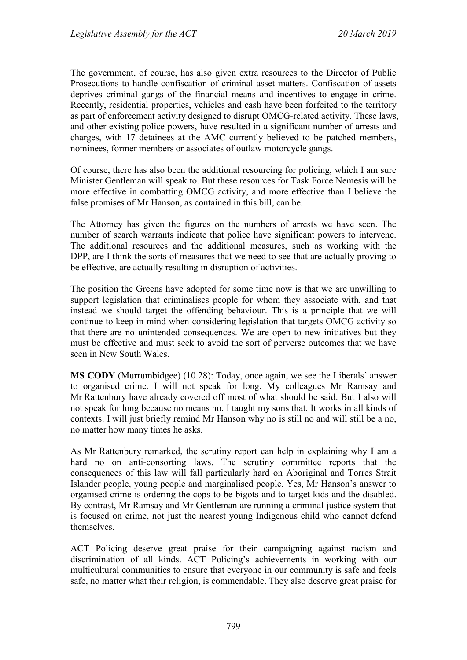The government, of course, has also given extra resources to the Director of Public Prosecutions to handle confiscation of criminal asset matters. Confiscation of assets deprives criminal gangs of the financial means and incentives to engage in crime. Recently, residential properties, vehicles and cash have been forfeited to the territory as part of enforcement activity designed to disrupt OMCG-related activity. These laws, and other existing police powers, have resulted in a significant number of arrests and charges, with 17 detainees at the AMC currently believed to be patched members, nominees, former members or associates of outlaw motorcycle gangs.

Of course, there has also been the additional resourcing for policing, which I am sure Minister Gentleman will speak to. But these resources for Task Force Nemesis will be more effective in combatting OMCG activity, and more effective than I believe the false promises of Mr Hanson, as contained in this bill, can be.

The Attorney has given the figures on the numbers of arrests we have seen. The number of search warrants indicate that police have significant powers to intervene. The additional resources and the additional measures, such as working with the DPP, are I think the sorts of measures that we need to see that are actually proving to be effective, are actually resulting in disruption of activities.

The position the Greens have adopted for some time now is that we are unwilling to support legislation that criminalises people for whom they associate with, and that instead we should target the offending behaviour. This is a principle that we will continue to keep in mind when considering legislation that targets OMCG activity so that there are no unintended consequences. We are open to new initiatives but they must be effective and must seek to avoid the sort of perverse outcomes that we have seen in New South Wales.

**MS CODY** (Murrumbidgee) (10.28): Today, once again, we see the Liberals' answer to organised crime. I will not speak for long. My colleagues Mr Ramsay and Mr Rattenbury have already covered off most of what should be said. But I also will not speak for long because no means no. I taught my sons that. It works in all kinds of contexts. I will just briefly remind Mr Hanson why no is still no and will still be a no, no matter how many times he asks.

As Mr Rattenbury remarked, the scrutiny report can help in explaining why I am a hard no on anti-consorting laws. The scrutiny committee reports that the consequences of this law will fall particularly hard on Aboriginal and Torres Strait Islander people, young people and marginalised people. Yes, Mr Hanson's answer to organised crime is ordering the cops to be bigots and to target kids and the disabled. By contrast, Mr Ramsay and Mr Gentleman are running a criminal justice system that is focused on crime, not just the nearest young Indigenous child who cannot defend themselves.

ACT Policing deserve great praise for their campaigning against racism and discrimination of all kinds. ACT Policing's achievements in working with our multicultural communities to ensure that everyone in our community is safe and feels safe, no matter what their religion, is commendable. They also deserve great praise for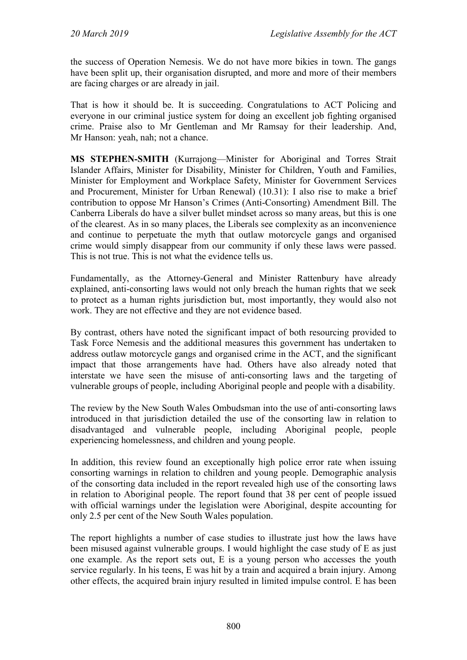the success of Operation Nemesis. We do not have more bikies in town. The gangs have been split up, their organisation disrupted, and more and more of their members are facing charges or are already in jail.

That is how it should be. It is succeeding. Congratulations to ACT Policing and everyone in our criminal justice system for doing an excellent job fighting organised crime. Praise also to Mr Gentleman and Mr Ramsay for their leadership. And, Mr Hanson: yeah, nah; not a chance.

**MS STEPHEN-SMITH** (Kurrajong—Minister for Aboriginal and Torres Strait Islander Affairs, Minister for Disability, Minister for Children, Youth and Families, Minister for Employment and Workplace Safety, Minister for Government Services and Procurement, Minister for Urban Renewal) (10.31): I also rise to make a brief contribution to oppose Mr Hanson's Crimes (Anti-Consorting) Amendment Bill. The Canberra Liberals do have a silver bullet mindset across so many areas, but this is one of the clearest. As in so many places, the Liberals see complexity as an inconvenience and continue to perpetuate the myth that outlaw motorcycle gangs and organised crime would simply disappear from our community if only these laws were passed. This is not true. This is not what the evidence tells us.

Fundamentally, as the Attorney-General and Minister Rattenbury have already explained, anti-consorting laws would not only breach the human rights that we seek to protect as a human rights jurisdiction but, most importantly, they would also not work. They are not effective and they are not evidence based.

By contrast, others have noted the significant impact of both resourcing provided to Task Force Nemesis and the additional measures this government has undertaken to address outlaw motorcycle gangs and organised crime in the ACT, and the significant impact that those arrangements have had. Others have also already noted that interstate we have seen the misuse of anti-consorting laws and the targeting of vulnerable groups of people, including Aboriginal people and people with a disability.

The review by the New South Wales Ombudsman into the use of anti-consorting laws introduced in that jurisdiction detailed the use of the consorting law in relation to disadvantaged and vulnerable people, including Aboriginal people, people experiencing homelessness, and children and young people.

In addition, this review found an exceptionally high police error rate when issuing consorting warnings in relation to children and young people. Demographic analysis of the consorting data included in the report revealed high use of the consorting laws in relation to Aboriginal people. The report found that 38 per cent of people issued with official warnings under the legislation were Aboriginal, despite accounting for only 2.5 per cent of the New South Wales population.

The report highlights a number of case studies to illustrate just how the laws have been misused against vulnerable groups. I would highlight the case study of E as just one example. As the report sets out, E is a young person who accesses the youth service regularly. In his teens, E was hit by a train and acquired a brain injury. Among other effects, the acquired brain injury resulted in limited impulse control. E has been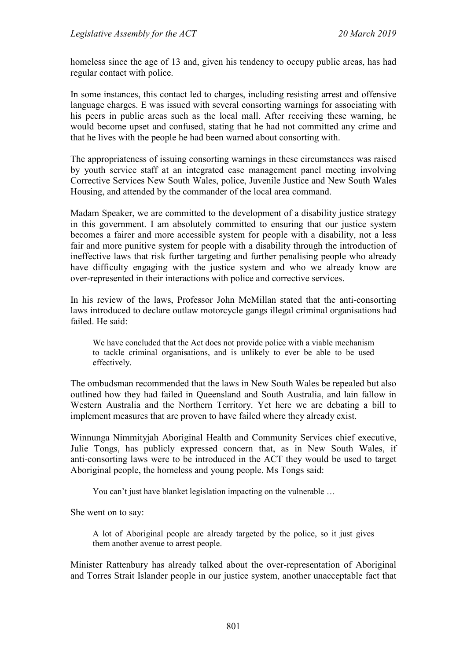homeless since the age of 13 and, given his tendency to occupy public areas, has had regular contact with police.

In some instances, this contact led to charges, including resisting arrest and offensive language charges. E was issued with several consorting warnings for associating with his peers in public areas such as the local mall. After receiving these warning, he would become upset and confused, stating that he had not committed any crime and that he lives with the people he had been warned about consorting with.

The appropriateness of issuing consorting warnings in these circumstances was raised by youth service staff at an integrated case management panel meeting involving Corrective Services New South Wales, police, Juvenile Justice and New South Wales Housing, and attended by the commander of the local area command.

Madam Speaker, we are committed to the development of a disability justice strategy in this government. I am absolutely committed to ensuring that our justice system becomes a fairer and more accessible system for people with a disability, not a less fair and more punitive system for people with a disability through the introduction of ineffective laws that risk further targeting and further penalising people who already have difficulty engaging with the justice system and who we already know are over-represented in their interactions with police and corrective services.

In his review of the laws, Professor John McMillan stated that the anti-consorting laws introduced to declare outlaw motorcycle gangs illegal criminal organisations had failed. He said:

We have concluded that the Act does not provide police with a viable mechanism to tackle criminal organisations, and is unlikely to ever be able to be used effectively.

The ombudsman recommended that the laws in New South Wales be repealed but also outlined how they had failed in Queensland and South Australia, and lain fallow in Western Australia and the Northern Territory. Yet here we are debating a bill to implement measures that are proven to have failed where they already exist.

Winnunga Nimmityjah Aboriginal Health and Community Services chief executive, Julie Tongs, has publicly expressed concern that, as in New South Wales, if anti-consorting laws were to be introduced in the ACT they would be used to target Aboriginal people, the homeless and young people. Ms Tongs said:

You can't just have blanket legislation impacting on the vulnerable …

She went on to say:

A lot of Aboriginal people are already targeted by the police, so it just gives them another avenue to arrest people.

Minister Rattenbury has already talked about the over-representation of Aboriginal and Torres Strait Islander people in our justice system, another unacceptable fact that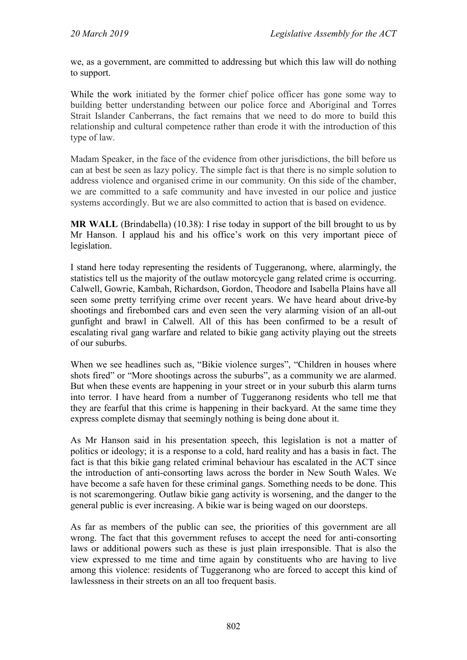we, as a government, are committed to addressing but which this law will do nothing to support.

While the work initiated by the former chief police officer has gone some way to building better understanding between our police force and Aboriginal and Torres Strait Islander Canberrans, the fact remains that we need to do more to build this relationship and cultural competence rather than erode it with the introduction of this type of law.

Madam Speaker, in the face of the evidence from other jurisdictions, the bill before us can at best be seen as lazy policy. The simple fact is that there is no simple solution to address violence and organised crime in our community. On this side of the chamber, we are committed to a safe community and have invested in our police and justice systems accordingly. But we are also committed to action that is based on evidence.

**MR WALL** (Brindabella) (10.38): I rise today in support of the bill brought to us by Mr Hanson. I applaud his and his office's work on this very important piece of legislation.

I stand here today representing the residents of Tuggeranong, where, alarmingly, the statistics tell us the majority of the outlaw motorcycle gang related crime is occurring. Calwell, Gowrie, Kambah, Richardson, Gordon, Theodore and Isabella Plains have all seen some pretty terrifying crime over recent years. We have heard about drive-by shootings and firebombed cars and even seen the very alarming vision of an all-out gunfight and brawl in Calwell. All of this has been confirmed to be a result of escalating rival gang warfare and related to bikie gang activity playing out the streets of our suburbs.

When we see headlines such as, "Bikie violence surges", "Children in houses where shots fired" or "More shootings across the suburbs", as a community we are alarmed. But when these events are happening in your street or in your suburb this alarm turns into terror. I have heard from a number of Tuggeranong residents who tell me that they are fearful that this crime is happening in their backyard. At the same time they express complete dismay that seemingly nothing is being done about it.

As Mr Hanson said in his presentation speech, this legislation is not a matter of politics or ideology; it is a response to a cold, hard reality and has a basis in fact. The fact is that this bikie gang related criminal behaviour has escalated in the ACT since the introduction of anti-consorting laws across the border in New South Wales. We have become a safe haven for these criminal gangs. Something needs to be done. This is not scaremongering. Outlaw bikie gang activity is worsening, and the danger to the general public is ever increasing. A bikie war is being waged on our doorsteps.

As far as members of the public can see, the priorities of this government are all wrong. The fact that this government refuses to accept the need for anti-consorting laws or additional powers such as these is just plain irresponsible. That is also the view expressed to me time and time again by constituents who are having to live among this violence: residents of Tuggeranong who are forced to accept this kind of lawlessness in their streets on an all too frequent basis.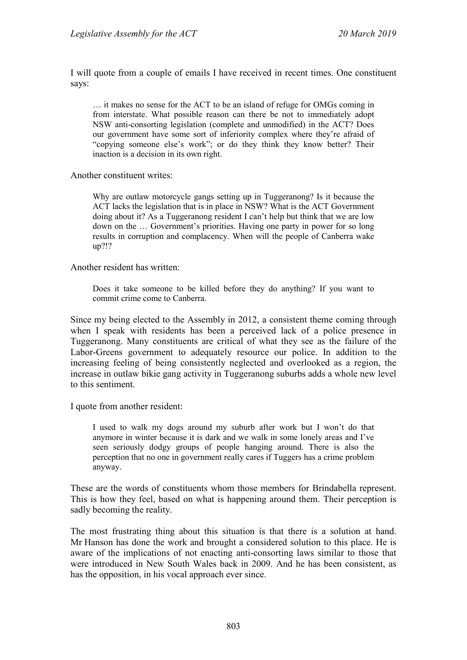I will quote from a couple of emails I have received in recent times. One constituent says:

… it makes no sense for the ACT to be an island of refuge for OMGs coming in from interstate. What possible reason can there be not to immediately adopt NSW anti-consorting legislation (complete and unmodified) in the ACT? Does our government have some sort of inferiority complex where they're afraid of "copying someone else's work"; or do they think they know better? Their inaction is a decision in its own right.

Another constituent writes:

Why are outlaw motorcycle gangs setting up in Tuggeranong? Is it because the ACT lacks the legislation that is in place in NSW? What is the ACT Government doing about it? As a Tuggeranong resident I can't help but think that we are low down on the … Government's priorities. Having one party in power for so long results in corruption and complacency. When will the people of Canberra wake up?!?

Another resident has written:

Does it take someone to be killed before they do anything? If you want to commit crime come to Canberra.

Since my being elected to the Assembly in 2012, a consistent theme coming through when I speak with residents has been a perceived lack of a police presence in Tuggeranong. Many constituents are critical of what they see as the failure of the Labor-Greens government to adequately resource our police. In addition to the increasing feeling of being consistently neglected and overlooked as a region, the increase in outlaw bikie gang activity in Tuggeranong suburbs adds a whole new level to this sentiment.

I quote from another resident:

I used to walk my dogs around my suburb after work but I won't do that anymore in winter because it is dark and we walk in some lonely areas and I've seen seriously dodgy groups of people hanging around. There is also the perception that no one in government really cares if Tuggers has a crime problem anyway.

These are the words of constituents whom those members for Brindabella represent. This is how they feel, based on what is happening around them. Their perception is sadly becoming the reality.

The most frustrating thing about this situation is that there is a solution at hand. Mr Hanson has done the work and brought a considered solution to this place. He is aware of the implications of not enacting anti-consorting laws similar to those that were introduced in New South Wales back in 2009. And he has been consistent, as has the opposition, in his vocal approach ever since.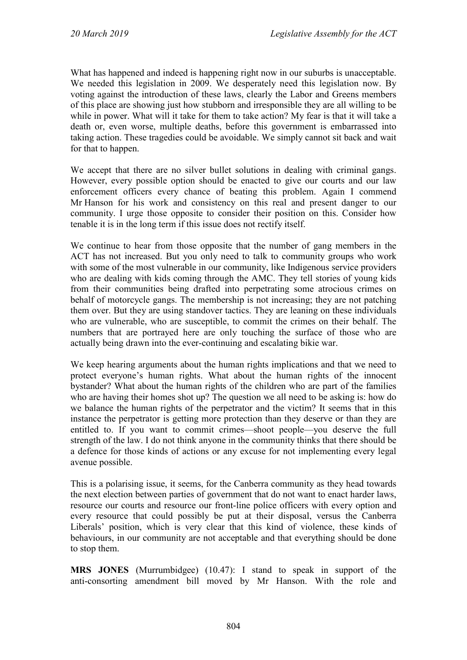What has happened and indeed is happening right now in our suburbs is unacceptable. We needed this legislation in 2009. We desperately need this legislation now. By voting against the introduction of these laws, clearly the Labor and Greens members of this place are showing just how stubborn and irresponsible they are all willing to be while in power. What will it take for them to take action? My fear is that it will take a death or, even worse, multiple deaths, before this government is embarrassed into taking action. These tragedies could be avoidable. We simply cannot sit back and wait for that to happen.

We accept that there are no silver bullet solutions in dealing with criminal gangs. However, every possible option should be enacted to give our courts and our law enforcement officers every chance of beating this problem. Again I commend Mr Hanson for his work and consistency on this real and present danger to our community. I urge those opposite to consider their position on this. Consider how tenable it is in the long term if this issue does not rectify itself.

We continue to hear from those opposite that the number of gang members in the ACT has not increased. But you only need to talk to community groups who work with some of the most vulnerable in our community, like Indigenous service providers who are dealing with kids coming through the AMC. They tell stories of young kids from their communities being drafted into perpetrating some atrocious crimes on behalf of motorcycle gangs. The membership is not increasing; they are not patching them over. But they are using standover tactics. They are leaning on these individuals who are vulnerable, who are susceptible, to commit the crimes on their behalf. The numbers that are portrayed here are only touching the surface of those who are actually being drawn into the ever-continuing and escalating bikie war.

We keep hearing arguments about the human rights implications and that we need to protect everyone's human rights. What about the human rights of the innocent bystander? What about the human rights of the children who are part of the families who are having their homes shot up? The question we all need to be asking is: how do we balance the human rights of the perpetrator and the victim? It seems that in this instance the perpetrator is getting more protection than they deserve or than they are entitled to. If you want to commit crimes—shoot people—you deserve the full strength of the law. I do not think anyone in the community thinks that there should be a defence for those kinds of actions or any excuse for not implementing every legal avenue possible.

This is a polarising issue, it seems, for the Canberra community as they head towards the next election between parties of government that do not want to enact harder laws, resource our courts and resource our front-line police officers with every option and every resource that could possibly be put at their disposal, versus the Canberra Liberals' position, which is very clear that this kind of violence, these kinds of behaviours, in our community are not acceptable and that everything should be done to stop them.

**MRS JONES** (Murrumbidgee) (10.47): I stand to speak in support of the anti-consorting amendment bill moved by Mr Hanson. With the role and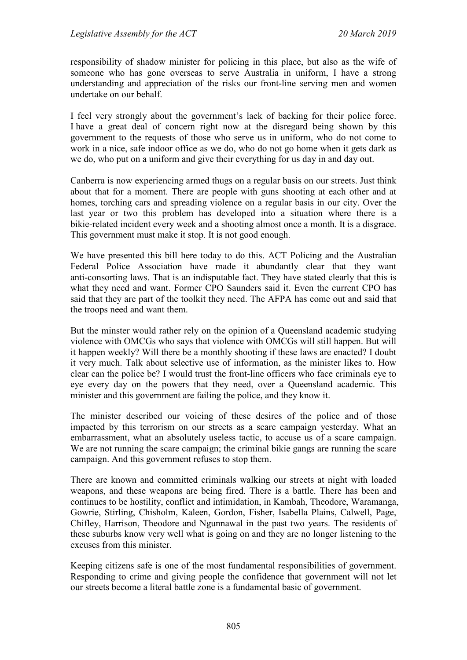responsibility of shadow minister for policing in this place, but also as the wife of someone who has gone overseas to serve Australia in uniform, I have a strong understanding and appreciation of the risks our front-line serving men and women undertake on our behalf.

I feel very strongly about the government's lack of backing for their police force. I have a great deal of concern right now at the disregard being shown by this government to the requests of those who serve us in uniform, who do not come to work in a nice, safe indoor office as we do, who do not go home when it gets dark as we do, who put on a uniform and give their everything for us day in and day out.

Canberra is now experiencing armed thugs on a regular basis on our streets. Just think about that for a moment. There are people with guns shooting at each other and at homes, torching cars and spreading violence on a regular basis in our city. Over the last year or two this problem has developed into a situation where there is a bikie-related incident every week and a shooting almost once a month. It is a disgrace. This government must make it stop. It is not good enough.

We have presented this bill here today to do this. ACT Policing and the Australian Federal Police Association have made it abundantly clear that they want anti-consorting laws. That is an indisputable fact. They have stated clearly that this is what they need and want. Former CPO Saunders said it. Even the current CPO has said that they are part of the toolkit they need. The AFPA has come out and said that the troops need and want them.

But the minster would rather rely on the opinion of a Queensland academic studying violence with OMCGs who says that violence with OMCGs will still happen. But will it happen weekly? Will there be a monthly shooting if these laws are enacted? I doubt it very much. Talk about selective use of information, as the minister likes to. How clear can the police be? I would trust the front-line officers who face criminals eye to eye every day on the powers that they need, over a Queensland academic. This minister and this government are failing the police, and they know it.

The minister described our voicing of these desires of the police and of those impacted by this terrorism on our streets as a scare campaign yesterday. What an embarrassment, what an absolutely useless tactic, to accuse us of a scare campaign. We are not running the scare campaign; the criminal bikie gangs are running the scare campaign. And this government refuses to stop them.

There are known and committed criminals walking our streets at night with loaded weapons, and these weapons are being fired. There is a battle. There has been and continues to be hostility, conflict and intimidation, in Kambah, Theodore, Waramanga, Gowrie, Stirling, Chisholm, Kaleen, Gordon, Fisher, Isabella Plains, Calwell, Page, Chifley, Harrison, Theodore and Ngunnawal in the past two years. The residents of these suburbs know very well what is going on and they are no longer listening to the excuses from this minister.

Keeping citizens safe is one of the most fundamental responsibilities of government. Responding to crime and giving people the confidence that government will not let our streets become a literal battle zone is a fundamental basic of government.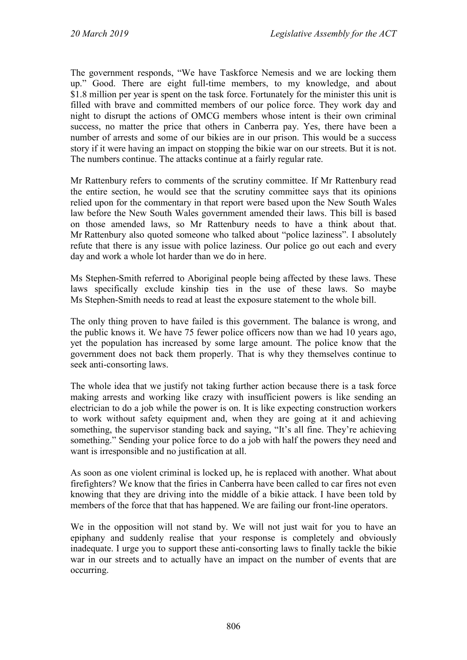The government responds, "We have Taskforce Nemesis and we are locking them up." Good. There are eight full-time members, to my knowledge, and about \$1.8 million per year is spent on the task force. Fortunately for the minister this unit is filled with brave and committed members of our police force. They work day and night to disrupt the actions of OMCG members whose intent is their own criminal success, no matter the price that others in Canberra pay. Yes, there have been a number of arrests and some of our bikies are in our prison. This would be a success story if it were having an impact on stopping the bikie war on our streets. But it is not. The numbers continue. The attacks continue at a fairly regular rate.

Mr Rattenbury refers to comments of the scrutiny committee. If Mr Rattenbury read the entire section, he would see that the scrutiny committee says that its opinions relied upon for the commentary in that report were based upon the New South Wales law before the New South Wales government amended their laws. This bill is based on those amended laws, so Mr Rattenbury needs to have a think about that. Mr Rattenbury also quoted someone who talked about "police laziness". I absolutely refute that there is any issue with police laziness. Our police go out each and every day and work a whole lot harder than we do in here.

Ms Stephen-Smith referred to Aboriginal people being affected by these laws. These laws specifically exclude kinship ties in the use of these laws. So maybe Ms Stephen-Smith needs to read at least the exposure statement to the whole bill.

The only thing proven to have failed is this government. The balance is wrong, and the public knows it. We have 75 fewer police officers now than we had 10 years ago, yet the population has increased by some large amount. The police know that the government does not back them properly. That is why they themselves continue to seek anti-consorting laws.

The whole idea that we justify not taking further action because there is a task force making arrests and working like crazy with insufficient powers is like sending an electrician to do a job while the power is on. It is like expecting construction workers to work without safety equipment and, when they are going at it and achieving something, the supervisor standing back and saying, "It's all fine. They're achieving something." Sending your police force to do a job with half the powers they need and want is irresponsible and no justification at all.

As soon as one violent criminal is locked up, he is replaced with another. What about firefighters? We know that the firies in Canberra have been called to car fires not even knowing that they are driving into the middle of a bikie attack. I have been told by members of the force that that has happened. We are failing our front-line operators.

We in the opposition will not stand by. We will not just wait for you to have an epiphany and suddenly realise that your response is completely and obviously inadequate. I urge you to support these anti-consorting laws to finally tackle the bikie war in our streets and to actually have an impact on the number of events that are occurring.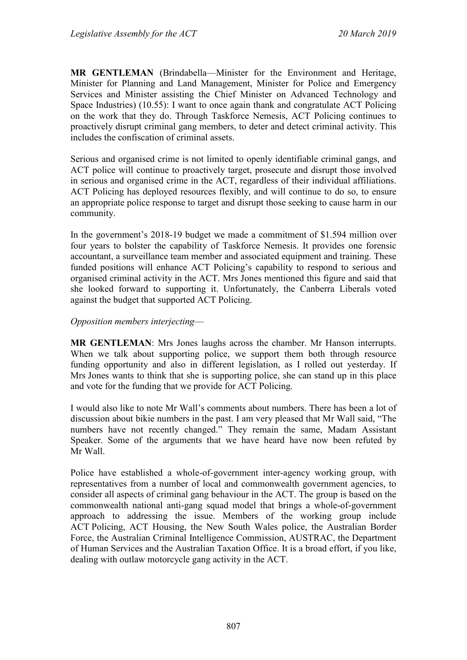**MR GENTLEMAN** (Brindabella—Minister for the Environment and Heritage, Minister for Planning and Land Management, Minister for Police and Emergency Services and Minister assisting the Chief Minister on Advanced Technology and Space Industries) (10.55): I want to once again thank and congratulate ACT Policing on the work that they do. Through Taskforce Nemesis, ACT Policing continues to proactively disrupt criminal gang members, to deter and detect criminal activity. This includes the confiscation of criminal assets.

Serious and organised crime is not limited to openly identifiable criminal gangs, and ACT police will continue to proactively target, prosecute and disrupt those involved in serious and organised crime in the ACT, regardless of their individual affiliations. ACT Policing has deployed resources flexibly, and will continue to do so, to ensure an appropriate police response to target and disrupt those seeking to cause harm in our community.

In the government's 2018-19 budget we made a commitment of \$1.594 million over four years to bolster the capability of Taskforce Nemesis. It provides one forensic accountant, a surveillance team member and associated equipment and training. These funded positions will enhance ACT Policing's capability to respond to serious and organised criminal activity in the ACT. Mrs Jones mentioned this figure and said that she looked forward to supporting it. Unfortunately, the Canberra Liberals voted against the budget that supported ACT Policing.

#### *Opposition members interjecting*—

**MR GENTLEMAN**: Mrs Jones laughs across the chamber. Mr Hanson interrupts. When we talk about supporting police, we support them both through resource funding opportunity and also in different legislation, as I rolled out yesterday. If Mrs Jones wants to think that she is supporting police, she can stand up in this place and vote for the funding that we provide for ACT Policing.

I would also like to note Mr Wall's comments about numbers. There has been a lot of discussion about bikie numbers in the past. I am very pleased that Mr Wall said, "The numbers have not recently changed." They remain the same, Madam Assistant Speaker. Some of the arguments that we have heard have now been refuted by Mr Wall.

Police have established a whole-of-government inter-agency working group, with representatives from a number of local and commonwealth government agencies, to consider all aspects of criminal gang behaviour in the ACT. The group is based on the commonwealth national anti-gang squad model that brings a whole-of-government approach to addressing the issue. Members of the working group include ACT Policing, ACT Housing, the New South Wales police, the Australian Border Force, the Australian Criminal Intelligence Commission, AUSTRAC, the Department of Human Services and the Australian Taxation Office. It is a broad effort, if you like, dealing with outlaw motorcycle gang activity in the ACT.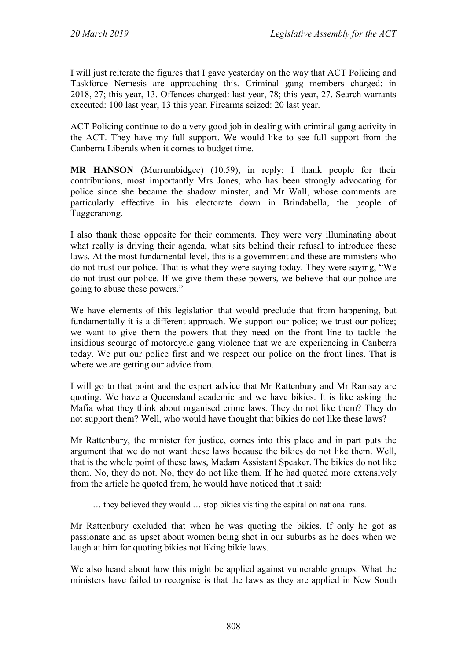I will just reiterate the figures that I gave yesterday on the way that ACT Policing and Taskforce Nemesis are approaching this. Criminal gang members charged: in 2018, 27; this year, 13. Offences charged: last year, 78; this year, 27. Search warrants executed: 100 last year, 13 this year. Firearms seized: 20 last year.

ACT Policing continue to do a very good job in dealing with criminal gang activity in the ACT. They have my full support. We would like to see full support from the Canberra Liberals when it comes to budget time.

**MR HANSON** (Murrumbidgee) (10.59), in reply: I thank people for their contributions, most importantly Mrs Jones, who has been strongly advocating for police since she became the shadow minster, and Mr Wall, whose comments are particularly effective in his electorate down in Brindabella, the people of Tuggeranong.

I also thank those opposite for their comments. They were very illuminating about what really is driving their agenda, what sits behind their refusal to introduce these laws. At the most fundamental level, this is a government and these are ministers who do not trust our police. That is what they were saying today. They were saying, "We do not trust our police. If we give them these powers, we believe that our police are going to abuse these powers."

We have elements of this legislation that would preclude that from happening, but fundamentally it is a different approach. We support our police; we trust our police; we want to give them the powers that they need on the front line to tackle the insidious scourge of motorcycle gang violence that we are experiencing in Canberra today. We put our police first and we respect our police on the front lines. That is where we are getting our advice from.

I will go to that point and the expert advice that Mr Rattenbury and Mr Ramsay are quoting. We have a Queensland academic and we have bikies. It is like asking the Mafia what they think about organised crime laws. They do not like them? They do not support them? Well, who would have thought that bikies do not like these laws?

Mr Rattenbury, the minister for justice, comes into this place and in part puts the argument that we do not want these laws because the bikies do not like them. Well, that is the whole point of these laws, Madam Assistant Speaker. The bikies do not like them. No, they do not. No, they do not like them. If he had quoted more extensively from the article he quoted from, he would have noticed that it said:

… they believed they would … stop bikies visiting the capital on national runs.

Mr Rattenbury excluded that when he was quoting the bikies. If only he got as passionate and as upset about women being shot in our suburbs as he does when we laugh at him for quoting bikies not liking bikie laws.

We also heard about how this might be applied against vulnerable groups. What the ministers have failed to recognise is that the laws as they are applied in New South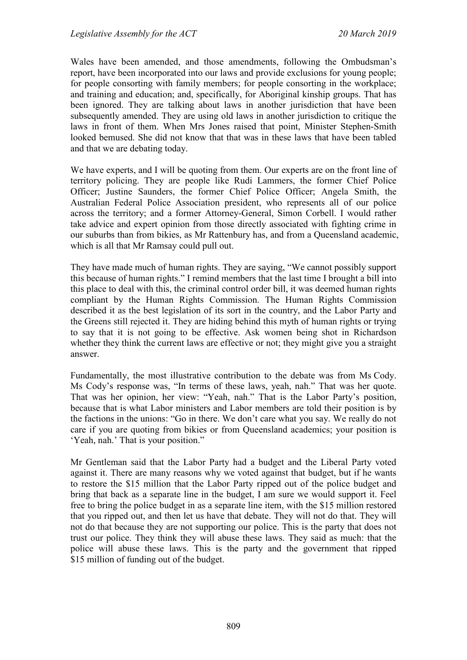Wales have been amended, and those amendments, following the Ombudsman's report, have been incorporated into our laws and provide exclusions for young people; for people consorting with family members; for people consorting in the workplace; and training and education; and, specifically, for Aboriginal kinship groups. That has been ignored. They are talking about laws in another jurisdiction that have been subsequently amended. They are using old laws in another jurisdiction to critique the laws in front of them. When Mrs Jones raised that point, Minister Stephen-Smith looked bemused. She did not know that that was in these laws that have been tabled and that we are debating today.

We have experts, and I will be quoting from them. Our experts are on the front line of territory policing. They are people like Rudi Lammers, the former Chief Police Officer; Justine Saunders, the former Chief Police Officer; Angela Smith, the Australian Federal Police Association president, who represents all of our police across the territory; and a former Attorney-General, Simon Corbell. I would rather take advice and expert opinion from those directly associated with fighting crime in our suburbs than from bikies, as Mr Rattenbury has, and from a Queensland academic, which is all that Mr Ramsay could pull out.

They have made much of human rights. They are saying, "We cannot possibly support this because of human rights." I remind members that the last time I brought a bill into this place to deal with this, the criminal control order bill, it was deemed human rights compliant by the Human Rights Commission. The Human Rights Commission described it as the best legislation of its sort in the country, and the Labor Party and the Greens still rejected it. They are hiding behind this myth of human rights or trying to say that it is not going to be effective. Ask women being shot in Richardson whether they think the current laws are effective or not; they might give you a straight answer.

Fundamentally, the most illustrative contribution to the debate was from Ms Cody. Ms Cody's response was, "In terms of these laws, yeah, nah." That was her quote. That was her opinion, her view: "Yeah, nah." That is the Labor Party's position, because that is what Labor ministers and Labor members are told their position is by the factions in the unions: "Go in there. We don't care what you say. We really do not care if you are quoting from bikies or from Queensland academics; your position is 'Yeah, nah.' That is your position."

Mr Gentleman said that the Labor Party had a budget and the Liberal Party voted against it. There are many reasons why we voted against that budget, but if he wants to restore the \$15 million that the Labor Party ripped out of the police budget and bring that back as a separate line in the budget, I am sure we would support it. Feel free to bring the police budget in as a separate line item, with the \$15 million restored that you ripped out, and then let us have that debate. They will not do that. They will not do that because they are not supporting our police. This is the party that does not trust our police. They think they will abuse these laws. They said as much: that the police will abuse these laws. This is the party and the government that ripped \$15 million of funding out of the budget.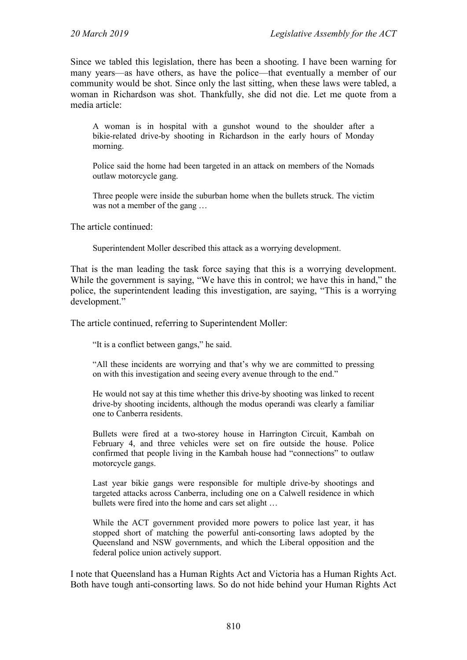Since we tabled this legislation, there has been a shooting. I have been warning for many years—as have others, as have the police—that eventually a member of our community would be shot. Since only the last sitting, when these laws were tabled, a woman in Richardson was shot. Thankfully, she did not die. Let me quote from a media article:

A woman is in hospital with a gunshot wound to the shoulder after a bikie-related drive-by shooting in Richardson in the early hours of Monday morning.

Police said the home had been targeted in an attack on members of the Nomads outlaw motorcycle gang.

Three people were inside the suburban home when the bullets struck. The victim was not a member of the gang …

The article continued:

Superintendent Moller described this attack as a worrying development.

That is the man leading the task force saying that this is a worrying development. While the government is saying, "We have this in control; we have this in hand," the police, the superintendent leading this investigation, are saying, "This is a worrying development."

The article continued, referring to Superintendent Moller:

"It is a conflict between gangs," he said.

"All these incidents are worrying and that's why we are committed to pressing on with this investigation and seeing every avenue through to the end."

He would not say at this time whether this drive-by shooting was linked to recent drive-by shooting incidents, although the modus operandi was clearly a familiar one to Canberra residents.

Bullets were fired at a two-storey house in Harrington Circuit, Kambah on February 4, and three vehicles were set on fire outside the house. Police confirmed that people living in the Kambah house had "connections" to outlaw motorcycle gangs.

Last year bikie gangs were responsible for multiple drive-by shootings and targeted attacks across Canberra, including one on a Calwell residence in which bullets were fired into the home and cars set alight …

While the ACT government provided more powers to police last year, it has stopped short of matching the powerful anti-consorting laws adopted by the Queensland and NSW governments, and which the Liberal opposition and the federal police union actively support.

I note that Queensland has a Human Rights Act and Victoria has a Human Rights Act. Both have tough anti-consorting laws. So do not hide behind your Human Rights Act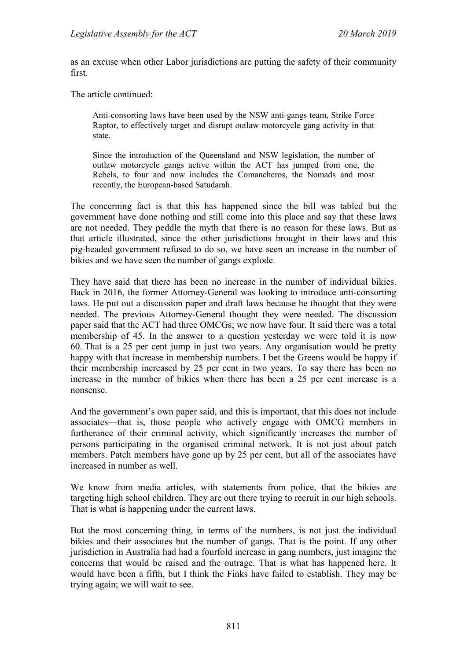as an excuse when other Labor jurisdictions are putting the safety of their community first.

The article continued:

Anti-consorting laws have been used by the NSW anti-gangs team, Strike Force Raptor, to effectively target and disrupt outlaw motorcycle gang activity in that state.

Since the introduction of the Queensland and NSW legislation, the number of outlaw motorcycle gangs active within the ACT has jumped from one, the Rebels, to four and now includes the Comancheros, the Nomads and most recently, the European-based Satudarah.

The concerning fact is that this has happened since the bill was tabled but the government have done nothing and still come into this place and say that these laws are not needed. They peddle the myth that there is no reason for these laws. But as that article illustrated, since the other jurisdictions brought in their laws and this pig-headed government refused to do so, we have seen an increase in the number of bikies and we have seen the number of gangs explode.

They have said that there has been no increase in the number of individual bikies. Back in 2016, the former Attorney-General was looking to introduce anti-consorting laws. He put out a discussion paper and draft laws because he thought that they were needed. The previous Attorney-General thought they were needed. The discussion paper said that the ACT had three OMCGs; we now have four. It said there was a total membership of 45. In the answer to a question yesterday we were told it is now 60. That is a 25 per cent jump in just two years. Any organisation would be pretty happy with that increase in membership numbers. I bet the Greens would be happy if their membership increased by 25 per cent in two years. To say there has been no increase in the number of bikies when there has been a 25 per cent increase is a nonsense.

And the government's own paper said, and this is important, that this does not include associates—that is, those people who actively engage with OMCG members in furtherance of their criminal activity, which significantly increases the number of persons participating in the organised criminal network. It is not just about patch members. Patch members have gone up by 25 per cent, but all of the associates have increased in number as well.

We know from media articles, with statements from police, that the bikies are targeting high school children. They are out there trying to recruit in our high schools. That is what is happening under the current laws.

But the most concerning thing, in terms of the numbers, is not just the individual bikies and their associates but the number of gangs. That is the point. If any other jurisdiction in Australia had had a fourfold increase in gang numbers, just imagine the concerns that would be raised and the outrage. That is what has happened here. It would have been a fifth, but I think the Finks have failed to establish. They may be trying again; we will wait to see.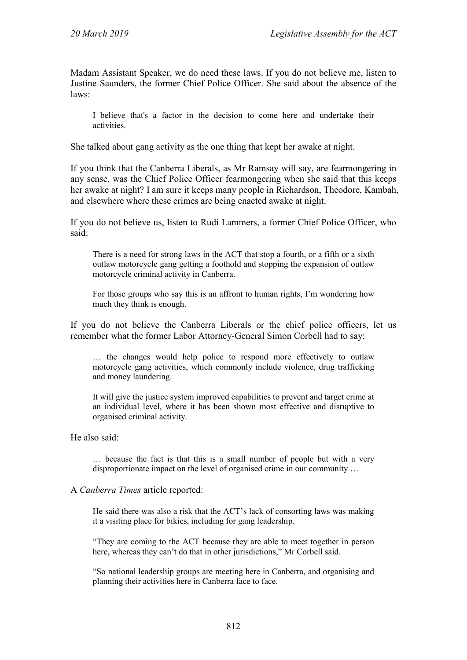Madam Assistant Speaker, we do need these laws. If you do not believe me, listen to Justine Saunders, the former Chief Police Officer. She said about the absence of the laws:

I believe that's a factor in the decision to come here and undertake their activities.

She talked about gang activity as the one thing that kept her awake at night.

If you think that the Canberra Liberals, as Mr Ramsay will say, are fearmongering in any sense, was the Chief Police Officer fearmongering when she said that this keeps her awake at night? I am sure it keeps many people in Richardson, Theodore, Kambah, and elsewhere where these crimes are being enacted awake at night.

If you do not believe us, listen to Rudi Lammers, a former Chief Police Officer, who said:

There is a need for strong laws in the ACT that stop a fourth, or a fifth or a sixth outlaw motorcycle gang getting a foothold and stopping the expansion of outlaw motorcycle criminal activity in Canberra.

For those groups who say this is an affront to human rights, I'm wondering how much they think is enough.

If you do not believe the Canberra Liberals or the chief police officers, let us remember what the former Labor Attorney-General Simon Corbell had to say:

… the changes would help police to respond more effectively to outlaw motorcycle gang activities, which commonly include violence, drug trafficking and money laundering.

It will give the justice system improved capabilities to prevent and target crime at an individual level, where it has been shown most effective and disruptive to organised criminal activity.

He also said:

… because the fact is that this is a small number of people but with a very disproportionate impact on the level of organised crime in our community …

#### A *Canberra Times* article reported:

He said there was also a risk that the ACT's lack of consorting laws was making it a visiting place for bikies, including for gang leadership.

"They are coming to the ACT because they are able to meet together in person here, whereas they can't do that in other jurisdictions," Mr Corbell said.

"So national leadership groups are meeting here in Canberra, and organising and planning their activities here in Canberra face to face.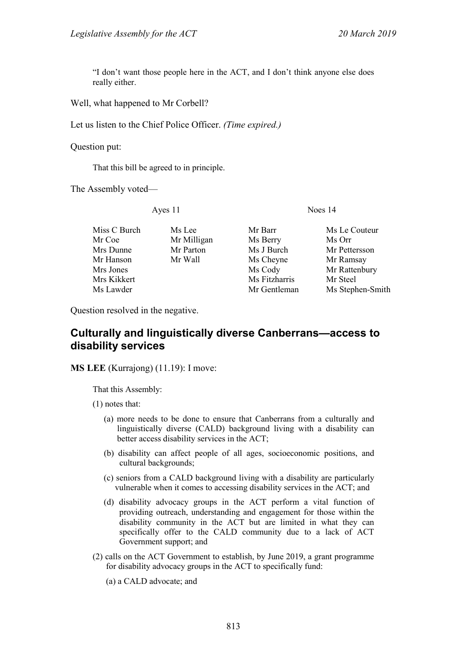"I don't want those people here in the ACT, and I don't think anyone else does really either.

Well, what happened to Mr Corbell?

Let us listen to the Chief Police Officer. *(Time expired.)*

Question put:

That this bill be agreed to in principle.

The Assembly voted—

Ayes 11 Noes 14

Miss C Burch Ms Lee Mr Barr Ms Le Couteur Mr Coe Mr Milligan Ms Berry Ms Orr Mrs Dunne Mr Parton Ms J Burch Mr Pettersson Mr Hanson Mr Wall Ms Cheyne Mr Ramsay Mrs Jones Ms Cody Mr Rattenbury Mrs Kikkert Mrs Kikkert Ms Fitzharris Mr Steel<br>Ms Lawder Mrs Mr Gentleman Mrs Steph

Ms Stephen-Smith

Question resolved in the negative.

## <span id="page-24-0"></span>**Culturally and linguistically diverse Canberrans—access to disability services**

**MS LEE** (Kurrajong) (11.19): I move:

That this Assembly:

(1) notes that:

- (a) more needs to be done to ensure that Canberrans from a culturally and linguistically diverse (CALD) background living with a disability can better access disability services in the ACT;
- (b) disability can affect people of all ages, socioeconomic positions, and cultural backgrounds;
- (c) seniors from a CALD background living with a disability are particularly vulnerable when it comes to accessing disability services in the ACT; and
- (d) disability advocacy groups in the ACT perform a vital function of providing outreach, understanding and engagement for those within the disability community in the ACT but are limited in what they can specifically offer to the CALD community due to a lack of ACT Government support; and
- (2) calls on the ACT Government to establish, by June 2019, a grant programme for disability advocacy groups in the ACT to specifically fund:

(a) a CALD advocate; and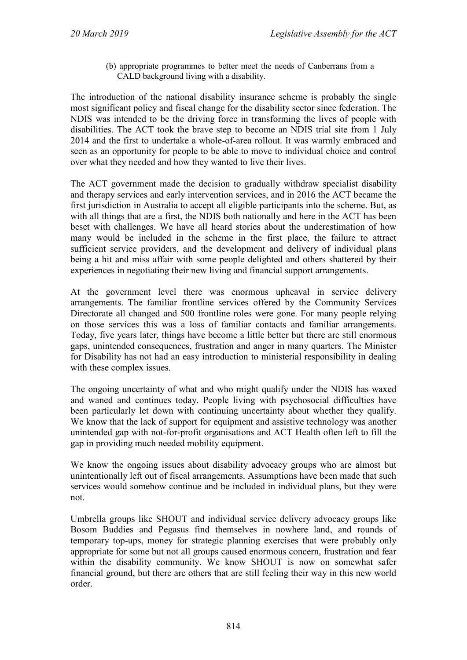(b) appropriate programmes to better meet the needs of Canberrans from a CALD background living with a disability.

The introduction of the national disability insurance scheme is probably the single most significant policy and fiscal change for the disability sector since federation. The NDIS was intended to be the driving force in transforming the lives of people with disabilities. The ACT took the brave step to become an NDIS trial site from 1 July 2014 and the first to undertake a whole-of-area rollout. It was warmly embraced and seen as an opportunity for people to be able to move to individual choice and control over what they needed and how they wanted to live their lives.

The ACT government made the decision to gradually withdraw specialist disability and therapy services and early intervention services, and in 2016 the ACT became the first jurisdiction in Australia to accept all eligible participants into the scheme. But, as with all things that are a first, the NDIS both nationally and here in the ACT has been beset with challenges. We have all heard stories about the underestimation of how many would be included in the scheme in the first place, the failure to attract sufficient service providers, and the development and delivery of individual plans being a hit and miss affair with some people delighted and others shattered by their experiences in negotiating their new living and financial support arrangements.

At the government level there was enormous upheaval in service delivery arrangements. The familiar frontline services offered by the Community Services Directorate all changed and 500 frontline roles were gone. For many people relying on those services this was a loss of familiar contacts and familiar arrangements. Today, five years later, things have become a little better but there are still enormous gaps, unintended consequences, frustration and anger in many quarters. The Minister for Disability has not had an easy introduction to ministerial responsibility in dealing with these complex issues.

The ongoing uncertainty of what and who might qualify under the NDIS has waxed and waned and continues today. People living with psychosocial difficulties have been particularly let down with continuing uncertainty about whether they qualify. We know that the lack of support for equipment and assistive technology was another unintended gap with not-for-profit organisations and ACT Health often left to fill the gap in providing much needed mobility equipment.

We know the ongoing issues about disability advocacy groups who are almost but unintentionally left out of fiscal arrangements. Assumptions have been made that such services would somehow continue and be included in individual plans, but they were not.

Umbrella groups like SHOUT and individual service delivery advocacy groups like Bosom Buddies and Pegasus find themselves in nowhere land, and rounds of temporary top-ups, money for strategic planning exercises that were probably only appropriate for some but not all groups caused enormous concern, frustration and fear within the disability community. We know SHOUT is now on somewhat safer financial ground, but there are others that are still feeling their way in this new world order.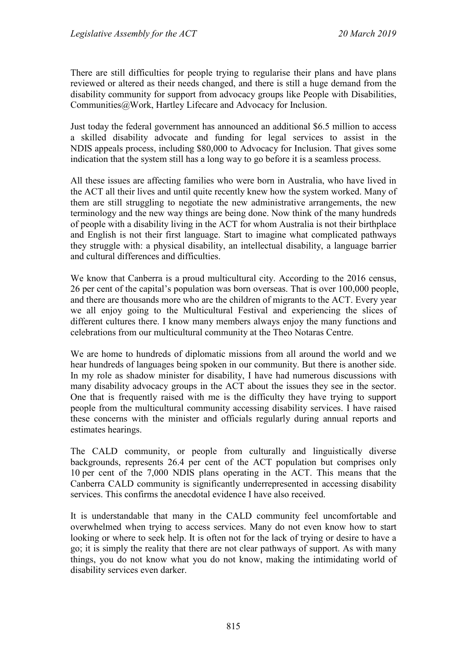There are still difficulties for people trying to regularise their plans and have plans reviewed or altered as their needs changed, and there is still a huge demand from the disability community for support from advocacy groups like People with Disabilities, Communities@Work, Hartley Lifecare and Advocacy for Inclusion.

Just today the federal government has announced an additional \$6.5 million to access a skilled disability advocate and funding for legal services to assist in the NDIS appeals process, including \$80,000 to Advocacy for Inclusion. That gives some indication that the system still has a long way to go before it is a seamless process.

All these issues are affecting families who were born in Australia, who have lived in the ACT all their lives and until quite recently knew how the system worked. Many of them are still struggling to negotiate the new administrative arrangements, the new terminology and the new way things are being done. Now think of the many hundreds of people with a disability living in the ACT for whom Australia is not their birthplace and English is not their first language. Start to imagine what complicated pathways they struggle with: a physical disability, an intellectual disability, a language barrier and cultural differences and difficulties.

We know that Canberra is a proud multicultural city. According to the 2016 census, 26 per cent of the capital's population was born overseas. That is over 100,000 people, and there are thousands more who are the children of migrants to the ACT. Every year we all enjoy going to the Multicultural Festival and experiencing the slices of different cultures there. I know many members always enjoy the many functions and celebrations from our multicultural community at the Theo Notaras Centre.

We are home to hundreds of diplomatic missions from all around the world and we hear hundreds of languages being spoken in our community. But there is another side. In my role as shadow minister for disability, I have had numerous discussions with many disability advocacy groups in the ACT about the issues they see in the sector. One that is frequently raised with me is the difficulty they have trying to support people from the multicultural community accessing disability services. I have raised these concerns with the minister and officials regularly during annual reports and estimates hearings.

The CALD community, or people from culturally and linguistically diverse backgrounds, represents 26.4 per cent of the ACT population but comprises only 10 per cent of the 7,000 NDIS plans operating in the ACT. This means that the Canberra CALD community is significantly underrepresented in accessing disability services. This confirms the anecdotal evidence I have also received.

It is understandable that many in the CALD community feel uncomfortable and overwhelmed when trying to access services. Many do not even know how to start looking or where to seek help. It is often not for the lack of trying or desire to have a go; it is simply the reality that there are not clear pathways of support. As with many things, you do not know what you do not know, making the intimidating world of disability services even darker.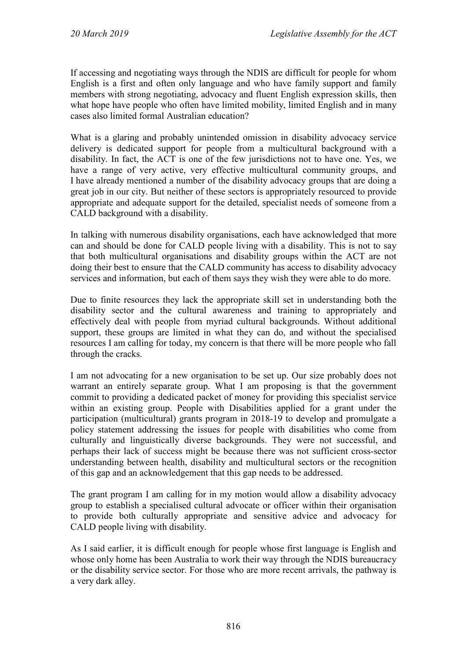If accessing and negotiating ways through the NDIS are difficult for people for whom English is a first and often only language and who have family support and family members with strong negotiating, advocacy and fluent English expression skills, then what hope have people who often have limited mobility, limited English and in many cases also limited formal Australian education?

What is a glaring and probably unintended omission in disability advocacy service delivery is dedicated support for people from a multicultural background with a disability. In fact, the ACT is one of the few jurisdictions not to have one. Yes, we have a range of very active, very effective multicultural community groups, and I have already mentioned a number of the disability advocacy groups that are doing a great job in our city. But neither of these sectors is appropriately resourced to provide appropriate and adequate support for the detailed, specialist needs of someone from a CALD background with a disability.

In talking with numerous disability organisations, each have acknowledged that more can and should be done for CALD people living with a disability. This is not to say that both multicultural organisations and disability groups within the ACT are not doing their best to ensure that the CALD community has access to disability advocacy services and information, but each of them says they wish they were able to do more.

Due to finite resources they lack the appropriate skill set in understanding both the disability sector and the cultural awareness and training to appropriately and effectively deal with people from myriad cultural backgrounds. Without additional support, these groups are limited in what they can do, and without the specialised resources I am calling for today, my concern is that there will be more people who fall through the cracks.

I am not advocating for a new organisation to be set up. Our size probably does not warrant an entirely separate group. What I am proposing is that the government commit to providing a dedicated packet of money for providing this specialist service within an existing group. People with Disabilities applied for a grant under the participation (multicultural) grants program in 2018-19 to develop and promulgate a policy statement addressing the issues for people with disabilities who come from culturally and linguistically diverse backgrounds. They were not successful, and perhaps their lack of success might be because there was not sufficient cross-sector understanding between health, disability and multicultural sectors or the recognition of this gap and an acknowledgement that this gap needs to be addressed.

The grant program I am calling for in my motion would allow a disability advocacy group to establish a specialised cultural advocate or officer within their organisation to provide both culturally appropriate and sensitive advice and advocacy for CALD people living with disability.

As I said earlier, it is difficult enough for people whose first language is English and whose only home has been Australia to work their way through the NDIS bureaucracy or the disability service sector. For those who are more recent arrivals, the pathway is a very dark alley.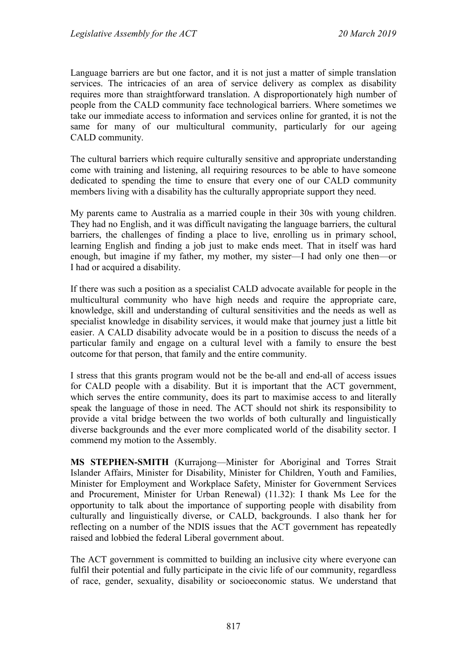Language barriers are but one factor, and it is not just a matter of simple translation services. The intricacies of an area of service delivery as complex as disability requires more than straightforward translation. A disproportionately high number of people from the CALD community face technological barriers. Where sometimes we take our immediate access to information and services online for granted, it is not the same for many of our multicultural community, particularly for our ageing CALD community.

The cultural barriers which require culturally sensitive and appropriate understanding come with training and listening, all requiring resources to be able to have someone dedicated to spending the time to ensure that every one of our CALD community members living with a disability has the culturally appropriate support they need.

My parents came to Australia as a married couple in their 30s with young children. They had no English, and it was difficult navigating the language barriers, the cultural barriers, the challenges of finding a place to live, enrolling us in primary school, learning English and finding a job just to make ends meet. That in itself was hard enough, but imagine if my father, my mother, my sister—I had only one then—or I had or acquired a disability.

If there was such a position as a specialist CALD advocate available for people in the multicultural community who have high needs and require the appropriate care, knowledge, skill and understanding of cultural sensitivities and the needs as well as specialist knowledge in disability services, it would make that journey just a little bit easier. A CALD disability advocate would be in a position to discuss the needs of a particular family and engage on a cultural level with a family to ensure the best outcome for that person, that family and the entire community.

I stress that this grants program would not be the be-all and end-all of access issues for CALD people with a disability. But it is important that the ACT government, which serves the entire community, does its part to maximise access to and literally speak the language of those in need. The ACT should not shirk its responsibility to provide a vital bridge between the two worlds of both culturally and linguistically diverse backgrounds and the ever more complicated world of the disability sector. I commend my motion to the Assembly.

**MS STEPHEN-SMITH** (Kurrajong—Minister for Aboriginal and Torres Strait Islander Affairs, Minister for Disability, Minister for Children, Youth and Families, Minister for Employment and Workplace Safety, Minister for Government Services and Procurement, Minister for Urban Renewal) (11.32): I thank Ms Lee for the opportunity to talk about the importance of supporting people with disability from culturally and linguistically diverse, or CALD, backgrounds. I also thank her for reflecting on a number of the NDIS issues that the ACT government has repeatedly raised and lobbied the federal Liberal government about.

The ACT government is committed to building an inclusive city where everyone can fulfil their potential and fully participate in the civic life of our community, regardless of race, gender, sexuality, disability or socioeconomic status. We understand that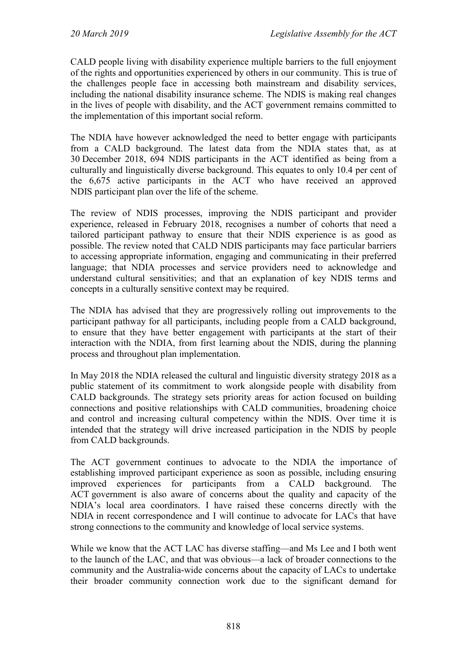CALD people living with disability experience multiple barriers to the full enjoyment of the rights and opportunities experienced by others in our community. This is true of the challenges people face in accessing both mainstream and disability services, including the national disability insurance scheme. The NDIS is making real changes in the lives of people with disability, and the ACT government remains committed to the implementation of this important social reform.

The NDIA have however acknowledged the need to better engage with participants from a CALD background. The latest data from the NDIA states that, as at 30 December 2018, 694 NDIS participants in the ACT identified as being from a culturally and linguistically diverse background. This equates to only 10.4 per cent of the 6,675 active participants in the ACT who have received an approved NDIS participant plan over the life of the scheme.

The review of NDIS processes, improving the NDIS participant and provider experience, released in February 2018, recognises a number of cohorts that need a tailored participant pathway to ensure that their NDIS experience is as good as possible. The review noted that CALD NDIS participants may face particular barriers to accessing appropriate information, engaging and communicating in their preferred language; that NDIA processes and service providers need to acknowledge and understand cultural sensitivities; and that an explanation of key NDIS terms and concepts in a culturally sensitive context may be required.

The NDIA has advised that they are progressively rolling out improvements to the participant pathway for all participants, including people from a CALD background, to ensure that they have better engagement with participants at the start of their interaction with the NDIA, from first learning about the NDIS, during the planning process and throughout plan implementation.

In May 2018 the NDIA released the cultural and linguistic diversity strategy 2018 as a public statement of its commitment to work alongside people with disability from CALD backgrounds. The strategy sets priority areas for action focused on building connections and positive relationships with CALD communities, broadening choice and control and increasing cultural competency within the NDIS. Over time it is intended that the strategy will drive increased participation in the NDIS by people from CALD backgrounds.

The ACT government continues to advocate to the NDIA the importance of establishing improved participant experience as soon as possible, including ensuring improved experiences for participants from a CALD background. The ACT government is also aware of concerns about the quality and capacity of the NDIA's local area coordinators. I have raised these concerns directly with the NDIA in recent correspondence and I will continue to advocate for LACs that have strong connections to the community and knowledge of local service systems.

While we know that the ACT LAC has diverse staffing—and Ms Lee and I both went to the launch of the LAC, and that was obvious—a lack of broader connections to the community and the Australia-wide concerns about the capacity of LACs to undertake their broader community connection work due to the significant demand for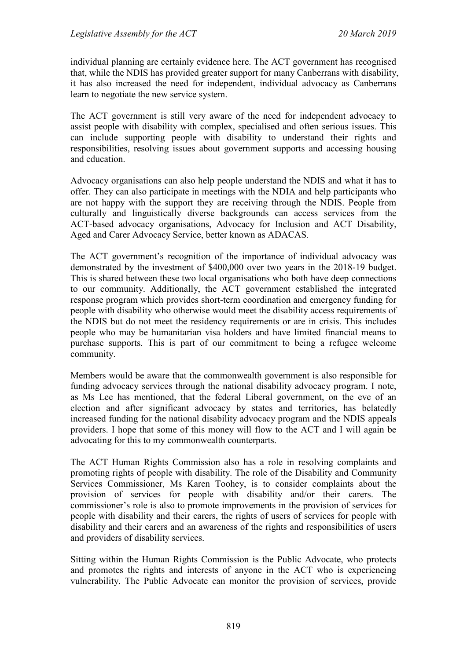individual planning are certainly evidence here. The ACT government has recognised that, while the NDIS has provided greater support for many Canberrans with disability, it has also increased the need for independent, individual advocacy as Canberrans learn to negotiate the new service system.

The ACT government is still very aware of the need for independent advocacy to assist people with disability with complex, specialised and often serious issues. This can include supporting people with disability to understand their rights and responsibilities, resolving issues about government supports and accessing housing and education.

Advocacy organisations can also help people understand the NDIS and what it has to offer. They can also participate in meetings with the NDIA and help participants who are not happy with the support they are receiving through the NDIS. People from culturally and linguistically diverse backgrounds can access services from the ACT-based advocacy organisations, Advocacy for Inclusion and ACT Disability, Aged and Carer Advocacy Service, better known as ADACAS.

The ACT government's recognition of the importance of individual advocacy was demonstrated by the investment of \$400,000 over two years in the 2018-19 budget. This is shared between these two local organisations who both have deep connections to our community. Additionally, the ACT government established the integrated response program which provides short-term coordination and emergency funding for people with disability who otherwise would meet the disability access requirements of the NDIS but do not meet the residency requirements or are in crisis. This includes people who may be humanitarian visa holders and have limited financial means to purchase supports. This is part of our commitment to being a refugee welcome community.

Members would be aware that the commonwealth government is also responsible for funding advocacy services through the national disability advocacy program. I note, as Ms Lee has mentioned, that the federal Liberal government, on the eve of an election and after significant advocacy by states and territories, has belatedly increased funding for the national disability advocacy program and the NDIS appeals providers. I hope that some of this money will flow to the ACT and I will again be advocating for this to my commonwealth counterparts.

The ACT Human Rights Commission also has a role in resolving complaints and promoting rights of people with disability. The role of the Disability and Community Services Commissioner, Ms Karen Toohey, is to consider complaints about the provision of services for people with disability and/or their carers. The commissioner's role is also to promote improvements in the provision of services for people with disability and their carers, the rights of users of services for people with disability and their carers and an awareness of the rights and responsibilities of users and providers of disability services.

Sitting within the Human Rights Commission is the Public Advocate, who protects and promotes the rights and interests of anyone in the ACT who is experiencing vulnerability. The Public Advocate can monitor the provision of services, provide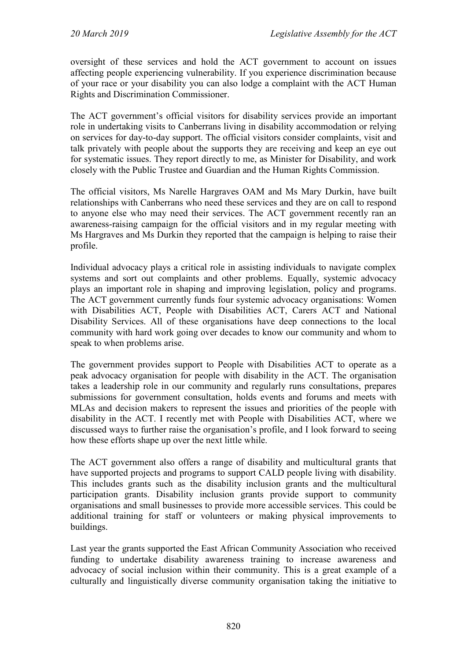oversight of these services and hold the ACT government to account on issues affecting people experiencing vulnerability. If you experience discrimination because of your race or your disability you can also lodge a complaint with the ACT Human Rights and Discrimination Commissioner.

The ACT government's official visitors for disability services provide an important role in undertaking visits to Canberrans living in disability accommodation or relying on services for day-to-day support. The official visitors consider complaints, visit and talk privately with people about the supports they are receiving and keep an eye out for systematic issues. They report directly to me, as Minister for Disability, and work closely with the Public Trustee and Guardian and the Human Rights Commission.

The official visitors, Ms Narelle Hargraves OAM and Ms Mary Durkin, have built relationships with Canberrans who need these services and they are on call to respond to anyone else who may need their services. The ACT government recently ran an awareness-raising campaign for the official visitors and in my regular meeting with Ms Hargraves and Ms Durkin they reported that the campaign is helping to raise their profile.

Individual advocacy plays a critical role in assisting individuals to navigate complex systems and sort out complaints and other problems. Equally, systemic advocacy plays an important role in shaping and improving legislation, policy and programs. The ACT government currently funds four systemic advocacy organisations: Women with Disabilities ACT, People with Disabilities ACT, Carers ACT and National Disability Services. All of these organisations have deep connections to the local community with hard work going over decades to know our community and whom to speak to when problems arise.

The government provides support to People with Disabilities ACT to operate as a peak advocacy organisation for people with disability in the ACT. The organisation takes a leadership role in our community and regularly runs consultations, prepares submissions for government consultation, holds events and forums and meets with MLAs and decision makers to represent the issues and priorities of the people with disability in the ACT. I recently met with People with Disabilities ACT, where we discussed ways to further raise the organisation's profile, and I look forward to seeing how these efforts shape up over the next little while.

The ACT government also offers a range of disability and multicultural grants that have supported projects and programs to support CALD people living with disability. This includes grants such as the disability inclusion grants and the multicultural participation grants. Disability inclusion grants provide support to community organisations and small businesses to provide more accessible services. This could be additional training for staff or volunteers or making physical improvements to buildings.

Last year the grants supported the East African Community Association who received funding to undertake disability awareness training to increase awareness and advocacy of social inclusion within their community. This is a great example of a culturally and linguistically diverse community organisation taking the initiative to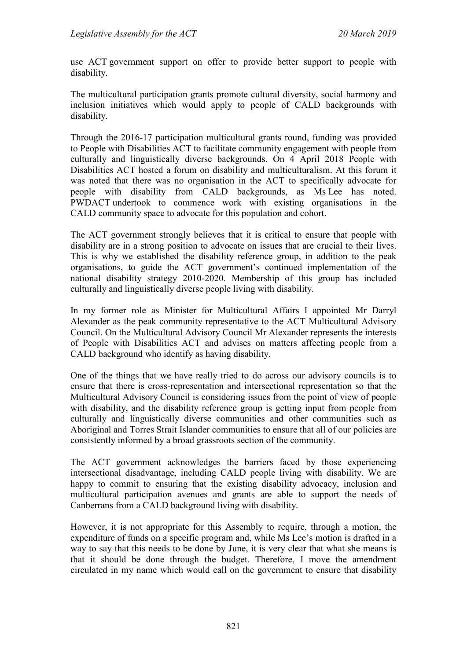use ACT government support on offer to provide better support to people with disability.

The multicultural participation grants promote cultural diversity, social harmony and inclusion initiatives which would apply to people of CALD backgrounds with disability.

Through the 2016-17 participation multicultural grants round, funding was provided to People with Disabilities ACT to facilitate community engagement with people from culturally and linguistically diverse backgrounds. On 4 April 2018 People with Disabilities ACT hosted a forum on disability and multiculturalism. At this forum it was noted that there was no organisation in the ACT to specifically advocate for people with disability from CALD backgrounds, as Ms Lee has noted. PWDACT undertook to commence work with existing organisations in the CALD community space to advocate for this population and cohort.

The ACT government strongly believes that it is critical to ensure that people with disability are in a strong position to advocate on issues that are crucial to their lives. This is why we established the disability reference group, in addition to the peak organisations, to guide the ACT government's continued implementation of the national disability strategy 2010-2020. Membership of this group has included culturally and linguistically diverse people living with disability.

In my former role as Minister for Multicultural Affairs I appointed Mr Darryl Alexander as the peak community representative to the ACT Multicultural Advisory Council. On the Multicultural Advisory Council Mr Alexander represents the interests of People with Disabilities ACT and advises on matters affecting people from a CALD background who identify as having disability.

One of the things that we have really tried to do across our advisory councils is to ensure that there is cross-representation and intersectional representation so that the Multicultural Advisory Council is considering issues from the point of view of people with disability, and the disability reference group is getting input from people from culturally and linguistically diverse communities and other communities such as Aboriginal and Torres Strait Islander communities to ensure that all of our policies are consistently informed by a broad grassroots section of the community.

The ACT government acknowledges the barriers faced by those experiencing intersectional disadvantage, including CALD people living with disability. We are happy to commit to ensuring that the existing disability advocacy, inclusion and multicultural participation avenues and grants are able to support the needs of Canberrans from a CALD background living with disability.

However, it is not appropriate for this Assembly to require, through a motion, the expenditure of funds on a specific program and, while Ms Lee's motion is drafted in a way to say that this needs to be done by June, it is very clear that what she means is that it should be done through the budget. Therefore, I move the amendment circulated in my name which would call on the government to ensure that disability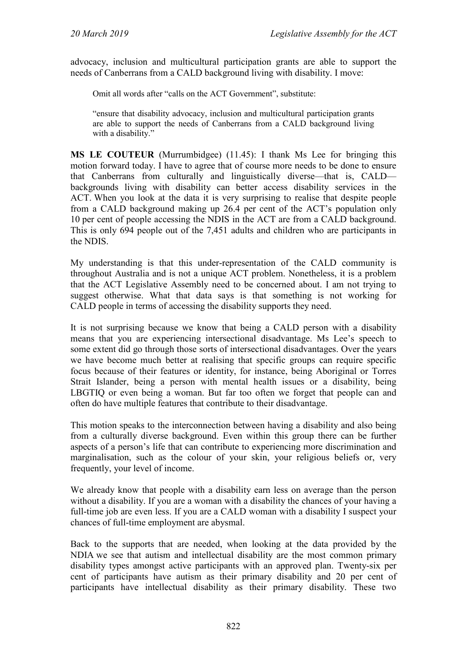advocacy, inclusion and multicultural participation grants are able to support the needs of Canberrans from a CALD background living with disability. I move:

Omit all words after "calls on the ACT Government", substitute:

"ensure that disability advocacy, inclusion and multicultural participation grants are able to support the needs of Canberrans from a CALD background living with a disability."

**MS LE COUTEUR** (Murrumbidgee) (11.45): I thank Ms Lee for bringing this motion forward today. I have to agree that of course more needs to be done to ensure that Canberrans from culturally and linguistically diverse—that is, CALD backgrounds living with disability can better access disability services in the ACT. When you look at the data it is very surprising to realise that despite people from a CALD background making up 26.4 per cent of the ACT's population only 10 per cent of people accessing the NDIS in the ACT are from a CALD background. This is only 694 people out of the 7,451 adults and children who are participants in the NDIS.

My understanding is that this under-representation of the CALD community is throughout Australia and is not a unique ACT problem. Nonetheless, it is a problem that the ACT Legislative Assembly need to be concerned about. I am not trying to suggest otherwise. What that data says is that something is not working for CALD people in terms of accessing the disability supports they need.

It is not surprising because we know that being a CALD person with a disability means that you are experiencing intersectional disadvantage. Ms Lee's speech to some extent did go through those sorts of intersectional disadvantages. Over the years we have become much better at realising that specific groups can require specific focus because of their features or identity, for instance, being Aboriginal or Torres Strait Islander, being a person with mental health issues or a disability, being LBGTIQ or even being a woman. But far too often we forget that people can and often do have multiple features that contribute to their disadvantage.

This motion speaks to the interconnection between having a disability and also being from a culturally diverse background. Even within this group there can be further aspects of a person's life that can contribute to experiencing more discrimination and marginalisation, such as the colour of your skin, your religious beliefs or, very frequently, your level of income.

We already know that people with a disability earn less on average than the person without a disability. If you are a woman with a disability the chances of your having a full-time job are even less. If you are a CALD woman with a disability I suspect your chances of full-time employment are abysmal.

Back to the supports that are needed, when looking at the data provided by the NDIA we see that autism and intellectual disability are the most common primary disability types amongst active participants with an approved plan. Twenty-six per cent of participants have autism as their primary disability and 20 per cent of participants have intellectual disability as their primary disability. These two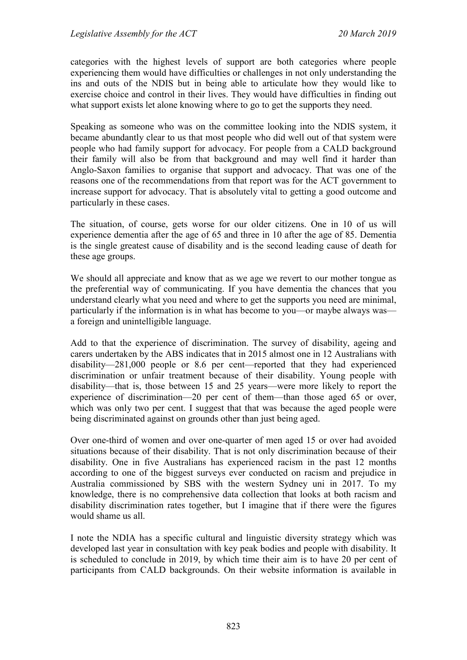categories with the highest levels of support are both categories where people experiencing them would have difficulties or challenges in not only understanding the ins and outs of the NDIS but in being able to articulate how they would like to exercise choice and control in their lives. They would have difficulties in finding out what support exists let alone knowing where to go to get the supports they need.

Speaking as someone who was on the committee looking into the NDIS system, it became abundantly clear to us that most people who did well out of that system were people who had family support for advocacy. For people from a CALD background their family will also be from that background and may well find it harder than Anglo-Saxon families to organise that support and advocacy. That was one of the reasons one of the recommendations from that report was for the ACT government to increase support for advocacy. That is absolutely vital to getting a good outcome and particularly in these cases.

The situation, of course, gets worse for our older citizens. One in 10 of us will experience dementia after the age of 65 and three in 10 after the age of 85. Dementia is the single greatest cause of disability and is the second leading cause of death for these age groups.

We should all appreciate and know that as we age we revert to our mother tongue as the preferential way of communicating. If you have dementia the chances that you understand clearly what you need and where to get the supports you need are minimal, particularly if the information is in what has become to you—or maybe always was a foreign and unintelligible language.

Add to that the experience of discrimination. The survey of disability, ageing and carers undertaken by the ABS indicates that in 2015 almost one in 12 Australians with disability—281,000 people or 8.6 per cent—reported that they had experienced discrimination or unfair treatment because of their disability. Young people with disability—that is, those between 15 and 25 years—were more likely to report the experience of discrimination—20 per cent of them—than those aged 65 or over, which was only two per cent. I suggest that that was because the aged people were being discriminated against on grounds other than just being aged.

Over one-third of women and over one-quarter of men aged 15 or over had avoided situations because of their disability. That is not only discrimination because of their disability. One in five Australians has experienced racism in the past 12 months according to one of the biggest surveys ever conducted on racism and prejudice in Australia commissioned by SBS with the western Sydney uni in 2017. To my knowledge, there is no comprehensive data collection that looks at both racism and disability discrimination rates together, but I imagine that if there were the figures would shame us all.

I note the NDIA has a specific cultural and linguistic diversity strategy which was developed last year in consultation with key peak bodies and people with disability. It is scheduled to conclude in 2019, by which time their aim is to have 20 per cent of participants from CALD backgrounds. On their website information is available in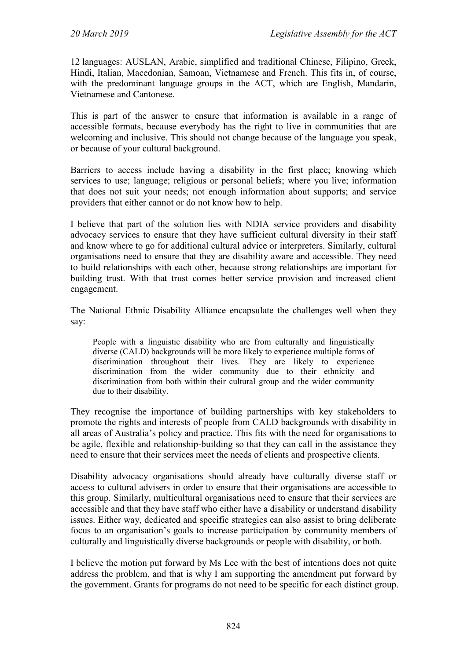12 languages: AUSLAN, Arabic, simplified and traditional Chinese, Filipino, Greek, Hindi, Italian, Macedonian, Samoan, Vietnamese and French. This fits in, of course, with the predominant language groups in the ACT, which are English, Mandarin, Vietnamese and Cantonese.

This is part of the answer to ensure that information is available in a range of accessible formats, because everybody has the right to live in communities that are welcoming and inclusive. This should not change because of the language you speak, or because of your cultural background.

Barriers to access include having a disability in the first place; knowing which services to use; language; religious or personal beliefs; where you live; information that does not suit your needs; not enough information about supports; and service providers that either cannot or do not know how to help.

I believe that part of the solution lies with NDIA service providers and disability advocacy services to ensure that they have sufficient cultural diversity in their staff and know where to go for additional cultural advice or interpreters. Similarly, cultural organisations need to ensure that they are disability aware and accessible. They need to build relationships with each other, because strong relationships are important for building trust. With that trust comes better service provision and increased client engagement.

The National Ethnic Disability Alliance encapsulate the challenges well when they say:

People with a linguistic disability who are from culturally and linguistically diverse (CALD) backgrounds will be more likely to experience multiple forms of discrimination throughout their lives. They are likely to experience discrimination from the wider community due to their ethnicity and discrimination from both within their cultural group and the wider community due to their disability.

They recognise the importance of building partnerships with key stakeholders to promote the rights and interests of people from CALD backgrounds with disability in all areas of Australia's policy and practice. This fits with the need for organisations to be agile, flexible and relationship-building so that they can call in the assistance they need to ensure that their services meet the needs of clients and prospective clients.

Disability advocacy organisations should already have culturally diverse staff or access to cultural advisers in order to ensure that their organisations are accessible to this group. Similarly, multicultural organisations need to ensure that their services are accessible and that they have staff who either have a disability or understand disability issues. Either way, dedicated and specific strategies can also assist to bring deliberate focus to an organisation's goals to increase participation by community members of culturally and linguistically diverse backgrounds or people with disability, or both.

I believe the motion put forward by Ms Lee with the best of intentions does not quite address the problem, and that is why I am supporting the amendment put forward by the government. Grants for programs do not need to be specific for each distinct group.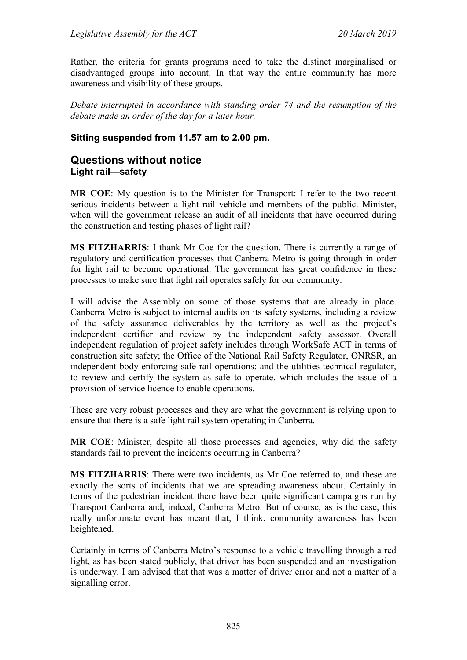Rather, the criteria for grants programs need to take the distinct marginalised or disadvantaged groups into account. In that way the entire community has more awareness and visibility of these groups.

*Debate interrupted in accordance with standing order 74 and the resumption of the debate made an order of the day for a later hour.*

## **Sitting suspended from 11.57 am to 2.00 pm.**

## **Questions without notice Light rail—safety**

**MR COE**: My question is to the Minister for Transport: I refer to the two recent serious incidents between a light rail vehicle and members of the public. Minister, when will the government release an audit of all incidents that have occurred during the construction and testing phases of light rail?

**MS FITZHARRIS**: I thank Mr Coe for the question. There is currently a range of regulatory and certification processes that Canberra Metro is going through in order for light rail to become operational. The government has great confidence in these processes to make sure that light rail operates safely for our community.

I will advise the Assembly on some of those systems that are already in place. Canberra Metro is subject to internal audits on its safety systems, including a review of the safety assurance deliverables by the territory as well as the project's independent certifier and review by the independent safety assessor. Overall independent regulation of project safety includes through WorkSafe ACT in terms of construction site safety; the Office of the National Rail Safety Regulator, ONRSR, an independent body enforcing safe rail operations; and the utilities technical regulator, to review and certify the system as safe to operate, which includes the issue of a provision of service licence to enable operations.

These are very robust processes and they are what the government is relying upon to ensure that there is a safe light rail system operating in Canberra.

**MR COE**: Minister, despite all those processes and agencies, why did the safety standards fail to prevent the incidents occurring in Canberra?

**MS FITZHARRIS**: There were two incidents, as Mr Coe referred to, and these are exactly the sorts of incidents that we are spreading awareness about. Certainly in terms of the pedestrian incident there have been quite significant campaigns run by Transport Canberra and, indeed, Canberra Metro. But of course, as is the case, this really unfortunate event has meant that, I think, community awareness has been heightened.

Certainly in terms of Canberra Metro's response to a vehicle travelling through a red light, as has been stated publicly, that driver has been suspended and an investigation is underway. I am advised that that was a matter of driver error and not a matter of a signalling error.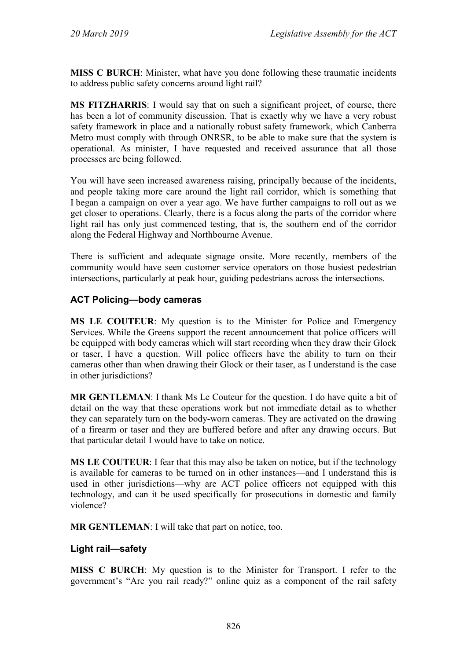**MISS C BURCH**: Minister, what have you done following these traumatic incidents to address public safety concerns around light rail?

**MS FITZHARRIS**: I would say that on such a significant project, of course, there has been a lot of community discussion. That is exactly why we have a very robust safety framework in place and a nationally robust safety framework, which Canberra Metro must comply with through ONRSR, to be able to make sure that the system is operational. As minister, I have requested and received assurance that all those processes are being followed.

You will have seen increased awareness raising, principally because of the incidents, and people taking more care around the light rail corridor, which is something that I began a campaign on over a year ago. We have further campaigns to roll out as we get closer to operations. Clearly, there is a focus along the parts of the corridor where light rail has only just commenced testing, that is, the southern end of the corridor along the Federal Highway and Northbourne Avenue.

There is sufficient and adequate signage onsite. More recently, members of the community would have seen customer service operators on those busiest pedestrian intersections, particularly at peak hour, guiding pedestrians across the intersections.

## **ACT Policing—body cameras**

**MS LE COUTEUR**: My question is to the Minister for Police and Emergency Services. While the Greens support the recent announcement that police officers will be equipped with body cameras which will start recording when they draw their Glock or taser, I have a question. Will police officers have the ability to turn on their cameras other than when drawing their Glock or their taser, as I understand is the case in other jurisdictions?

**MR GENTLEMAN**: I thank Ms Le Couteur for the question. I do have quite a bit of detail on the way that these operations work but not immediate detail as to whether they can separately turn on the body-worn cameras. They are activated on the drawing of a firearm or taser and they are buffered before and after any drawing occurs. But that particular detail I would have to take on notice.

**MS LE COUTEUR**: I fear that this may also be taken on notice, but if the technology is available for cameras to be turned on in other instances—and I understand this is used in other jurisdictions—why are ACT police officers not equipped with this technology, and can it be used specifically for prosecutions in domestic and family violence?

**MR GENTLEMAN**: I will take that part on notice, too.

#### **Light rail—safety**

**MISS C BURCH**: My question is to the Minister for Transport. I refer to the government's "Are you rail ready?" online quiz as a component of the rail safety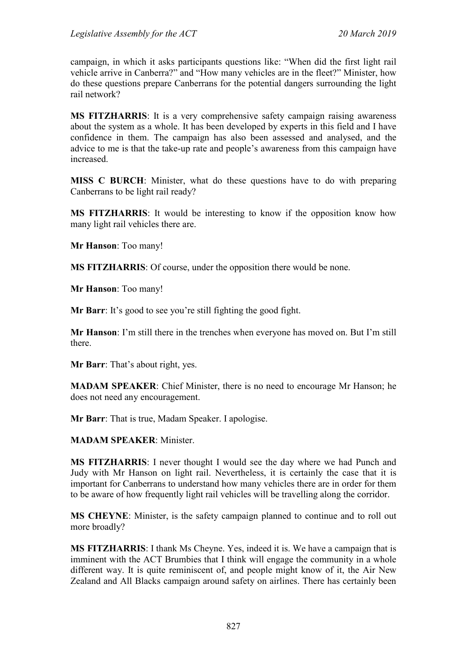campaign, in which it asks participants questions like: "When did the first light rail vehicle arrive in Canberra?" and "How many vehicles are in the fleet?" Minister, how do these questions prepare Canberrans for the potential dangers surrounding the light rail network?

**MS FITZHARRIS**: It is a very comprehensive safety campaign raising awareness about the system as a whole. It has been developed by experts in this field and I have confidence in them. The campaign has also been assessed and analysed, and the advice to me is that the take-up rate and people's awareness from this campaign have increased.

**MISS C BURCH**: Minister, what do these questions have to do with preparing Canberrans to be light rail ready?

**MS FITZHARRIS**: It would be interesting to know if the opposition know how many light rail vehicles there are.

**Mr Hanson**: Too many!

**MS FITZHARRIS**: Of course, under the opposition there would be none.

**Mr Hanson**: Too many!

**Mr Barr**: It's good to see you're still fighting the good fight.

**Mr Hanson**: I'm still there in the trenches when everyone has moved on. But I'm still there.

**Mr Barr**: That's about right, yes.

**MADAM SPEAKER**: Chief Minister, there is no need to encourage Mr Hanson; he does not need any encouragement.

**Mr Barr**: That is true, Madam Speaker. I apologise.

**MADAM SPEAKER**: Minister.

**MS FITZHARRIS**: I never thought I would see the day where we had Punch and Judy with Mr Hanson on light rail. Nevertheless, it is certainly the case that it is important for Canberrans to understand how many vehicles there are in order for them to be aware of how frequently light rail vehicles will be travelling along the corridor.

**MS CHEYNE**: Minister, is the safety campaign planned to continue and to roll out more broadly?

**MS FITZHARRIS**: I thank Ms Cheyne. Yes, indeed it is. We have a campaign that is imminent with the ACT Brumbies that I think will engage the community in a whole different way. It is quite reminiscent of, and people might know of it, the Air New Zealand and All Blacks campaign around safety on airlines. There has certainly been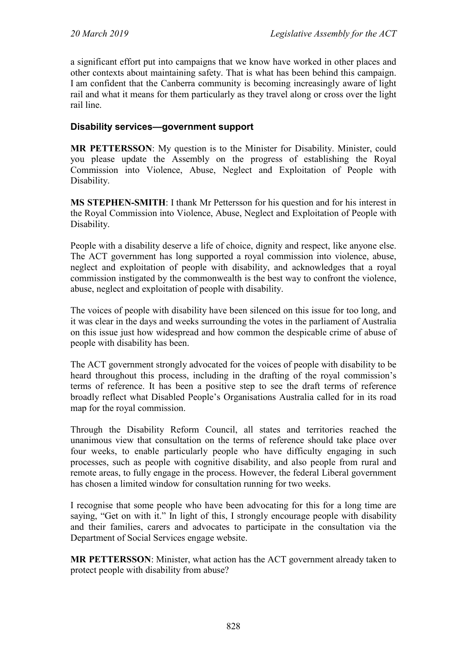a significant effort put into campaigns that we know have worked in other places and other contexts about maintaining safety. That is what has been behind this campaign. I am confident that the Canberra community is becoming increasingly aware of light rail and what it means for them particularly as they travel along or cross over the light rail line.

### **Disability services—government support**

**MR PETTERSSON**: My question is to the Minister for Disability. Minister, could you please update the Assembly on the progress of establishing the Royal Commission into Violence, Abuse, Neglect and Exploitation of People with Disability.

**MS STEPHEN-SMITH**: I thank Mr Pettersson for his question and for his interest in the Royal Commission into Violence, Abuse, Neglect and Exploitation of People with Disability.

People with a disability deserve a life of choice, dignity and respect, like anyone else. The ACT government has long supported a royal commission into violence, abuse, neglect and exploitation of people with disability, and acknowledges that a royal commission instigated by the commonwealth is the best way to confront the violence, abuse, neglect and exploitation of people with disability.

The voices of people with disability have been silenced on this issue for too long, and it was clear in the days and weeks surrounding the votes in the parliament of Australia on this issue just how widespread and how common the despicable crime of abuse of people with disability has been.

The ACT government strongly advocated for the voices of people with disability to be heard throughout this process, including in the drafting of the royal commission's terms of reference. It has been a positive step to see the draft terms of reference broadly reflect what Disabled People's Organisations Australia called for in its road map for the royal commission.

Through the Disability Reform Council, all states and territories reached the unanimous view that consultation on the terms of reference should take place over four weeks, to enable particularly people who have difficulty engaging in such processes, such as people with cognitive disability, and also people from rural and remote areas, to fully engage in the process. However, the federal Liberal government has chosen a limited window for consultation running for two weeks.

I recognise that some people who have been advocating for this for a long time are saying, "Get on with it." In light of this, I strongly encourage people with disability and their families, carers and advocates to participate in the consultation via the Department of Social Services engage website.

**MR PETTERSSON**: Minister, what action has the ACT government already taken to protect people with disability from abuse?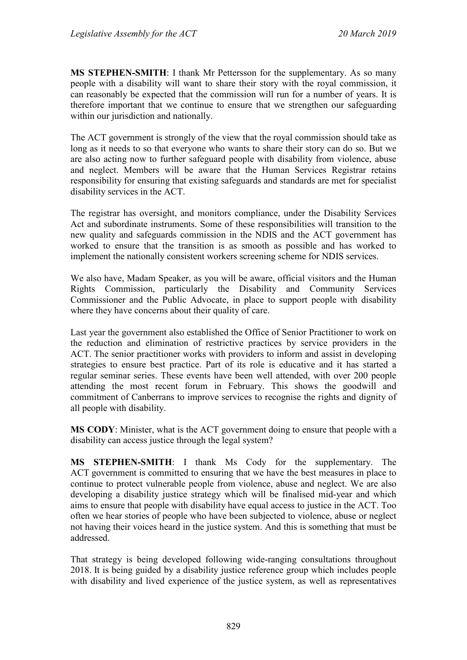**MS STEPHEN-SMITH**: I thank Mr Pettersson for the supplementary. As so many people with a disability will want to share their story with the royal commission, it can reasonably be expected that the commission will run for a number of years. It is therefore important that we continue to ensure that we strengthen our safeguarding within our jurisdiction and nationally.

The ACT government is strongly of the view that the royal commission should take as long as it needs to so that everyone who wants to share their story can do so. But we are also acting now to further safeguard people with disability from violence, abuse and neglect. Members will be aware that the Human Services Registrar retains responsibility for ensuring that existing safeguards and standards are met for specialist disability services in the ACT.

The registrar has oversight, and monitors compliance, under the Disability Services Act and subordinate instruments. Some of these responsibilities will transition to the new quality and safeguards commission in the NDIS and the ACT government has worked to ensure that the transition is as smooth as possible and has worked to implement the nationally consistent workers screening scheme for NDIS services.

We also have, Madam Speaker, as you will be aware, official visitors and the Human Rights Commission, particularly the Disability and Community Services Commissioner and the Public Advocate, in place to support people with disability where they have concerns about their quality of care.

Last year the government also established the Office of Senior Practitioner to work on the reduction and elimination of restrictive practices by service providers in the ACT. The senior practitioner works with providers to inform and assist in developing strategies to ensure best practice. Part of its role is educative and it has started a regular seminar series. These events have been well attended, with over 200 people attending the most recent forum in February. This shows the goodwill and commitment of Canberrans to improve services to recognise the rights and dignity of all people with disability.

**MS CODY**: Minister, what is the ACT government doing to ensure that people with a disability can access justice through the legal system?

**MS STEPHEN-SMITH**: I thank Ms Cody for the supplementary. The ACT government is committed to ensuring that we have the best measures in place to continue to protect vulnerable people from violence, abuse and neglect. We are also developing a disability justice strategy which will be finalised mid-year and which aims to ensure that people with disability have equal access to justice in the ACT. Too often we hear stories of people who have been subjected to violence, abuse or neglect not having their voices heard in the justice system. And this is something that must be addressed.

That strategy is being developed following wide-ranging consultations throughout 2018. It is being guided by a disability justice reference group which includes people with disability and lived experience of the justice system, as well as representatives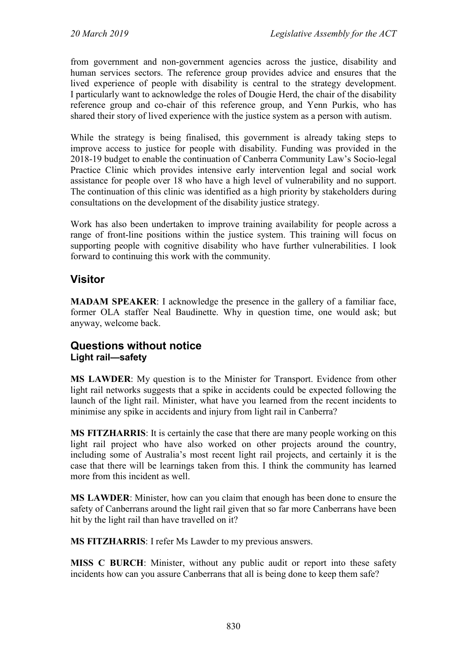from government and non-government agencies across the justice, disability and human services sectors. The reference group provides advice and ensures that the lived experience of people with disability is central to the strategy development. I particularly want to acknowledge the roles of Dougie Herd, the chair of the disability reference group and co-chair of this reference group, and Yenn Purkis, who has shared their story of lived experience with the justice system as a person with autism.

While the strategy is being finalised, this government is already taking steps to improve access to justice for people with disability. Funding was provided in the 2018-19 budget to enable the continuation of Canberra Community Law's Socio-legal Practice Clinic which provides intensive early intervention legal and social work assistance for people over 18 who have a high level of vulnerability and no support. The continuation of this clinic was identified as a high priority by stakeholders during consultations on the development of the disability justice strategy.

Work has also been undertaken to improve training availability for people across a range of front-line positions within the justice system. This training will focus on supporting people with cognitive disability who have further vulnerabilities. I look forward to continuing this work with the community.

# **Visitor**

**MADAM SPEAKER**: I acknowledge the presence in the gallery of a familiar face, former OLA staffer Neal Baudinette. Why in question time, one would ask; but anyway, welcome back.

## **Questions without notice Light rail—safety**

**MS LAWDER**: My question is to the Minister for Transport. Evidence from other light rail networks suggests that a spike in accidents could be expected following the launch of the light rail. Minister, what have you learned from the recent incidents to minimise any spike in accidents and injury from light rail in Canberra?

**MS FITZHARRIS**: It is certainly the case that there are many people working on this light rail project who have also worked on other projects around the country, including some of Australia's most recent light rail projects, and certainly it is the case that there will be learnings taken from this. I think the community has learned more from this incident as well.

**MS LAWDER**: Minister, how can you claim that enough has been done to ensure the safety of Canberrans around the light rail given that so far more Canberrans have been hit by the light rail than have travelled on it?

**MS FITZHARRIS**: I refer Ms Lawder to my previous answers.

**MISS C BURCH**: Minister, without any public audit or report into these safety incidents how can you assure Canberrans that all is being done to keep them safe?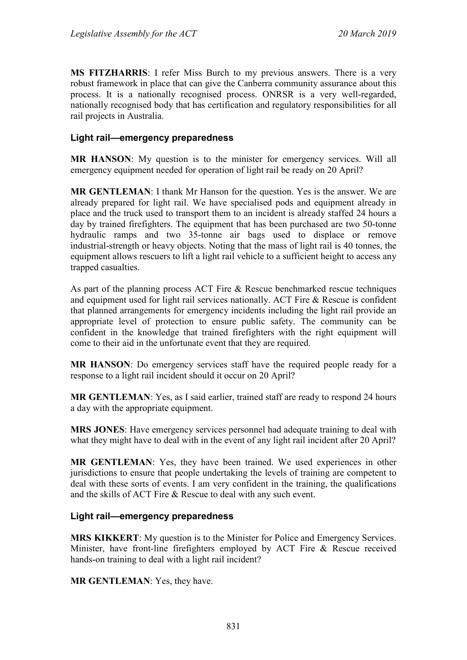**MS FITZHARRIS**: I refer Miss Burch to my previous answers. There is a very robust framework in place that can give the Canberra community assurance about this process. It is a nationally recognised process. ONRSR is a very well-regarded, nationally recognised body that has certification and regulatory responsibilities for all rail projects in Australia.

#### **Light rail—emergency preparedness**

**MR HANSON**: My question is to the minister for emergency services. Will all emergency equipment needed for operation of light rail be ready on 20 April?

**MR GENTLEMAN**: I thank Mr Hanson for the question. Yes is the answer. We are already prepared for light rail. We have specialised pods and equipment already in place and the truck used to transport them to an incident is already staffed 24 hours a day by trained firefighters. The equipment that has been purchased are two 50-tonne hydraulic ramps and two 35-tonne air bags used to displace or remove industrial-strength or heavy objects. Noting that the mass of light rail is 40 tonnes, the equipment allows rescuers to lift a light rail vehicle to a sufficient height to access any trapped casualties.

As part of the planning process ACT Fire & Rescue benchmarked rescue techniques and equipment used for light rail services nationally. ACT Fire & Rescue is confident that planned arrangements for emergency incidents including the light rail provide an appropriate level of protection to ensure public safety. The community can be confident in the knowledge that trained firefighters with the right equipment will come to their aid in the unfortunate event that they are required.

**MR HANSON**: Do emergency services staff have the required people ready for a response to a light rail incident should it occur on 20 April?

**MR GENTLEMAN**: Yes, as I said earlier, trained staff are ready to respond 24 hours a day with the appropriate equipment.

**MRS JONES**: Have emergency services personnel had adequate training to deal with what they might have to deal with in the event of any light rail incident after 20 April?

**MR GENTLEMAN**: Yes, they have been trained. We used experiences in other jurisdictions to ensure that people undertaking the levels of training are competent to deal with these sorts of events. I am very confident in the training, the qualifications and the skills of ACT Fire & Rescue to deal with any such event.

#### **Light rail—emergency preparedness**

**MRS KIKKERT**: My question is to the Minister for Police and Emergency Services. Minister, have front-line firefighters employed by ACT Fire & Rescue received hands-on training to deal with a light rail incident?

**MR GENTLEMAN**: Yes, they have.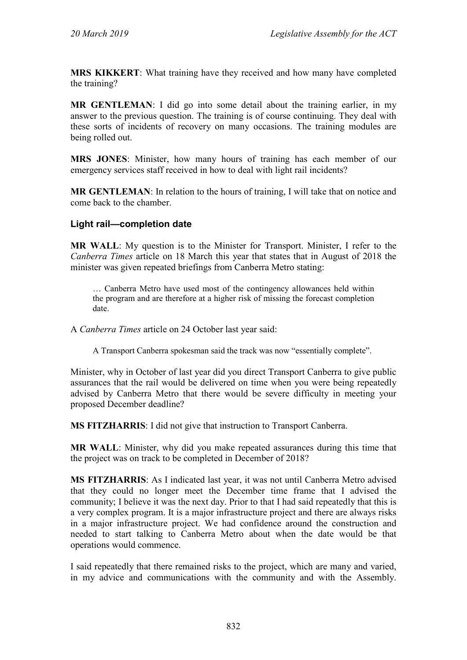**MRS KIKKERT**: What training have they received and how many have completed the training?

**MR GENTLEMAN**: I did go into some detail about the training earlier, in my answer to the previous question. The training is of course continuing. They deal with these sorts of incidents of recovery on many occasions. The training modules are being rolled out.

**MRS JONES**: Minister, how many hours of training has each member of our emergency services staff received in how to deal with light rail incidents?

**MR GENTLEMAN**: In relation to the hours of training, I will take that on notice and come back to the chamber.

### **Light rail—completion date**

**MR WALL**: My question is to the Minister for Transport. Minister, I refer to the *Canberra Times* article on 18 March this year that states that in August of 2018 the minister was given repeated briefings from Canberra Metro stating:

… Canberra Metro have used most of the contingency allowances held within the program and are therefore at a higher risk of missing the forecast completion date.

A *Canberra Times* article on 24 October last year said:

A Transport Canberra spokesman said the track was now "essentially complete".

Minister, why in October of last year did you direct Transport Canberra to give public assurances that the rail would be delivered on time when you were being repeatedly advised by Canberra Metro that there would be severe difficulty in meeting your proposed December deadline?

**MS FITZHARRIS**: I did not give that instruction to Transport Canberra.

**MR WALL**: Minister, why did you make repeated assurances during this time that the project was on track to be completed in December of 2018?

**MS FITZHARRIS**: As I indicated last year, it was not until Canberra Metro advised that they could no longer meet the December time frame that I advised the community; I believe it was the next day. Prior to that I had said repeatedly that this is a very complex program. It is a major infrastructure project and there are always risks in a major infrastructure project. We had confidence around the construction and needed to start talking to Canberra Metro about when the date would be that operations would commence.

I said repeatedly that there remained risks to the project, which are many and varied, in my advice and communications with the community and with the Assembly.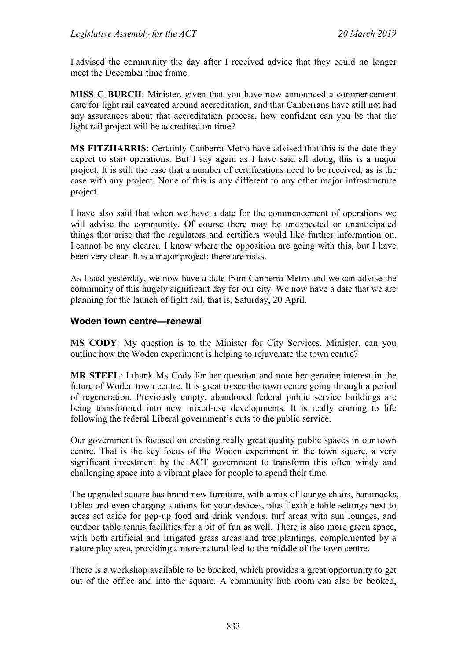I advised the community the day after I received advice that they could no longer meet the December time frame.

**MISS C BURCH**: Minister, given that you have now announced a commencement date for light rail caveated around accreditation, and that Canberrans have still not had any assurances about that accreditation process, how confident can you be that the light rail project will be accredited on time?

**MS FITZHARRIS**: Certainly Canberra Metro have advised that this is the date they expect to start operations. But I say again as I have said all along, this is a major project. It is still the case that a number of certifications need to be received, as is the case with any project. None of this is any different to any other major infrastructure project.

I have also said that when we have a date for the commencement of operations we will advise the community. Of course there may be unexpected or unanticipated things that arise that the regulators and certifiers would like further information on. I cannot be any clearer. I know where the opposition are going with this, but I have been very clear. It is a major project; there are risks.

As I said yesterday, we now have a date from Canberra Metro and we can advise the community of this hugely significant day for our city. We now have a date that we are planning for the launch of light rail, that is, Saturday, 20 April.

#### **Woden town centre—renewal**

**MS CODY**: My question is to the Minister for City Services. Minister, can you outline how the Woden experiment is helping to rejuvenate the town centre?

**MR STEEL**: I thank Ms Cody for her question and note her genuine interest in the future of Woden town centre. It is great to see the town centre going through a period of regeneration. Previously empty, abandoned federal public service buildings are being transformed into new mixed-use developments. It is really coming to life following the federal Liberal government's cuts to the public service.

Our government is focused on creating really great quality public spaces in our town centre. That is the key focus of the Woden experiment in the town square, a very significant investment by the ACT government to transform this often windy and challenging space into a vibrant place for people to spend their time.

The upgraded square has brand-new furniture, with a mix of lounge chairs, hammocks, tables and even charging stations for your devices, plus flexible table settings next to areas set aside for pop-up food and drink vendors, turf areas with sun lounges, and outdoor table tennis facilities for a bit of fun as well. There is also more green space, with both artificial and irrigated grass areas and tree plantings, complemented by a nature play area, providing a more natural feel to the middle of the town centre.

There is a workshop available to be booked, which provides a great opportunity to get out of the office and into the square. A community hub room can also be booked,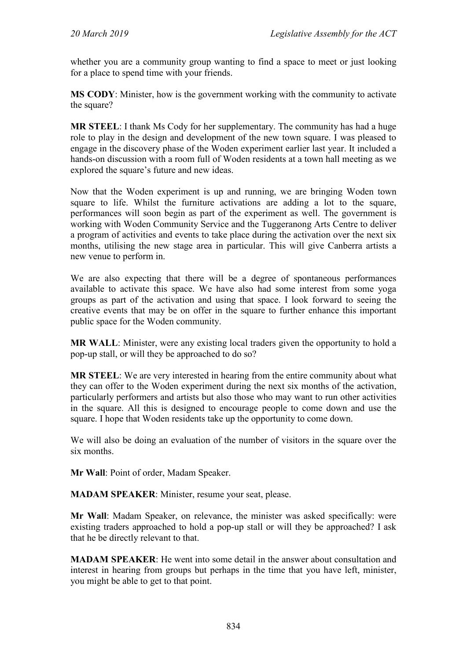whether you are a community group wanting to find a space to meet or just looking for a place to spend time with your friends.

**MS CODY**: Minister, how is the government working with the community to activate the square?

**MR STEEL**: I thank Ms Cody for her supplementary. The community has had a huge role to play in the design and development of the new town square. I was pleased to engage in the discovery phase of the Woden experiment earlier last year. It included a hands-on discussion with a room full of Woden residents at a town hall meeting as we explored the square's future and new ideas.

Now that the Woden experiment is up and running, we are bringing Woden town square to life. Whilst the furniture activations are adding a lot to the square, performances will soon begin as part of the experiment as well. The government is working with Woden Community Service and the Tuggeranong Arts Centre to deliver a program of activities and events to take place during the activation over the next six months, utilising the new stage area in particular. This will give Canberra artists a new venue to perform in.

We are also expecting that there will be a degree of spontaneous performances available to activate this space. We have also had some interest from some yoga groups as part of the activation and using that space. I look forward to seeing the creative events that may be on offer in the square to further enhance this important public space for the Woden community.

**MR WALL**: Minister, were any existing local traders given the opportunity to hold a pop-up stall, or will they be approached to do so?

**MR STEEL**: We are very interested in hearing from the entire community about what they can offer to the Woden experiment during the next six months of the activation, particularly performers and artists but also those who may want to run other activities in the square. All this is designed to encourage people to come down and use the square. I hope that Woden residents take up the opportunity to come down.

We will also be doing an evaluation of the number of visitors in the square over the six months.

**Mr Wall**: Point of order, Madam Speaker.

**MADAM SPEAKER**: Minister, resume your seat, please.

**Mr Wall**: Madam Speaker, on relevance, the minister was asked specifically: were existing traders approached to hold a pop-up stall or will they be approached? I ask that he be directly relevant to that.

**MADAM SPEAKER**: He went into some detail in the answer about consultation and interest in hearing from groups but perhaps in the time that you have left, minister, you might be able to get to that point.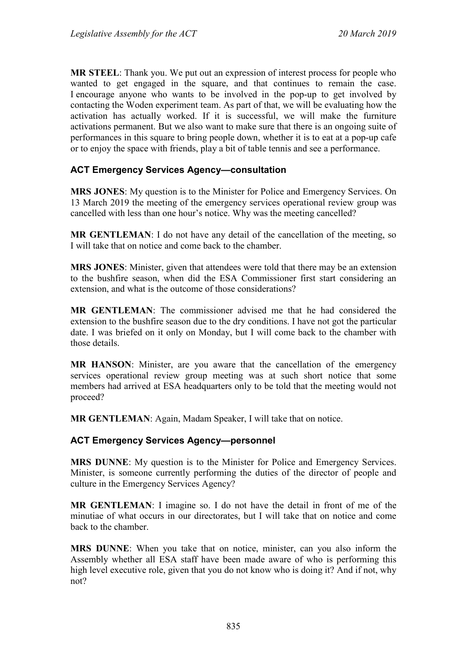**MR STEEL**: Thank you. We put out an expression of interest process for people who wanted to get engaged in the square, and that continues to remain the case. I encourage anyone who wants to be involved in the pop-up to get involved by contacting the Woden experiment team. As part of that, we will be evaluating how the activation has actually worked. If it is successful, we will make the furniture activations permanent. But we also want to make sure that there is an ongoing suite of performances in this square to bring people down, whether it is to eat at a pop-up cafe or to enjoy the space with friends, play a bit of table tennis and see a performance.

## **ACT Emergency Services Agency—consultation**

**MRS JONES**: My question is to the Minister for Police and Emergency Services. On 13 March 2019 the meeting of the emergency services operational review group was cancelled with less than one hour's notice. Why was the meeting cancelled?

**MR GENTLEMAN**: I do not have any detail of the cancellation of the meeting, so I will take that on notice and come back to the chamber.

**MRS JONES**: Minister, given that attendees were told that there may be an extension to the bushfire season, when did the ESA Commissioner first start considering an extension, and what is the outcome of those considerations?

**MR GENTLEMAN**: The commissioner advised me that he had considered the extension to the bushfire season due to the dry conditions. I have not got the particular date. I was briefed on it only on Monday, but I will come back to the chamber with those details.

**MR HANSON**: Minister, are you aware that the cancellation of the emergency services operational review group meeting was at such short notice that some members had arrived at ESA headquarters only to be told that the meeting would not proceed?

**MR GENTLEMAN**: Again, Madam Speaker, I will take that on notice.

#### **ACT Emergency Services Agency—personnel**

**MRS DUNNE**: My question is to the Minister for Police and Emergency Services. Minister, is someone currently performing the duties of the director of people and culture in the Emergency Services Agency?

**MR GENTLEMAN**: I imagine so. I do not have the detail in front of me of the minutiae of what occurs in our directorates, but I will take that on notice and come back to the chamber.

**MRS DUNNE**: When you take that on notice, minister, can you also inform the Assembly whether all ESA staff have been made aware of who is performing this high level executive role, given that you do not know who is doing it? And if not, why not?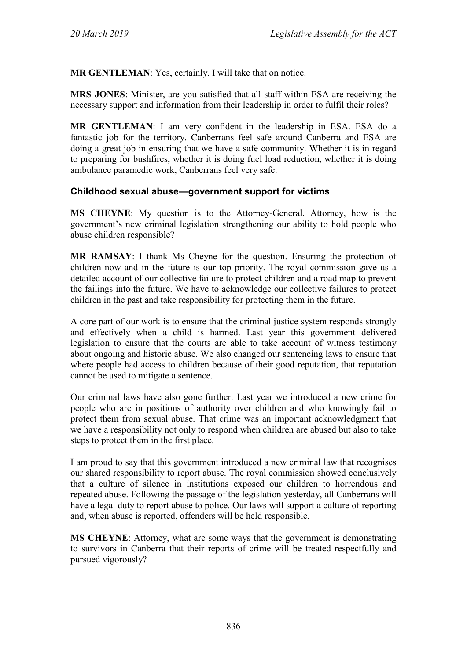**MR GENTLEMAN:** Yes, certainly. I will take that on notice.

**MRS JONES**: Minister, are you satisfied that all staff within ESA are receiving the necessary support and information from their leadership in order to fulfil their roles?

**MR GENTLEMAN**: I am very confident in the leadership in ESA. ESA do a fantastic job for the territory. Canberrans feel safe around Canberra and ESA are doing a great job in ensuring that we have a safe community. Whether it is in regard to preparing for bushfires, whether it is doing fuel load reduction, whether it is doing ambulance paramedic work, Canberrans feel very safe.

### **Childhood sexual abuse—government support for victims**

**MS CHEYNE**: My question is to the Attorney-General. Attorney, how is the government's new criminal legislation strengthening our ability to hold people who abuse children responsible?

**MR RAMSAY**: I thank Ms Cheyne for the question. Ensuring the protection of children now and in the future is our top priority. The royal commission gave us a detailed account of our collective failure to protect children and a road map to prevent the failings into the future. We have to acknowledge our collective failures to protect children in the past and take responsibility for protecting them in the future.

A core part of our work is to ensure that the criminal justice system responds strongly and effectively when a child is harmed. Last year this government delivered legislation to ensure that the courts are able to take account of witness testimony about ongoing and historic abuse. We also changed our sentencing laws to ensure that where people had access to children because of their good reputation, that reputation cannot be used to mitigate a sentence.

Our criminal laws have also gone further. Last year we introduced a new crime for people who are in positions of authority over children and who knowingly fail to protect them from sexual abuse. That crime was an important acknowledgment that we have a responsibility not only to respond when children are abused but also to take steps to protect them in the first place.

I am proud to say that this government introduced a new criminal law that recognises our shared responsibility to report abuse. The royal commission showed conclusively that a culture of silence in institutions exposed our children to horrendous and repeated abuse. Following the passage of the legislation yesterday, all Canberrans will have a legal duty to report abuse to police. Our laws will support a culture of reporting and, when abuse is reported, offenders will be held responsible.

**MS CHEYNE**: Attorney, what are some ways that the government is demonstrating to survivors in Canberra that their reports of crime will be treated respectfully and pursued vigorously?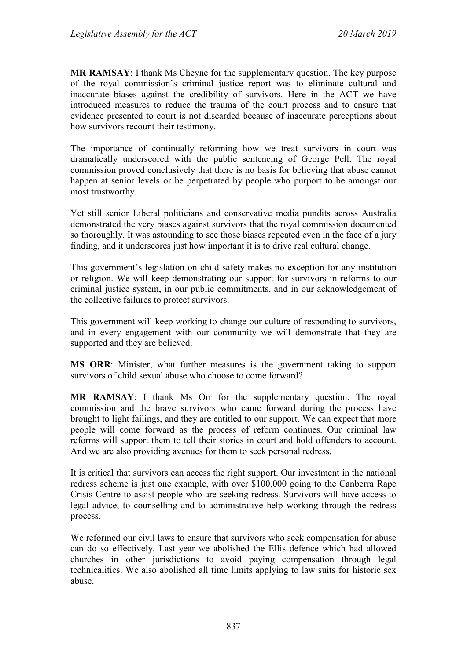**MR RAMSAY**: I thank Ms Cheyne for the supplementary question. The key purpose of the royal commission's criminal justice report was to eliminate cultural and inaccurate biases against the credibility of survivors. Here in the ACT we have introduced measures to reduce the trauma of the court process and to ensure that evidence presented to court is not discarded because of inaccurate perceptions about how survivors recount their testimony.

The importance of continually reforming how we treat survivors in court was dramatically underscored with the public sentencing of George Pell. The royal commission proved conclusively that there is no basis for believing that abuse cannot happen at senior levels or be perpetrated by people who purport to be amongst our most trustworthy.

Yet still senior Liberal politicians and conservative media pundits across Australia demonstrated the very biases against survivors that the royal commission documented so thoroughly. It was astounding to see those biases repeated even in the face of a jury finding, and it underscores just how important it is to drive real cultural change.

This government's legislation on child safety makes no exception for any institution or religion. We will keep demonstrating our support for survivors in reforms to our criminal justice system, in our public commitments, and in our acknowledgement of the collective failures to protect survivors.

This government will keep working to change our culture of responding to survivors, and in every engagement with our community we will demonstrate that they are supported and they are believed.

**MS ORR**: Minister, what further measures is the government taking to support survivors of child sexual abuse who choose to come forward?

**MR RAMSAY**: I thank Ms Orr for the supplementary question. The royal commission and the brave survivors who came forward during the process have brought to light failings, and they are entitled to our support. We can expect that more people will come forward as the process of reform continues. Our criminal law reforms will support them to tell their stories in court and hold offenders to account. And we are also providing avenues for them to seek personal redress.

It is critical that survivors can access the right support. Our investment in the national redress scheme is just one example, with over \$100,000 going to the Canberra Rape Crisis Centre to assist people who are seeking redress. Survivors will have access to legal advice, to counselling and to administrative help working through the redress process.

We reformed our civil laws to ensure that survivors who seek compensation for abuse can do so effectively. Last year we abolished the Ellis defence which had allowed churches in other jurisdictions to avoid paying compensation through legal technicalities. We also abolished all time limits applying to law suits for historic sex abuse.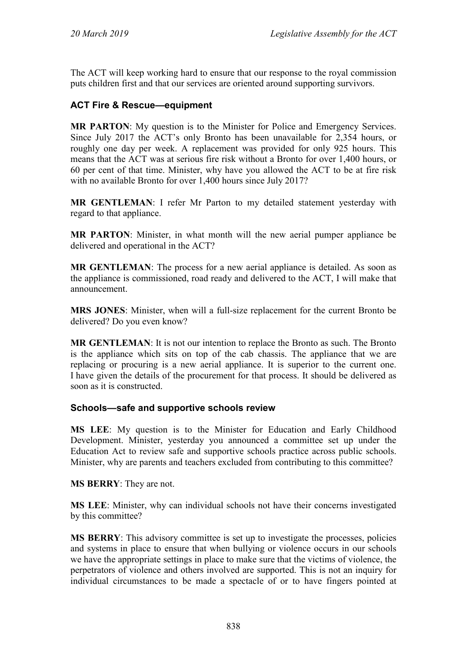The ACT will keep working hard to ensure that our response to the royal commission puts children first and that our services are oriented around supporting survivors.

## **ACT Fire & Rescue—equipment**

**MR PARTON:** My question is to the Minister for Police and Emergency Services. Since July 2017 the ACT's only Bronto has been unavailable for 2,354 hours, or roughly one day per week. A replacement was provided for only 925 hours. This means that the ACT was at serious fire risk without a Bronto for over 1,400 hours, or 60 per cent of that time. Minister, why have you allowed the ACT to be at fire risk with no available Bronto for over 1,400 hours since July 2017?

**MR GENTLEMAN**: I refer Mr Parton to my detailed statement yesterday with regard to that appliance.

**MR PARTON**: Minister, in what month will the new aerial pumper appliance be delivered and operational in the ACT?

**MR GENTLEMAN**: The process for a new aerial appliance is detailed. As soon as the appliance is commissioned, road ready and delivered to the ACT, I will make that announcement.

**MRS JONES**: Minister, when will a full-size replacement for the current Bronto be delivered? Do you even know?

**MR GENTLEMAN**: It is not our intention to replace the Bronto as such. The Bronto is the appliance which sits on top of the cab chassis. The appliance that we are replacing or procuring is a new aerial appliance. It is superior to the current one. I have given the details of the procurement for that process. It should be delivered as soon as it is constructed.

#### **Schools—safe and supportive schools review**

**MS LEE**: My question is to the Minister for Education and Early Childhood Development. Minister, yesterday you announced a committee set up under the Education Act to review safe and supportive schools practice across public schools. Minister, why are parents and teachers excluded from contributing to this committee?

**MS BERRY**: They are not.

**MS LEE**: Minister, why can individual schools not have their concerns investigated by this committee?

**MS BERRY**: This advisory committee is set up to investigate the processes, policies and systems in place to ensure that when bullying or violence occurs in our schools we have the appropriate settings in place to make sure that the victims of violence, the perpetrators of violence and others involved are supported. This is not an inquiry for individual circumstances to be made a spectacle of or to have fingers pointed at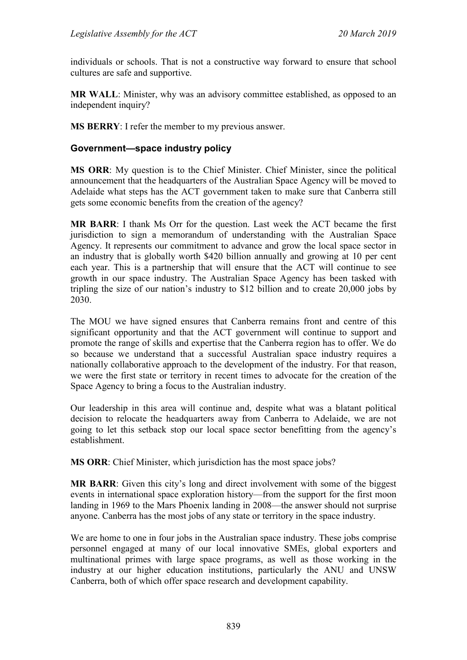individuals or schools. That is not a constructive way forward to ensure that school cultures are safe and supportive.

**MR WALL**: Minister, why was an advisory committee established, as opposed to an independent inquiry?

**MS BERRY**: I refer the member to my previous answer.

#### **Government—space industry policy**

**MS ORR**: My question is to the Chief Minister. Chief Minister, since the political announcement that the headquarters of the Australian Space Agency will be moved to Adelaide what steps has the ACT government taken to make sure that Canberra still gets some economic benefits from the creation of the agency?

**MR BARR**: I thank Ms Orr for the question. Last week the ACT became the first jurisdiction to sign a memorandum of understanding with the Australian Space Agency. It represents our commitment to advance and grow the local space sector in an industry that is globally worth \$420 billion annually and growing at 10 per cent each year. This is a partnership that will ensure that the ACT will continue to see growth in our space industry. The Australian Space Agency has been tasked with tripling the size of our nation's industry to \$12 billion and to create 20,000 jobs by 2030.

The MOU we have signed ensures that Canberra remains front and centre of this significant opportunity and that the ACT government will continue to support and promote the range of skills and expertise that the Canberra region has to offer. We do so because we understand that a successful Australian space industry requires a nationally collaborative approach to the development of the industry. For that reason, we were the first state or territory in recent times to advocate for the creation of the Space Agency to bring a focus to the Australian industry.

Our leadership in this area will continue and, despite what was a blatant political decision to relocate the headquarters away from Canberra to Adelaide, we are not going to let this setback stop our local space sector benefitting from the agency's establishment.

**MS ORR**: Chief Minister, which jurisdiction has the most space jobs?

**MR BARR**: Given this city's long and direct involvement with some of the biggest events in international space exploration history—from the support for the first moon landing in 1969 to the Mars Phoenix landing in 2008—the answer should not surprise anyone. Canberra has the most jobs of any state or territory in the space industry.

We are home to one in four jobs in the Australian space industry. These jobs comprise personnel engaged at many of our local innovative SMEs, global exporters and multinational primes with large space programs, as well as those working in the industry at our higher education institutions, particularly the ANU and UNSW Canberra, both of which offer space research and development capability.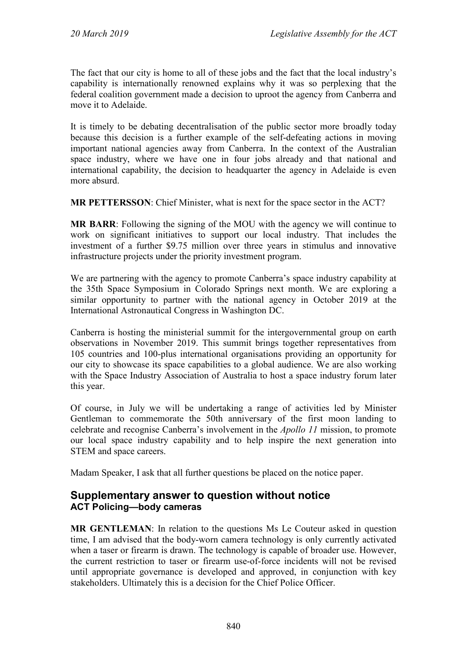The fact that our city is home to all of these jobs and the fact that the local industry's capability is internationally renowned explains why it was so perplexing that the federal coalition government made a decision to uproot the agency from Canberra and move it to Adelaide.

It is timely to be debating decentralisation of the public sector more broadly today because this decision is a further example of the self-defeating actions in moving important national agencies away from Canberra. In the context of the Australian space industry, where we have one in four jobs already and that national and international capability, the decision to headquarter the agency in Adelaide is even more absurd.

**MR PETTERSSON**: Chief Minister, what is next for the space sector in the ACT?

**MR BARR**: Following the signing of the MOU with the agency we will continue to work on significant initiatives to support our local industry. That includes the investment of a further \$9.75 million over three years in stimulus and innovative infrastructure projects under the priority investment program.

We are partnering with the agency to promote Canberra's space industry capability at the 35th Space Symposium in Colorado Springs next month. We are exploring a similar opportunity to partner with the national agency in October 2019 at the International Astronautical Congress in Washington DC.

Canberra is hosting the ministerial summit for the intergovernmental group on earth observations in November 2019. This summit brings together representatives from 105 countries and 100-plus international organisations providing an opportunity for our city to showcase its space capabilities to a global audience. We are also working with the Space Industry Association of Australia to host a space industry forum later this year.

Of course, in July we will be undertaking a range of activities led by Minister Gentleman to commemorate the 50th anniversary of the first moon landing to celebrate and recognise Canberra's involvement in the *Apollo 11* mission, to promote our local space industry capability and to help inspire the next generation into STEM and space careers.

Madam Speaker, I ask that all further questions be placed on the notice paper.

## **Supplementary answer to question without notice ACT Policing—body cameras**

**MR GENTLEMAN**: In relation to the questions Ms Le Couteur asked in question time, I am advised that the body-worn camera technology is only currently activated when a taser or firearm is drawn. The technology is capable of broader use. However, the current restriction to taser or firearm use-of-force incidents will not be revised until appropriate governance is developed and approved, in conjunction with key stakeholders. Ultimately this is a decision for the Chief Police Officer.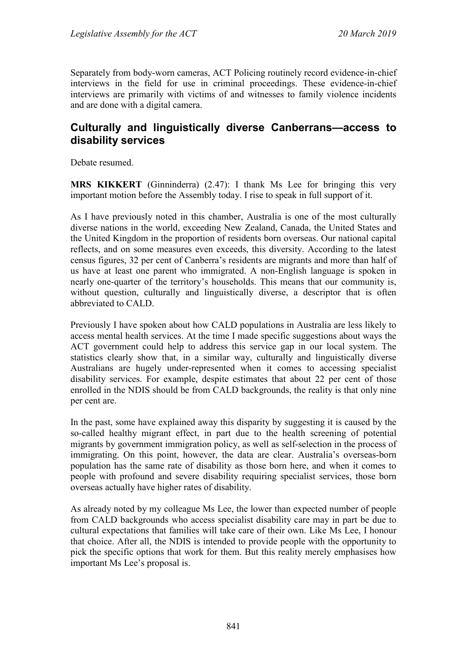Separately from body-worn cameras, ACT Policing routinely record evidence-in-chief interviews in the field for use in criminal proceedings. These evidence-in-chief interviews are primarily with victims of and witnesses to family violence incidents and are done with a digital camera.

# **Culturally and linguistically diverse Canberrans—access to disability services**

Debate resumed.

**MRS KIKKERT** (Ginninderra) (2.47): I thank Ms Lee for bringing this very important motion before the Assembly today. I rise to speak in full support of it.

As I have previously noted in this chamber, Australia is one of the most culturally diverse nations in the world, exceeding New Zealand, Canada, the United States and the United Kingdom in the proportion of residents born overseas. Our national capital reflects, and on some measures even exceeds, this diversity. According to the latest census figures, 32 per cent of Canberra's residents are migrants and more than half of us have at least one parent who immigrated. A non-English language is spoken in nearly one-quarter of the territory's households. This means that our community is, without question, culturally and linguistically diverse, a descriptor that is often abbreviated to CALD.

Previously I have spoken about how CALD populations in Australia are less likely to access mental health services. At the time I made specific suggestions about ways the ACT government could help to address this service gap in our local system. The statistics clearly show that, in a similar way, culturally and linguistically diverse Australians are hugely under-represented when it comes to accessing specialist disability services. For example, despite estimates that about 22 per cent of those enrolled in the NDIS should be from CALD backgrounds, the reality is that only nine per cent are.

In the past, some have explained away this disparity by suggesting it is caused by the so-called healthy migrant effect, in part due to the health screening of potential migrants by government immigration policy, as well as self-selection in the process of immigrating. On this point, however, the data are clear. Australia's overseas-born population has the same rate of disability as those born here, and when it comes to people with profound and severe disability requiring specialist services, those born overseas actually have higher rates of disability.

As already noted by my colleague Ms Lee, the lower than expected number of people from CALD backgrounds who access specialist disability care may in part be due to cultural expectations that families will take care of their own. Like Ms Lee, I honour that choice. After all, the NDIS is intended to provide people with the opportunity to pick the specific options that work for them. But this reality merely emphasises how important Ms Lee's proposal is.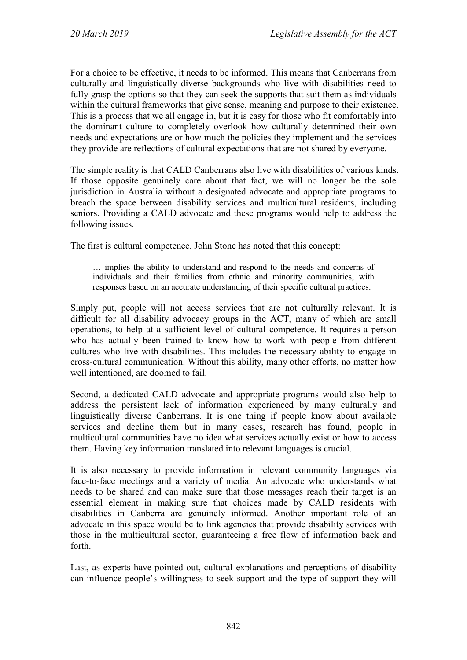For a choice to be effective, it needs to be informed. This means that Canberrans from culturally and linguistically diverse backgrounds who live with disabilities need to fully grasp the options so that they can seek the supports that suit them as individuals within the cultural frameworks that give sense, meaning and purpose to their existence. This is a process that we all engage in, but it is easy for those who fit comfortably into the dominant culture to completely overlook how culturally determined their own needs and expectations are or how much the policies they implement and the services they provide are reflections of cultural expectations that are not shared by everyone.

The simple reality is that CALD Canberrans also live with disabilities of various kinds. If those opposite genuinely care about that fact, we will no longer be the sole jurisdiction in Australia without a designated advocate and appropriate programs to breach the space between disability services and multicultural residents, including seniors. Providing a CALD advocate and these programs would help to address the following issues.

The first is cultural competence. John Stone has noted that this concept:

… implies the ability to understand and respond to the needs and concerns of individuals and their families from ethnic and minority communities, with responses based on an accurate understanding of their specific cultural practices.

Simply put, people will not access services that are not culturally relevant. It is difficult for all disability advocacy groups in the ACT, many of which are small operations, to help at a sufficient level of cultural competence. It requires a person who has actually been trained to know how to work with people from different cultures who live with disabilities. This includes the necessary ability to engage in cross-cultural communication. Without this ability, many other efforts, no matter how well intentioned, are doomed to fail.

Second, a dedicated CALD advocate and appropriate programs would also help to address the persistent lack of information experienced by many culturally and linguistically diverse Canberrans. It is one thing if people know about available services and decline them but in many cases, research has found, people in multicultural communities have no idea what services actually exist or how to access them. Having key information translated into relevant languages is crucial.

It is also necessary to provide information in relevant community languages via face-to-face meetings and a variety of media. An advocate who understands what needs to be shared and can make sure that those messages reach their target is an essential element in making sure that choices made by CALD residents with disabilities in Canberra are genuinely informed. Another important role of an advocate in this space would be to link agencies that provide disability services with those in the multicultural sector, guaranteeing a free flow of information back and forth.

Last, as experts have pointed out, cultural explanations and perceptions of disability can influence people's willingness to seek support and the type of support they will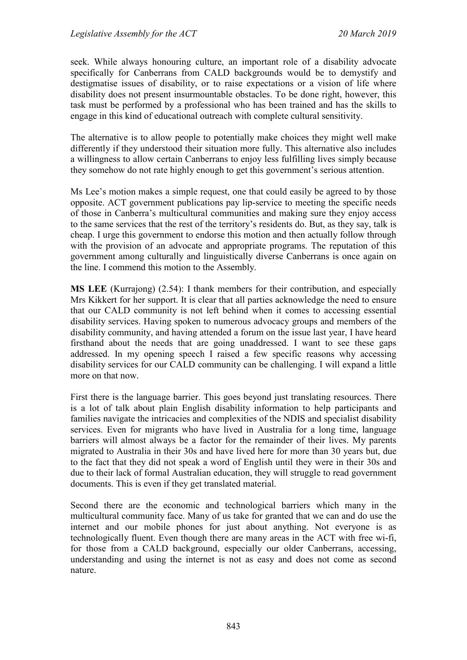seek. While always honouring culture, an important role of a disability advocate specifically for Canberrans from CALD backgrounds would be to demystify and destigmatise issues of disability, or to raise expectations or a vision of life where disability does not present insurmountable obstacles. To be done right, however, this task must be performed by a professional who has been trained and has the skills to engage in this kind of educational outreach with complete cultural sensitivity.

The alternative is to allow people to potentially make choices they might well make differently if they understood their situation more fully. This alternative also includes a willingness to allow certain Canberrans to enjoy less fulfilling lives simply because they somehow do not rate highly enough to get this government's serious attention.

Ms Lee's motion makes a simple request, one that could easily be agreed to by those opposite. ACT government publications pay lip-service to meeting the specific needs of those in Canberra's multicultural communities and making sure they enjoy access to the same services that the rest of the territory's residents do. But, as they say, talk is cheap. I urge this government to endorse this motion and then actually follow through with the provision of an advocate and appropriate programs. The reputation of this government among culturally and linguistically diverse Canberrans is once again on the line. I commend this motion to the Assembly.

**MS LEE** (Kurrajong) (2.54): I thank members for their contribution, and especially Mrs Kikkert for her support. It is clear that all parties acknowledge the need to ensure that our CALD community is not left behind when it comes to accessing essential disability services. Having spoken to numerous advocacy groups and members of the disability community, and having attended a forum on the issue last year, I have heard firsthand about the needs that are going unaddressed. I want to see these gaps addressed. In my opening speech I raised a few specific reasons why accessing disability services for our CALD community can be challenging. I will expand a little more on that now.

First there is the language barrier. This goes beyond just translating resources. There is a lot of talk about plain English disability information to help participants and families navigate the intricacies and complexities of the NDIS and specialist disability services. Even for migrants who have lived in Australia for a long time, language barriers will almost always be a factor for the remainder of their lives. My parents migrated to Australia in their 30s and have lived here for more than 30 years but, due to the fact that they did not speak a word of English until they were in their 30s and due to their lack of formal Australian education, they will struggle to read government documents. This is even if they get translated material.

Second there are the economic and technological barriers which many in the multicultural community face. Many of us take for granted that we can and do use the internet and our mobile phones for just about anything. Not everyone is as technologically fluent. Even though there are many areas in the ACT with free wi-fi, for those from a CALD background, especially our older Canberrans, accessing, understanding and using the internet is not as easy and does not come as second nature.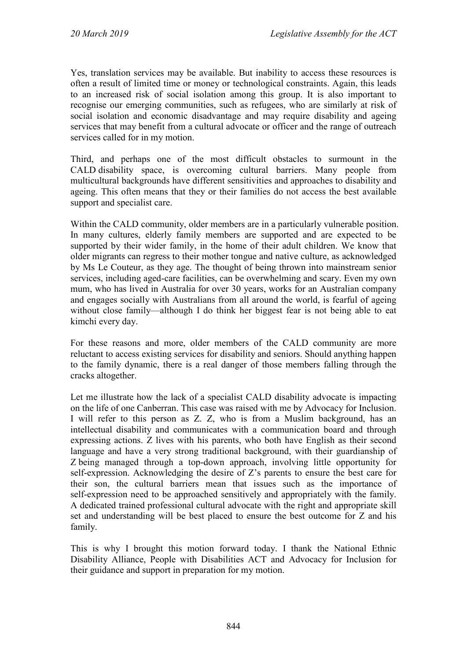Yes, translation services may be available. But inability to access these resources is often a result of limited time or money or technological constraints. Again, this leads to an increased risk of social isolation among this group. It is also important to recognise our emerging communities, such as refugees, who are similarly at risk of social isolation and economic disadvantage and may require disability and ageing services that may benefit from a cultural advocate or officer and the range of outreach services called for in my motion.

Third, and perhaps one of the most difficult obstacles to surmount in the CALD disability space, is overcoming cultural barriers. Many people from multicultural backgrounds have different sensitivities and approaches to disability and ageing. This often means that they or their families do not access the best available support and specialist care.

Within the CALD community, older members are in a particularly vulnerable position. In many cultures, elderly family members are supported and are expected to be supported by their wider family, in the home of their adult children. We know that older migrants can regress to their mother tongue and native culture, as acknowledged by Ms Le Couteur, as they age. The thought of being thrown into mainstream senior services, including aged-care facilities, can be overwhelming and scary. Even my own mum, who has lived in Australia for over 30 years, works for an Australian company and engages socially with Australians from all around the world, is fearful of ageing without close family—although I do think her biggest fear is not being able to eat kimchi every day.

For these reasons and more, older members of the CALD community are more reluctant to access existing services for disability and seniors. Should anything happen to the family dynamic, there is a real danger of those members falling through the cracks altogether.

Let me illustrate how the lack of a specialist CALD disability advocate is impacting on the life of one Canberran. This case was raised with me by Advocacy for Inclusion. I will refer to this person as Z. Z, who is from a Muslim background, has an intellectual disability and communicates with a communication board and through expressing actions. Z lives with his parents, who both have English as their second language and have a very strong traditional background, with their guardianship of Z being managed through a top-down approach, involving little opportunity for self-expression. Acknowledging the desire of Z's parents to ensure the best care for their son, the cultural barriers mean that issues such as the importance of self-expression need to be approached sensitively and appropriately with the family. A dedicated trained professional cultural advocate with the right and appropriate skill set and understanding will be best placed to ensure the best outcome for Z and his family.

This is why I brought this motion forward today. I thank the National Ethnic Disability Alliance, People with Disabilities ACT and Advocacy for Inclusion for their guidance and support in preparation for my motion.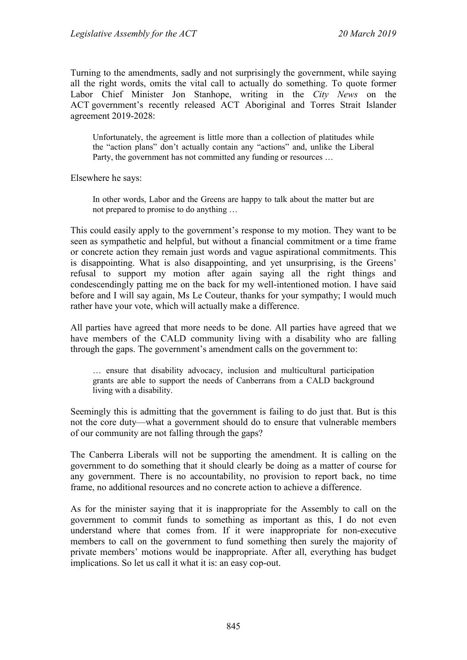Turning to the amendments, sadly and not surprisingly the government, while saying all the right words, omits the vital call to actually do something. To quote former Labor Chief Minister Jon Stanhope, writing in the *City News* on the ACT government's recently released ACT Aboriginal and Torres Strait Islander agreement 2019-2028:

Unfortunately, the agreement is little more than a collection of platitudes while the "action plans" don't actually contain any "actions" and, unlike the Liberal Party, the government has not committed any funding or resources …

Elsewhere he says:

In other words, Labor and the Greens are happy to talk about the matter but are not prepared to promise to do anything …

This could easily apply to the government's response to my motion. They want to be seen as sympathetic and helpful, but without a financial commitment or a time frame or concrete action they remain just words and vague aspirational commitments. This is disappointing. What is also disappointing, and yet unsurprising, is the Greens' refusal to support my motion after again saying all the right things and condescendingly patting me on the back for my well-intentioned motion. I have said before and I will say again, Ms Le Couteur, thanks for your sympathy; I would much rather have your vote, which will actually make a difference.

All parties have agreed that more needs to be done. All parties have agreed that we have members of the CALD community living with a disability who are falling through the gaps. The government's amendment calls on the government to:

… ensure that disability advocacy, inclusion and multicultural participation grants are able to support the needs of Canberrans from a CALD background living with a disability.

Seemingly this is admitting that the government is failing to do just that. But is this not the core duty—what a government should do to ensure that vulnerable members of our community are not falling through the gaps?

The Canberra Liberals will not be supporting the amendment. It is calling on the government to do something that it should clearly be doing as a matter of course for any government. There is no accountability, no provision to report back, no time frame, no additional resources and no concrete action to achieve a difference.

As for the minister saying that it is inappropriate for the Assembly to call on the government to commit funds to something as important as this, I do not even understand where that comes from. If it were inappropriate for non-executive members to call on the government to fund something then surely the majority of private members' motions would be inappropriate. After all, everything has budget implications. So let us call it what it is: an easy cop-out.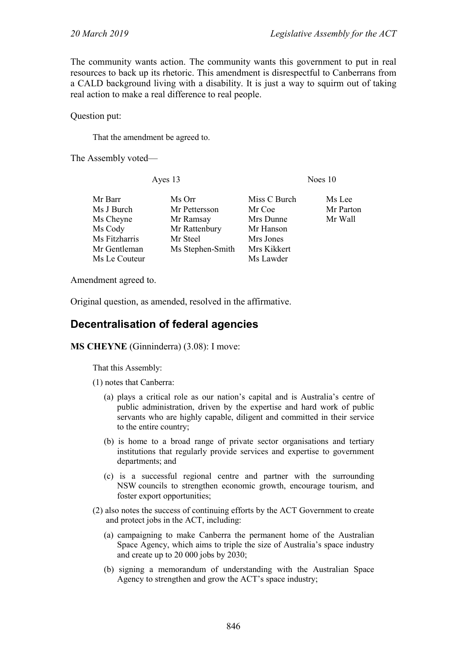The community wants action. The community wants this government to put in real resources to back up its rhetoric. This amendment is disrespectful to Canberrans from a CALD background living with a disability. It is just a way to squirm out of taking real action to make a real difference to real people.

Question put:

That the amendment be agreed to.

The Assembly voted—

Ayes 13 Noes 10

| Mr Barr<br>Ms J Burch<br>Ms Cheyne<br>Ms Cody<br>Ms Fitzharris<br>Mr Gentleman | Ms Orr<br>Mr Pettersson<br>Mr Ramsay<br>Mr Rattenbury<br>Mr Steel | Miss C Burch<br>Mr Coe<br>Mrs Dunne<br>Mr Hanson<br>Mrs Jones<br>Mrs Kikkert | Ms Lee<br>Mr Parton<br>Mr Wall |
|--------------------------------------------------------------------------------|-------------------------------------------------------------------|------------------------------------------------------------------------------|--------------------------------|
| Ms Le Couteur                                                                  | Ms Stephen-Smith                                                  | Ms Lawder                                                                    |                                |

Amendment agreed to.

Original question, as amended, resolved in the affirmative.

## **Decentralisation of federal agencies**

**MS CHEYNE** (Ginninderra) (3.08): I move:

That this Assembly:

- (1) notes that Canberra:
	- (a) plays a critical role as our nation's capital and is Australia's centre of public administration, driven by the expertise and hard work of public servants who are highly capable, diligent and committed in their service to the entire country;
	- (b) is home to a broad range of private sector organisations and tertiary institutions that regularly provide services and expertise to government departments; and
	- (c) is a successful regional centre and partner with the surrounding NSW councils to strengthen economic growth, encourage tourism, and foster export opportunities;
- (2) also notes the success of continuing efforts by the ACT Government to create and protect jobs in the ACT, including:
	- (a) campaigning to make Canberra the permanent home of the Australian Space Agency, which aims to triple the size of Australia's space industry and create up to 20 000 jobs by 2030;
	- (b) signing a memorandum of understanding with the Australian Space Agency to strengthen and grow the ACT's space industry;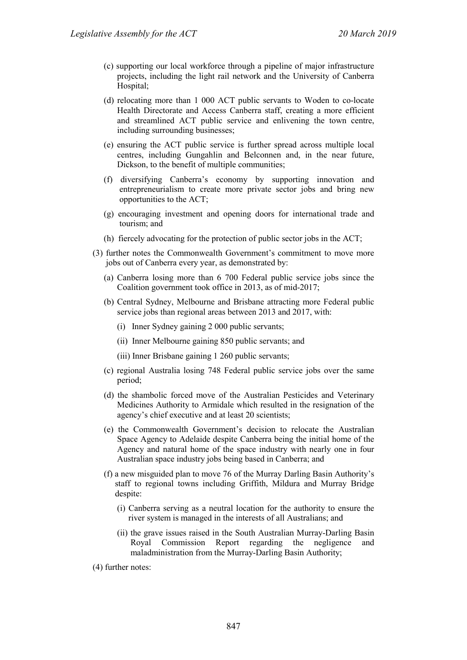- (c) supporting our local workforce through a pipeline of major infrastructure projects, including the light rail network and the University of Canberra Hospital;
- (d) relocating more than 1 000 ACT public servants to Woden to co-locate Health Directorate and Access Canberra staff, creating a more efficient and streamlined ACT public service and enlivening the town centre, including surrounding businesses;
- (e) ensuring the ACT public service is further spread across multiple local centres, including Gungahlin and Belconnen and, in the near future, Dickson, to the benefit of multiple communities;
- (f) diversifying Canberra's economy by supporting innovation and entrepreneurialism to create more private sector jobs and bring new opportunities to the ACT;
- (g) encouraging investment and opening doors for international trade and tourism; and
- (h) fiercely advocating for the protection of public sector jobs in the ACT;
- (3) further notes the Commonwealth Government's commitment to move more jobs out of Canberra every year, as demonstrated by:
	- (a) Canberra losing more than 6 700 Federal public service jobs since the Coalition government took office in 2013, as of mid-2017;
	- (b) Central Sydney, Melbourne and Brisbane attracting more Federal public service jobs than regional areas between 2013 and 2017, with:
		- (i) Inner Sydney gaining 2 000 public servants;
		- (ii) Inner Melbourne gaining 850 public servants; and
		- (iii) Inner Brisbane gaining 1 260 public servants;
	- (c) regional Australia losing 748 Federal public service jobs over the same period;
	- (d) the shambolic forced move of the Australian Pesticides and Veterinary Medicines Authority to Armidale which resulted in the resignation of the agency's chief executive and at least 20 scientists;
	- (e) the Commonwealth Government's decision to relocate the Australian Space Agency to Adelaide despite Canberra being the initial home of the Agency and natural home of the space industry with nearly one in four Australian space industry jobs being based in Canberra; and
	- (f) a new misguided plan to move 76 of the Murray Darling Basin Authority's staff to regional towns including Griffith, Mildura and Murray Bridge despite:
		- (i) Canberra serving as a neutral location for the authority to ensure the river system is managed in the interests of all Australians; and
		- (ii) the grave issues raised in the South Australian Murray-Darling Basin Royal Commission Report regarding the negligence and maladministration from the Murray-Darling Basin Authority;

(4) further notes: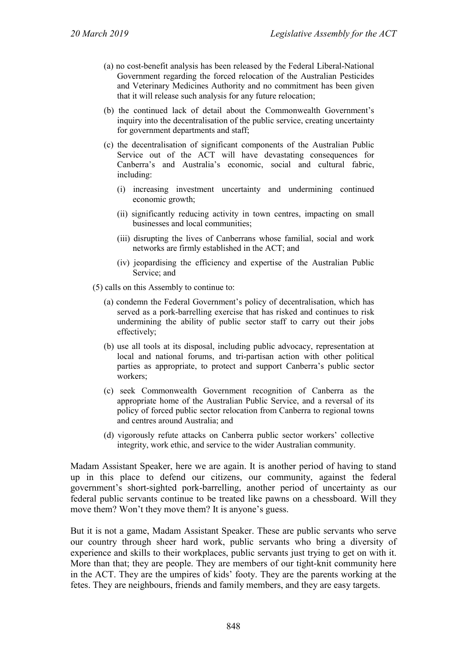- (a) no cost-benefit analysis has been released by the Federal Liberal-National Government regarding the forced relocation of the Australian Pesticides and Veterinary Medicines Authority and no commitment has been given that it will release such analysis for any future relocation;
- (b) the continued lack of detail about the Commonwealth Government's inquiry into the decentralisation of the public service, creating uncertainty for government departments and staff;
- (c) the decentralisation of significant components of the Australian Public Service out of the ACT will have devastating consequences for Canberra's and Australia's economic, social and cultural fabric, including:
	- (i) increasing investment uncertainty and undermining continued economic growth;
	- (ii) significantly reducing activity in town centres, impacting on small businesses and local communities;
	- (iii) disrupting the lives of Canberrans whose familial, social and work networks are firmly established in the ACT; and
	- (iv) jeopardising the efficiency and expertise of the Australian Public Service; and
- (5) calls on this Assembly to continue to:
	- (a) condemn the Federal Government's policy of decentralisation, which has served as a pork-barrelling exercise that has risked and continues to risk undermining the ability of public sector staff to carry out their jobs effectively;
	- (b) use all tools at its disposal, including public advocacy, representation at local and national forums, and tri-partisan action with other political parties as appropriate, to protect and support Canberra's public sector workers;
	- (c) seek Commonwealth Government recognition of Canberra as the appropriate home of the Australian Public Service, and a reversal of its policy of forced public sector relocation from Canberra to regional towns and centres around Australia; and
	- (d) vigorously refute attacks on Canberra public sector workers' collective integrity, work ethic, and service to the wider Australian community.

Madam Assistant Speaker, here we are again. It is another period of having to stand up in this place to defend our citizens, our community, against the federal government's short-sighted pork-barrelling, another period of uncertainty as our federal public servants continue to be treated like pawns on a chessboard. Will they move them? Won't they move them? It is anyone's guess.

But it is not a game, Madam Assistant Speaker. These are public servants who serve our country through sheer hard work, public servants who bring a diversity of experience and skills to their workplaces, public servants just trying to get on with it. More than that; they are people. They are members of our tight-knit community here in the ACT. They are the umpires of kids' footy. They are the parents working at the fetes. They are neighbours, friends and family members, and they are easy targets.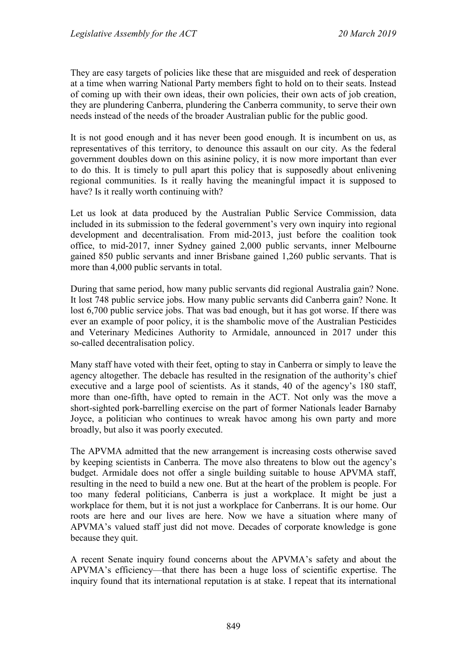They are easy targets of policies like these that are misguided and reek of desperation at a time when warring National Party members fight to hold on to their seats. Instead of coming up with their own ideas, their own policies, their own acts of job creation, they are plundering Canberra, plundering the Canberra community, to serve their own needs instead of the needs of the broader Australian public for the public good.

It is not good enough and it has never been good enough. It is incumbent on us, as representatives of this territory, to denounce this assault on our city. As the federal government doubles down on this asinine policy, it is now more important than ever to do this. It is timely to pull apart this policy that is supposedly about enlivening regional communities. Is it really having the meaningful impact it is supposed to have? Is it really worth continuing with?

Let us look at data produced by the Australian Public Service Commission, data included in its submission to the federal government's very own inquiry into regional development and decentralisation. From mid-2013, just before the coalition took office, to mid-2017, inner Sydney gained 2,000 public servants, inner Melbourne gained 850 public servants and inner Brisbane gained 1,260 public servants. That is more than 4,000 public servants in total.

During that same period, how many public servants did regional Australia gain? None. It lost 748 public service jobs. How many public servants did Canberra gain? None. It lost 6,700 public service jobs. That was bad enough, but it has got worse. If there was ever an example of poor policy, it is the shambolic move of the Australian Pesticides and Veterinary Medicines Authority to Armidale, announced in 2017 under this so-called decentralisation policy.

Many staff have voted with their feet, opting to stay in Canberra or simply to leave the agency altogether. The debacle has resulted in the resignation of the authority's chief executive and a large pool of scientists. As it stands, 40 of the agency's 180 staff, more than one-fifth, have opted to remain in the ACT. Not only was the move a short-sighted pork-barrelling exercise on the part of former Nationals leader Barnaby Joyce, a politician who continues to wreak havoc among his own party and more broadly, but also it was poorly executed.

The APVMA admitted that the new arrangement is increasing costs otherwise saved by keeping scientists in Canberra. The move also threatens to blow out the agency's budget. Armidale does not offer a single building suitable to house APVMA staff, resulting in the need to build a new one. But at the heart of the problem is people. For too many federal politicians, Canberra is just a workplace. It might be just a workplace for them, but it is not just a workplace for Canberrans. It is our home. Our roots are here and our lives are here. Now we have a situation where many of APVMA's valued staff just did not move. Decades of corporate knowledge is gone because they quit.

A recent Senate inquiry found concerns about the APVMA's safety and about the APVMA's efficiency—that there has been a huge loss of scientific expertise. The inquiry found that its international reputation is at stake. I repeat that its international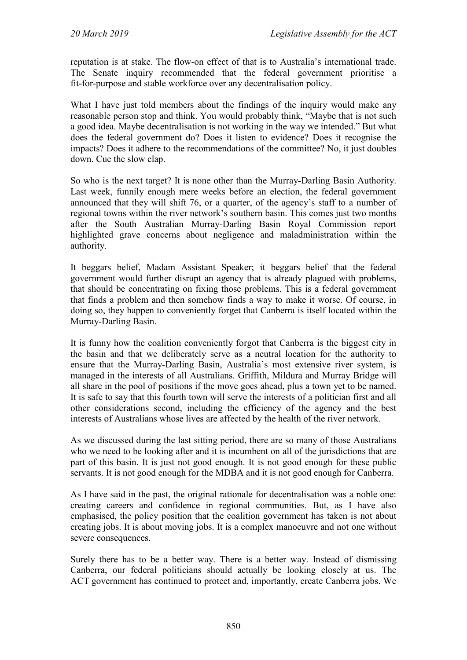reputation is at stake. The flow-on effect of that is to Australia's international trade. The Senate inquiry recommended that the federal government prioritise a fit-for-purpose and stable workforce over any decentralisation policy.

What I have just told members about the findings of the inquiry would make any reasonable person stop and think. You would probably think, "Maybe that is not such a good idea. Maybe decentralisation is not working in the way we intended." But what does the federal government do? Does it listen to evidence? Does it recognise the impacts? Does it adhere to the recommendations of the committee? No, it just doubles down. Cue the slow clap.

So who is the next target? It is none other than the Murray-Darling Basin Authority. Last week, funnily enough mere weeks before an election, the federal government announced that they will shift 76, or a quarter, of the agency's staff to a number of regional towns within the river network's southern basin. This comes just two months after the South Australian Murray-Darling Basin Royal Commission report highlighted grave concerns about negligence and maladministration within the authority.

It beggars belief, Madam Assistant Speaker; it beggars belief that the federal government would further disrupt an agency that is already plagued with problems, that should be concentrating on fixing those problems. This is a federal government that finds a problem and then somehow finds a way to make it worse. Of course, in doing so, they happen to conveniently forget that Canberra is itself located within the Murray-Darling Basin.

It is funny how the coalition conveniently forgot that Canberra is the biggest city in the basin and that we deliberately serve as a neutral location for the authority to ensure that the Murray-Darling Basin, Australia's most extensive river system, is managed in the interests of all Australians. Griffith, Mildura and Murray Bridge will all share in the pool of positions if the move goes ahead, plus a town yet to be named. It is safe to say that this fourth town will serve the interests of a politician first and all other considerations second, including the efficiency of the agency and the best interests of Australians whose lives are affected by the health of the river network.

As we discussed during the last sitting period, there are so many of those Australians who we need to be looking after and it is incumbent on all of the jurisdictions that are part of this basin. It is just not good enough. It is not good enough for these public servants. It is not good enough for the MDBA and it is not good enough for Canberra.

As I have said in the past, the original rationale for decentralisation was a noble one: creating careers and confidence in regional communities. But, as I have also emphasised, the policy position that the coalition government has taken is not about creating jobs. It is about moving jobs. It is a complex manoeuvre and not one without severe consequences.

Surely there has to be a better way. There is a better way. Instead of dismissing Canberra, our federal politicians should actually be looking closely at us. The ACT government has continued to protect and, importantly, create Canberra jobs. We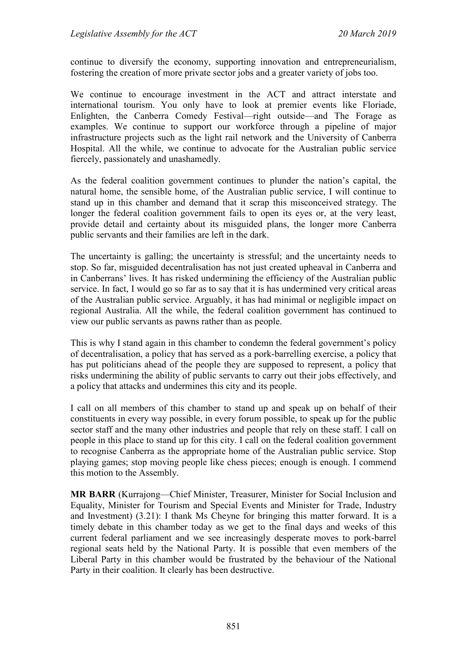continue to diversify the economy, supporting innovation and entrepreneurialism, fostering the creation of more private sector jobs and a greater variety of jobs too.

We continue to encourage investment in the ACT and attract interstate and international tourism. You only have to look at premier events like Floriade, Enlighten, the Canberra Comedy Festival—right outside—and The Forage as examples. We continue to support our workforce through a pipeline of major infrastructure projects such as the light rail network and the University of Canberra Hospital. All the while, we continue to advocate for the Australian public service fiercely, passionately and unashamedly.

As the federal coalition government continues to plunder the nation's capital, the natural home, the sensible home, of the Australian public service, I will continue to stand up in this chamber and demand that it scrap this misconceived strategy. The longer the federal coalition government fails to open its eyes or, at the very least, provide detail and certainty about its misguided plans, the longer more Canberra public servants and their families are left in the dark.

The uncertainty is galling; the uncertainty is stressful; and the uncertainty needs to stop. So far, misguided decentralisation has not just created upheaval in Canberra and in Canberrans' lives. It has risked undermining the efficiency of the Australian public service. In fact, I would go so far as to say that it is has undermined very critical areas of the Australian public service. Arguably, it has had minimal or negligible impact on regional Australia. All the while, the federal coalition government has continued to view our public servants as pawns rather than as people.

This is why I stand again in this chamber to condemn the federal government's policy of decentralisation, a policy that has served as a pork-barrelling exercise, a policy that has put politicians ahead of the people they are supposed to represent, a policy that risks undermining the ability of public servants to carry out their jobs effectively, and a policy that attacks and undermines this city and its people.

I call on all members of this chamber to stand up and speak up on behalf of their constituents in every way possible, in every forum possible, to speak up for the public sector staff and the many other industries and people that rely on these staff. I call on people in this place to stand up for this city. I call on the federal coalition government to recognise Canberra as the appropriate home of the Australian public service. Stop playing games; stop moving people like chess pieces; enough is enough. I commend this motion to the Assembly.

**MR BARR** (Kurrajong—Chief Minister, Treasurer, Minister for Social Inclusion and Equality, Minister for Tourism and Special Events and Minister for Trade, Industry and Investment) (3.21): I thank Ms Cheyne for bringing this matter forward. It is a timely debate in this chamber today as we get to the final days and weeks of this current federal parliament and we see increasingly desperate moves to pork-barrel regional seats held by the National Party. It is possible that even members of the Liberal Party in this chamber would be frustrated by the behaviour of the National Party in their coalition. It clearly has been destructive.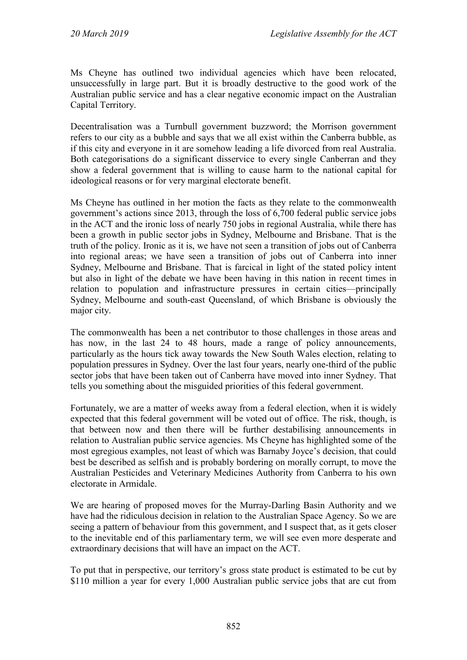Ms Cheyne has outlined two individual agencies which have been relocated, unsuccessfully in large part. But it is broadly destructive to the good work of the Australian public service and has a clear negative economic impact on the Australian Capital Territory.

Decentralisation was a Turnbull government buzzword; the Morrison government refers to our city as a bubble and says that we all exist within the Canberra bubble, as if this city and everyone in it are somehow leading a life divorced from real Australia. Both categorisations do a significant disservice to every single Canberran and they show a federal government that is willing to cause harm to the national capital for ideological reasons or for very marginal electorate benefit.

Ms Cheyne has outlined in her motion the facts as they relate to the commonwealth government's actions since 2013, through the loss of 6,700 federal public service jobs in the ACT and the ironic loss of nearly 750 jobs in regional Australia, while there has been a growth in public sector jobs in Sydney, Melbourne and Brisbane. That is the truth of the policy. Ironic as it is, we have not seen a transition of jobs out of Canberra into regional areas; we have seen a transition of jobs out of Canberra into inner Sydney, Melbourne and Brisbane. That is farcical in light of the stated policy intent but also in light of the debate we have been having in this nation in recent times in relation to population and infrastructure pressures in certain cities—principally Sydney, Melbourne and south-east Queensland, of which Brisbane is obviously the major city.

The commonwealth has been a net contributor to those challenges in those areas and has now, in the last 24 to 48 hours, made a range of policy announcements, particularly as the hours tick away towards the New South Wales election, relating to population pressures in Sydney. Over the last four years, nearly one-third of the public sector jobs that have been taken out of Canberra have moved into inner Sydney. That tells you something about the misguided priorities of this federal government.

Fortunately, we are a matter of weeks away from a federal election, when it is widely expected that this federal government will be voted out of office. The risk, though, is that between now and then there will be further destabilising announcements in relation to Australian public service agencies. Ms Cheyne has highlighted some of the most egregious examples, not least of which was Barnaby Joyce's decision, that could best be described as selfish and is probably bordering on morally corrupt, to move the Australian Pesticides and Veterinary Medicines Authority from Canberra to his own electorate in Armidale.

We are hearing of proposed moves for the Murray-Darling Basin Authority and we have had the ridiculous decision in relation to the Australian Space Agency. So we are seeing a pattern of behaviour from this government, and I suspect that, as it gets closer to the inevitable end of this parliamentary term, we will see even more desperate and extraordinary decisions that will have an impact on the ACT.

To put that in perspective, our territory's gross state product is estimated to be cut by \$110 million a year for every 1,000 Australian public service jobs that are cut from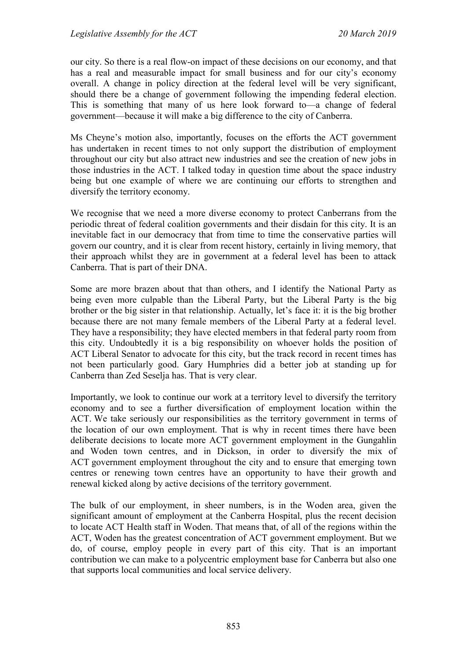our city. So there is a real flow-on impact of these decisions on our economy, and that has a real and measurable impact for small business and for our city's economy overall. A change in policy direction at the federal level will be very significant, should there be a change of government following the impending federal election. This is something that many of us here look forward to—a change of federal government—because it will make a big difference to the city of Canberra.

Ms Cheyne's motion also, importantly, focuses on the efforts the ACT government has undertaken in recent times to not only support the distribution of employment throughout our city but also attract new industries and see the creation of new jobs in those industries in the ACT. I talked today in question time about the space industry being but one example of where we are continuing our efforts to strengthen and diversify the territory economy.

We recognise that we need a more diverse economy to protect Canberrans from the periodic threat of federal coalition governments and their disdain for this city. It is an inevitable fact in our democracy that from time to time the conservative parties will govern our country, and it is clear from recent history, certainly in living memory, that their approach whilst they are in government at a federal level has been to attack Canberra. That is part of their DNA.

Some are more brazen about that than others, and I identify the National Party as being even more culpable than the Liberal Party, but the Liberal Party is the big brother or the big sister in that relationship. Actually, let's face it: it is the big brother because there are not many female members of the Liberal Party at a federal level. They have a responsibility; they have elected members in that federal party room from this city. Undoubtedly it is a big responsibility on whoever holds the position of ACT Liberal Senator to advocate for this city, but the track record in recent times has not been particularly good. Gary Humphries did a better job at standing up for Canberra than Zed Seselja has. That is very clear.

Importantly, we look to continue our work at a territory level to diversify the territory economy and to see a further diversification of employment location within the ACT. We take seriously our responsibilities as the territory government in terms of the location of our own employment. That is why in recent times there have been deliberate decisions to locate more ACT government employment in the Gungahlin and Woden town centres, and in Dickson, in order to diversify the mix of ACT government employment throughout the city and to ensure that emerging town centres or renewing town centres have an opportunity to have their growth and renewal kicked along by active decisions of the territory government.

The bulk of our employment, in sheer numbers, is in the Woden area, given the significant amount of employment at the Canberra Hospital, plus the recent decision to locate ACT Health staff in Woden. That means that, of all of the regions within the ACT, Woden has the greatest concentration of ACT government employment. But we do, of course, employ people in every part of this city. That is an important contribution we can make to a polycentric employment base for Canberra but also one that supports local communities and local service delivery.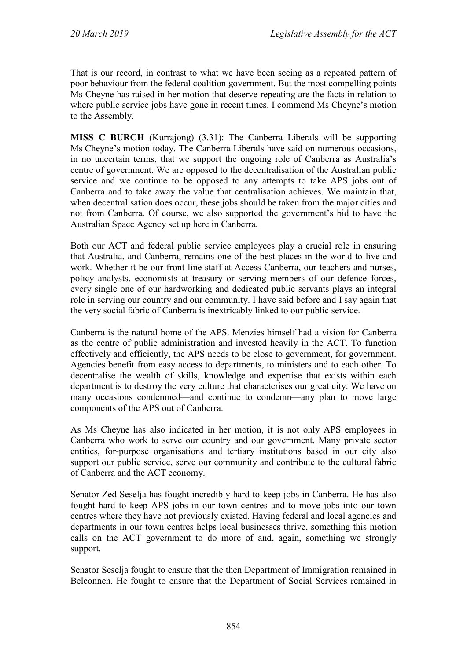That is our record, in contrast to what we have been seeing as a repeated pattern of poor behaviour from the federal coalition government. But the most compelling points Ms Cheyne has raised in her motion that deserve repeating are the facts in relation to where public service jobs have gone in recent times. I commend Ms Cheyne's motion to the Assembly.

**MISS C BURCH** (Kurrajong) (3.31): The Canberra Liberals will be supporting Ms Cheyne's motion today. The Canberra Liberals have said on numerous occasions, in no uncertain terms, that we support the ongoing role of Canberra as Australia's centre of government. We are opposed to the decentralisation of the Australian public service and we continue to be opposed to any attempts to take APS jobs out of Canberra and to take away the value that centralisation achieves. We maintain that, when decentralisation does occur, these jobs should be taken from the major cities and not from Canberra. Of course, we also supported the government's bid to have the Australian Space Agency set up here in Canberra.

Both our ACT and federal public service employees play a crucial role in ensuring that Australia, and Canberra, remains one of the best places in the world to live and work. Whether it be our front-line staff at Access Canberra, our teachers and nurses, policy analysts, economists at treasury or serving members of our defence forces, every single one of our hardworking and dedicated public servants plays an integral role in serving our country and our community. I have said before and I say again that the very social fabric of Canberra is inextricably linked to our public service.

Canberra is the natural home of the APS. Menzies himself had a vision for Canberra as the centre of public administration and invested heavily in the ACT. To function effectively and efficiently, the APS needs to be close to government, for government. Agencies benefit from easy access to departments, to ministers and to each other. To decentralise the wealth of skills, knowledge and expertise that exists within each department is to destroy the very culture that characterises our great city. We have on many occasions condemned—and continue to condemn—any plan to move large components of the APS out of Canberra.

As Ms Cheyne has also indicated in her motion, it is not only APS employees in Canberra who work to serve our country and our government. Many private sector entities, for-purpose organisations and tertiary institutions based in our city also support our public service, serve our community and contribute to the cultural fabric of Canberra and the ACT economy.

Senator Zed Seselja has fought incredibly hard to keep jobs in Canberra. He has also fought hard to keep APS jobs in our town centres and to move jobs into our town centres where they have not previously existed. Having federal and local agencies and departments in our town centres helps local businesses thrive, something this motion calls on the ACT government to do more of and, again, something we strongly support.

Senator Seselja fought to ensure that the then Department of Immigration remained in Belconnen. He fought to ensure that the Department of Social Services remained in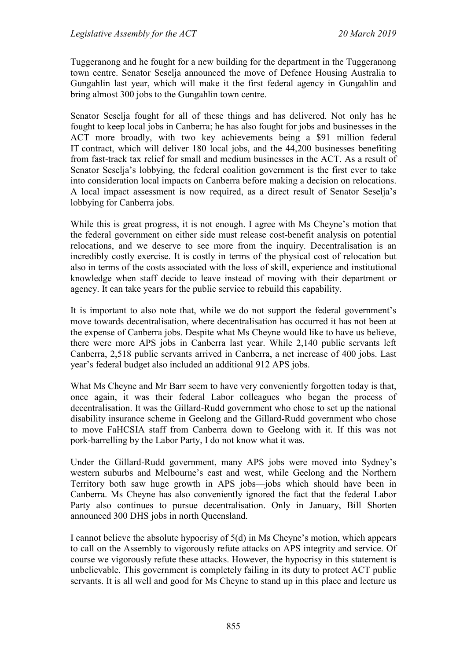Tuggeranong and he fought for a new building for the department in the Tuggeranong town centre. Senator Seselja announced the move of Defence Housing Australia to Gungahlin last year, which will make it the first federal agency in Gungahlin and bring almost 300 jobs to the Gungahlin town centre.

Senator Seselja fought for all of these things and has delivered. Not only has he fought to keep local jobs in Canberra; he has also fought for jobs and businesses in the ACT more broadly, with two key achievements being a \$91 million federal IT contract, which will deliver 180 local jobs, and the 44,200 businesses benefiting from fast-track tax relief for small and medium businesses in the ACT. As a result of Senator Seselja's lobbying, the federal coalition government is the first ever to take into consideration local impacts on Canberra before making a decision on relocations. A local impact assessment is now required, as a direct result of Senator Seselja's lobbying for Canberra jobs.

While this is great progress, it is not enough. I agree with Ms Cheyne's motion that the federal government on either side must release cost-benefit analysis on potential relocations, and we deserve to see more from the inquiry. Decentralisation is an incredibly costly exercise. It is costly in terms of the physical cost of relocation but also in terms of the costs associated with the loss of skill, experience and institutional knowledge when staff decide to leave instead of moving with their department or agency. It can take years for the public service to rebuild this capability.

It is important to also note that, while we do not support the federal government's move towards decentralisation, where decentralisation has occurred it has not been at the expense of Canberra jobs. Despite what Ms Cheyne would like to have us believe, there were more APS jobs in Canberra last year. While 2,140 public servants left Canberra, 2,518 public servants arrived in Canberra, a net increase of 400 jobs. Last year's federal budget also included an additional 912 APS jobs.

What Ms Cheyne and Mr Barr seem to have very conveniently forgotten today is that, once again, it was their federal Labor colleagues who began the process of decentralisation. It was the Gillard-Rudd government who chose to set up the national disability insurance scheme in Geelong and the Gillard-Rudd government who chose to move FaHCSIA staff from Canberra down to Geelong with it. If this was not pork-barrelling by the Labor Party, I do not know what it was.

Under the Gillard-Rudd government, many APS jobs were moved into Sydney's western suburbs and Melbourne's east and west, while Geelong and the Northern Territory both saw huge growth in APS jobs—jobs which should have been in Canberra. Ms Cheyne has also conveniently ignored the fact that the federal Labor Party also continues to pursue decentralisation. Only in January, Bill Shorten announced 300 DHS jobs in north Queensland.

I cannot believe the absolute hypocrisy of 5(d) in Ms Cheyne's motion, which appears to call on the Assembly to vigorously refute attacks on APS integrity and service. Of course we vigorously refute these attacks. However, the hypocrisy in this statement is unbelievable. This government is completely failing in its duty to protect ACT public servants. It is all well and good for Ms Cheyne to stand up in this place and lecture us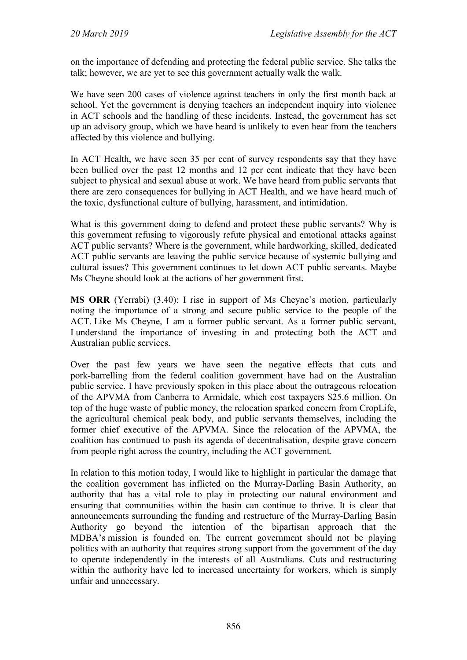on the importance of defending and protecting the federal public service. She talks the talk; however, we are yet to see this government actually walk the walk.

We have seen 200 cases of violence against teachers in only the first month back at school. Yet the government is denying teachers an independent inquiry into violence in ACT schools and the handling of these incidents. Instead, the government has set up an advisory group, which we have heard is unlikely to even hear from the teachers affected by this violence and bullying.

In ACT Health, we have seen 35 per cent of survey respondents say that they have been bullied over the past 12 months and 12 per cent indicate that they have been subject to physical and sexual abuse at work. We have heard from public servants that there are zero consequences for bullying in ACT Health, and we have heard much of the toxic, dysfunctional culture of bullying, harassment, and intimidation.

What is this government doing to defend and protect these public servants? Why is this government refusing to vigorously refute physical and emotional attacks against ACT public servants? Where is the government, while hardworking, skilled, dedicated ACT public servants are leaving the public service because of systemic bullying and cultural issues? This government continues to let down ACT public servants. Maybe Ms Cheyne should look at the actions of her government first.

**MS ORR** (Yerrabi) (3.40): I rise in support of Ms Cheyne's motion, particularly noting the importance of a strong and secure public service to the people of the ACT. Like Ms Cheyne, I am a former public servant. As a former public servant, I understand the importance of investing in and protecting both the ACT and Australian public services.

Over the past few years we have seen the negative effects that cuts and pork-barrelling from the federal coalition government have had on the Australian public service. I have previously spoken in this place about the outrageous relocation of the APVMA from Canberra to Armidale, which cost taxpayers \$25.6 million. On top of the huge waste of public money, the relocation sparked concern from CropLife, the agricultural chemical peak body, and public servants themselves, including the former chief executive of the APVMA. Since the relocation of the APVMA, the coalition has continued to push its agenda of decentralisation, despite grave concern from people right across the country, including the ACT government.

In relation to this motion today, I would like to highlight in particular the damage that the coalition government has inflicted on the Murray-Darling Basin Authority, an authority that has a vital role to play in protecting our natural environment and ensuring that communities within the basin can continue to thrive. It is clear that announcements surrounding the funding and restructure of the Murray-Darling Basin Authority go beyond the intention of the bipartisan approach that the MDBA's mission is founded on. The current government should not be playing politics with an authority that requires strong support from the government of the day to operate independently in the interests of all Australians. Cuts and restructuring within the authority have led to increased uncertainty for workers, which is simply unfair and unnecessary.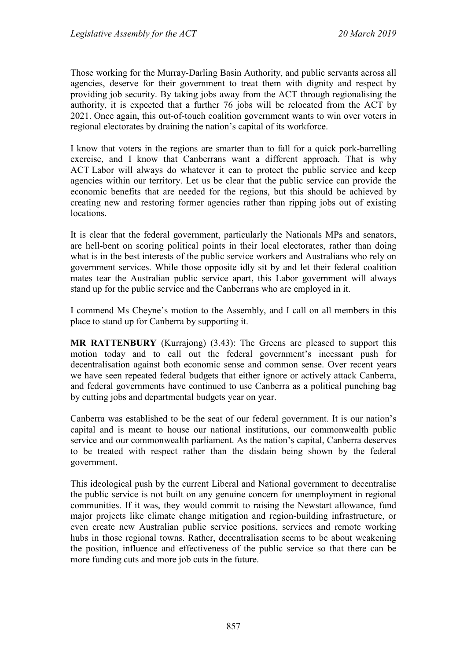Those working for the Murray-Darling Basin Authority, and public servants across all agencies, deserve for their government to treat them with dignity and respect by providing job security. By taking jobs away from the ACT through regionalising the authority, it is expected that a further 76 jobs will be relocated from the ACT by 2021. Once again, this out-of-touch coalition government wants to win over voters in regional electorates by draining the nation's capital of its workforce.

I know that voters in the regions are smarter than to fall for a quick pork-barrelling exercise, and I know that Canberrans want a different approach. That is why ACT Labor will always do whatever it can to protect the public service and keep agencies within our territory. Let us be clear that the public service can provide the economic benefits that are needed for the regions, but this should be achieved by creating new and restoring former agencies rather than ripping jobs out of existing locations.

It is clear that the federal government, particularly the Nationals MPs and senators, are hell-bent on scoring political points in their local electorates, rather than doing what is in the best interests of the public service workers and Australians who rely on government services. While those opposite idly sit by and let their federal coalition mates tear the Australian public service apart, this Labor government will always stand up for the public service and the Canberrans who are employed in it.

I commend Ms Cheyne's motion to the Assembly, and I call on all members in this place to stand up for Canberra by supporting it.

**MR RATTENBURY** (Kurrajong) (3.43): The Greens are pleased to support this motion today and to call out the federal government's incessant push for decentralisation against both economic sense and common sense. Over recent years we have seen repeated federal budgets that either ignore or actively attack Canberra, and federal governments have continued to use Canberra as a political punching bag by cutting jobs and departmental budgets year on year.

Canberra was established to be the seat of our federal government. It is our nation's capital and is meant to house our national institutions, our commonwealth public service and our commonwealth parliament. As the nation's capital, Canberra deserves to be treated with respect rather than the disdain being shown by the federal government.

This ideological push by the current Liberal and National government to decentralise the public service is not built on any genuine concern for unemployment in regional communities. If it was, they would commit to raising the Newstart allowance, fund major projects like climate change mitigation and region-building infrastructure, or even create new Australian public service positions, services and remote working hubs in those regional towns. Rather, decentralisation seems to be about weakening the position, influence and effectiveness of the public service so that there can be more funding cuts and more job cuts in the future.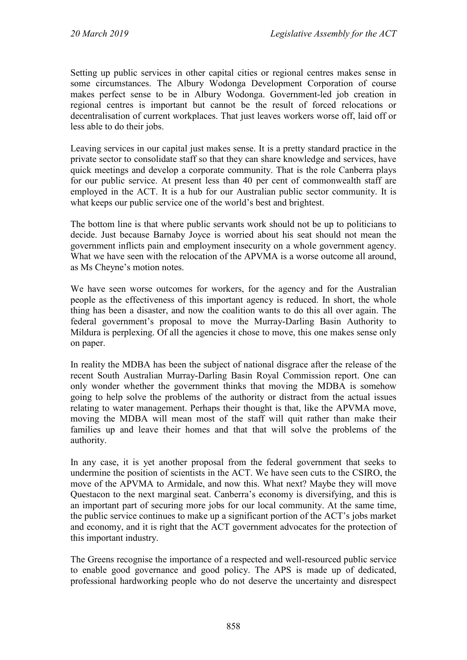Setting up public services in other capital cities or regional centres makes sense in some circumstances. The Albury Wodonga Development Corporation of course makes perfect sense to be in Albury Wodonga. Government-led job creation in regional centres is important but cannot be the result of forced relocations or decentralisation of current workplaces. That just leaves workers worse off, laid off or less able to do their jobs.

Leaving services in our capital just makes sense. It is a pretty standard practice in the private sector to consolidate staff so that they can share knowledge and services, have quick meetings and develop a corporate community. That is the role Canberra plays for our public service. At present less than 40 per cent of commonwealth staff are employed in the ACT. It is a hub for our Australian public sector community. It is what keeps our public service one of the world's best and brightest.

The bottom line is that where public servants work should not be up to politicians to decide. Just because Barnaby Joyce is worried about his seat should not mean the government inflicts pain and employment insecurity on a whole government agency. What we have seen with the relocation of the APVMA is a worse outcome all around, as Ms Cheyne's motion notes.

We have seen worse outcomes for workers, for the agency and for the Australian people as the effectiveness of this important agency is reduced. In short, the whole thing has been a disaster, and now the coalition wants to do this all over again. The federal government's proposal to move the Murray-Darling Basin Authority to Mildura is perplexing. Of all the agencies it chose to move, this one makes sense only on paper.

In reality the MDBA has been the subject of national disgrace after the release of the recent South Australian Murray-Darling Basin Royal Commission report. One can only wonder whether the government thinks that moving the MDBA is somehow going to help solve the problems of the authority or distract from the actual issues relating to water management. Perhaps their thought is that, like the APVMA move, moving the MDBA will mean most of the staff will quit rather than make their families up and leave their homes and that that will solve the problems of the authority.

In any case, it is yet another proposal from the federal government that seeks to undermine the position of scientists in the ACT. We have seen cuts to the CSIRO, the move of the APVMA to Armidale, and now this. What next? Maybe they will move Questacon to the next marginal seat. Canberra's economy is diversifying, and this is an important part of securing more jobs for our local community. At the same time, the public service continues to make up a significant portion of the ACT's jobs market and economy, and it is right that the ACT government advocates for the protection of this important industry.

The Greens recognise the importance of a respected and well-resourced public service to enable good governance and good policy. The APS is made up of dedicated, professional hardworking people who do not deserve the uncertainty and disrespect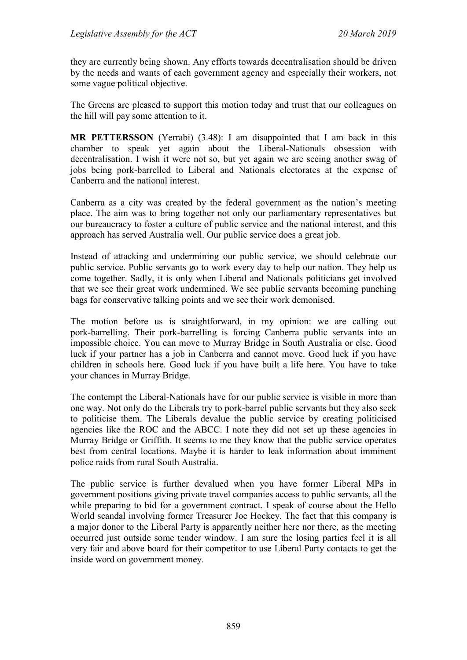they are currently being shown. Any efforts towards decentralisation should be driven by the needs and wants of each government agency and especially their workers, not some vague political objective.

The Greens are pleased to support this motion today and trust that our colleagues on the hill will pay some attention to it.

**MR PETTERSSON** (Yerrabi) (3.48): I am disappointed that I am back in this chamber to speak yet again about the Liberal-Nationals obsession with decentralisation. I wish it were not so, but yet again we are seeing another swag of jobs being pork-barrelled to Liberal and Nationals electorates at the expense of Canberra and the national interest.

Canberra as a city was created by the federal government as the nation's meeting place. The aim was to bring together not only our parliamentary representatives but our bureaucracy to foster a culture of public service and the national interest, and this approach has served Australia well. Our public service does a great job.

Instead of attacking and undermining our public service, we should celebrate our public service. Public servants go to work every day to help our nation. They help us come together. Sadly, it is only when Liberal and Nationals politicians get involved that we see their great work undermined. We see public servants becoming punching bags for conservative talking points and we see their work demonised.

The motion before us is straightforward, in my opinion: we are calling out pork-barrelling. Their pork-barrelling is forcing Canberra public servants into an impossible choice. You can move to Murray Bridge in South Australia or else. Good luck if your partner has a job in Canberra and cannot move. Good luck if you have children in schools here. Good luck if you have built a life here. You have to take your chances in Murray Bridge.

The contempt the Liberal-Nationals have for our public service is visible in more than one way. Not only do the Liberals try to pork-barrel public servants but they also seek to politicise them. The Liberals devalue the public service by creating politicised agencies like the ROC and the ABCC. I note they did not set up these agencies in Murray Bridge or Griffith. It seems to me they know that the public service operates best from central locations. Maybe it is harder to leak information about imminent police raids from rural South Australia.

The public service is further devalued when you have former Liberal MPs in government positions giving private travel companies access to public servants, all the while preparing to bid for a government contract. I speak of course about the Hello World scandal involving former Treasurer Joe Hockey. The fact that this company is a major donor to the Liberal Party is apparently neither here nor there, as the meeting occurred just outside some tender window. I am sure the losing parties feel it is all very fair and above board for their competitor to use Liberal Party contacts to get the inside word on government money.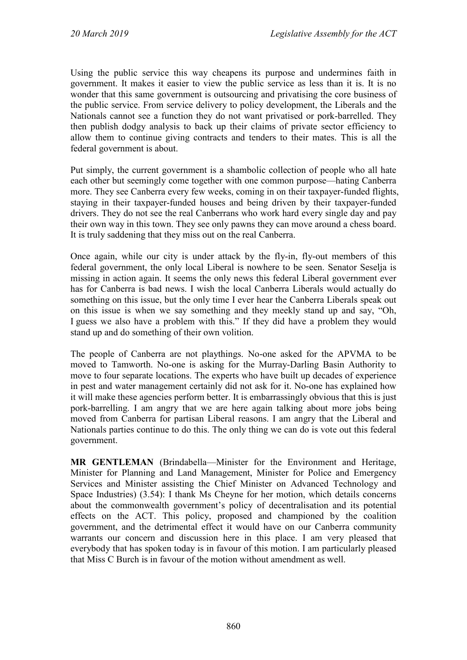Using the public service this way cheapens its purpose and undermines faith in government. It makes it easier to view the public service as less than it is. It is no wonder that this same government is outsourcing and privatising the core business of the public service. From service delivery to policy development, the Liberals and the Nationals cannot see a function they do not want privatised or pork-barrelled. They then publish dodgy analysis to back up their claims of private sector efficiency to allow them to continue giving contracts and tenders to their mates. This is all the federal government is about.

Put simply, the current government is a shambolic collection of people who all hate each other but seemingly come together with one common purpose—hating Canberra more. They see Canberra every few weeks, coming in on their taxpayer-funded flights, staying in their taxpayer-funded houses and being driven by their taxpayer-funded drivers. They do not see the real Canberrans who work hard every single day and pay their own way in this town. They see only pawns they can move around a chess board. It is truly saddening that they miss out on the real Canberra.

Once again, while our city is under attack by the fly-in, fly-out members of this federal government, the only local Liberal is nowhere to be seen. Senator Seselja is missing in action again. It seems the only news this federal Liberal government ever has for Canberra is bad news. I wish the local Canberra Liberals would actually do something on this issue, but the only time I ever hear the Canberra Liberals speak out on this issue is when we say something and they meekly stand up and say, "Oh, I guess we also have a problem with this." If they did have a problem they would stand up and do something of their own volition.

The people of Canberra are not playthings. No-one asked for the APVMA to be moved to Tamworth. No-one is asking for the Murray-Darling Basin Authority to move to four separate locations. The experts who have built up decades of experience in pest and water management certainly did not ask for it. No-one has explained how it will make these agencies perform better. It is embarrassingly obvious that this is just pork-barrelling. I am angry that we are here again talking about more jobs being moved from Canberra for partisan Liberal reasons. I am angry that the Liberal and Nationals parties continue to do this. The only thing we can do is vote out this federal government.

**MR GENTLEMAN** (Brindabella—Minister for the Environment and Heritage, Minister for Planning and Land Management, Minister for Police and Emergency Services and Minister assisting the Chief Minister on Advanced Technology and Space Industries) (3.54): I thank Ms Cheyne for her motion, which details concerns about the commonwealth government's policy of decentralisation and its potential effects on the ACT. This policy, proposed and championed by the coalition government, and the detrimental effect it would have on our Canberra community warrants our concern and discussion here in this place. I am very pleased that everybody that has spoken today is in favour of this motion. I am particularly pleased that Miss C Burch is in favour of the motion without amendment as well.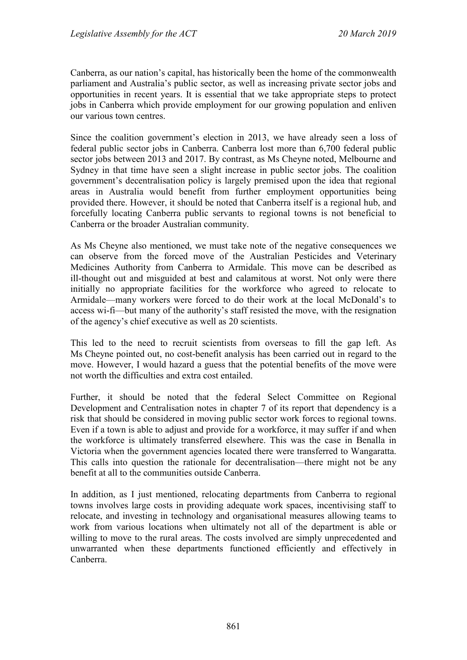Canberra, as our nation's capital, has historically been the home of the commonwealth parliament and Australia's public sector, as well as increasing private sector jobs and opportunities in recent years. It is essential that we take appropriate steps to protect jobs in Canberra which provide employment for our growing population and enliven our various town centres.

Since the coalition government's election in 2013, we have already seen a loss of federal public sector jobs in Canberra. Canberra lost more than 6,700 federal public sector jobs between 2013 and 2017. By contrast, as Ms Cheyne noted, Melbourne and Sydney in that time have seen a slight increase in public sector jobs. The coalition government's decentralisation policy is largely premised upon the idea that regional areas in Australia would benefit from further employment opportunities being provided there. However, it should be noted that Canberra itself is a regional hub, and forcefully locating Canberra public servants to regional towns is not beneficial to Canberra or the broader Australian community.

As Ms Cheyne also mentioned, we must take note of the negative consequences we can observe from the forced move of the Australian Pesticides and Veterinary Medicines Authority from Canberra to Armidale. This move can be described as ill-thought out and misguided at best and calamitous at worst. Not only were there initially no appropriate facilities for the workforce who agreed to relocate to Armidale—many workers were forced to do their work at the local McDonald's to access wi-fi—but many of the authority's staff resisted the move, with the resignation of the agency's chief executive as well as 20 scientists.

This led to the need to recruit scientists from overseas to fill the gap left. As Ms Cheyne pointed out, no cost-benefit analysis has been carried out in regard to the move. However, I would hazard a guess that the potential benefits of the move were not worth the difficulties and extra cost entailed.

Further, it should be noted that the federal Select Committee on Regional Development and Centralisation notes in chapter 7 of its report that dependency is a risk that should be considered in moving public sector work forces to regional towns. Even if a town is able to adjust and provide for a workforce, it may suffer if and when the workforce is ultimately transferred elsewhere. This was the case in Benalla in Victoria when the government agencies located there were transferred to Wangaratta. This calls into question the rationale for decentralisation—there might not be any benefit at all to the communities outside Canberra.

In addition, as I just mentioned, relocating departments from Canberra to regional towns involves large costs in providing adequate work spaces, incentivising staff to relocate, and investing in technology and organisational measures allowing teams to work from various locations when ultimately not all of the department is able or willing to move to the rural areas. The costs involved are simply unprecedented and unwarranted when these departments functioned efficiently and effectively in Canberra.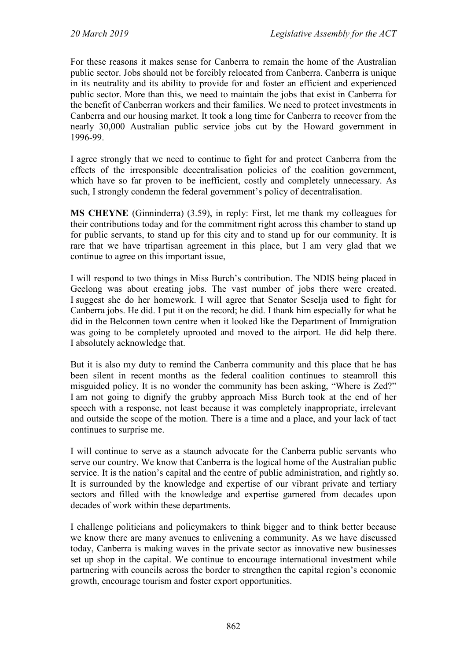For these reasons it makes sense for Canberra to remain the home of the Australian public sector. Jobs should not be forcibly relocated from Canberra. Canberra is unique in its neutrality and its ability to provide for and foster an efficient and experienced public sector. More than this, we need to maintain the jobs that exist in Canberra for the benefit of Canberran workers and their families. We need to protect investments in Canberra and our housing market. It took a long time for Canberra to recover from the nearly 30,000 Australian public service jobs cut by the Howard government in 1996-99.

I agree strongly that we need to continue to fight for and protect Canberra from the effects of the irresponsible decentralisation policies of the coalition government, which have so far proven to be inefficient, costly and completely unnecessary. As such, I strongly condemn the federal government's policy of decentralisation.

**MS CHEYNE** (Ginninderra) (3.59), in reply: First, let me thank my colleagues for their contributions today and for the commitment right across this chamber to stand up for public servants, to stand up for this city and to stand up for our community. It is rare that we have tripartisan agreement in this place, but I am very glad that we continue to agree on this important issue,

I will respond to two things in Miss Burch's contribution. The NDIS being placed in Geelong was about creating jobs. The vast number of jobs there were created. I suggest she do her homework. I will agree that Senator Seselja used to fight for Canberra jobs. He did. I put it on the record; he did. I thank him especially for what he did in the Belconnen town centre when it looked like the Department of Immigration was going to be completely uprooted and moved to the airport. He did help there. I absolutely acknowledge that.

But it is also my duty to remind the Canberra community and this place that he has been silent in recent months as the federal coalition continues to steamroll this misguided policy. It is no wonder the community has been asking, "Where is Zed?" I am not going to dignify the grubby approach Miss Burch took at the end of her speech with a response, not least because it was completely inappropriate, irrelevant and outside the scope of the motion. There is a time and a place, and your lack of tact continues to surprise me.

I will continue to serve as a staunch advocate for the Canberra public servants who serve our country. We know that Canberra is the logical home of the Australian public service. It is the nation's capital and the centre of public administration, and rightly so. It is surrounded by the knowledge and expertise of our vibrant private and tertiary sectors and filled with the knowledge and expertise garnered from decades upon decades of work within these departments.

I challenge politicians and policymakers to think bigger and to think better because we know there are many avenues to enlivening a community. As we have discussed today, Canberra is making waves in the private sector as innovative new businesses set up shop in the capital. We continue to encourage international investment while partnering with councils across the border to strengthen the capital region's economic growth, encourage tourism and foster export opportunities.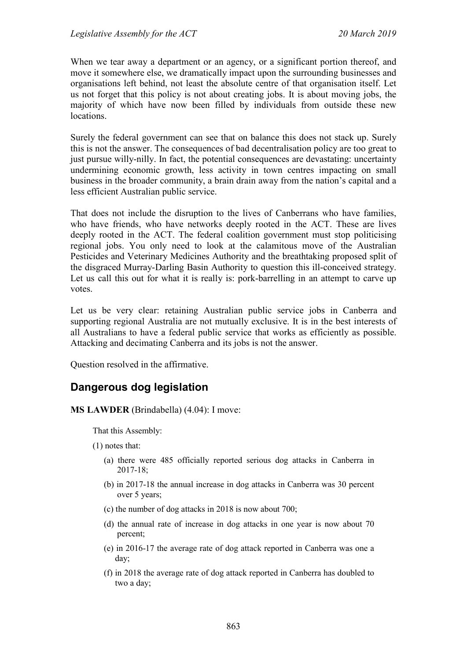When we tear away a department or an agency, or a significant portion thereof, and move it somewhere else, we dramatically impact upon the surrounding businesses and organisations left behind, not least the absolute centre of that organisation itself. Let us not forget that this policy is not about creating jobs. It is about moving jobs, the majority of which have now been filled by individuals from outside these new locations.

Surely the federal government can see that on balance this does not stack up. Surely this is not the answer. The consequences of bad decentralisation policy are too great to just pursue willy-nilly. In fact, the potential consequences are devastating: uncertainty undermining economic growth, less activity in town centres impacting on small business in the broader community, a brain drain away from the nation's capital and a less efficient Australian public service.

That does not include the disruption to the lives of Canberrans who have families, who have friends, who have networks deeply rooted in the ACT. These are lives deeply rooted in the ACT. The federal coalition government must stop politicising regional jobs. You only need to look at the calamitous move of the Australian Pesticides and Veterinary Medicines Authority and the breathtaking proposed split of the disgraced Murray-Darling Basin Authority to question this ill-conceived strategy. Let us call this out for what it is really is: pork-barrelling in an attempt to carve up votes.

Let us be very clear: retaining Australian public service jobs in Canberra and supporting regional Australia are not mutually exclusive. It is in the best interests of all Australians to have a federal public service that works as efficiently as possible. Attacking and decimating Canberra and its jobs is not the answer.

Question resolved in the affirmative.

## **Dangerous dog legislation**

**MS LAWDER** (Brindabella) (4.04): I move:

That this Assembly:

(1) notes that:

- (a) there were 485 officially reported serious dog attacks in Canberra in 2017-18;
- (b) in 2017-18 the annual increase in dog attacks in Canberra was 30 percent over 5 years;
- (c) the number of dog attacks in 2018 is now about 700;
- (d) the annual rate of increase in dog attacks in one year is now about 70 percent;
- (e) in 2016-17 the average rate of dog attack reported in Canberra was one a day;
- (f) in 2018 the average rate of dog attack reported in Canberra has doubled to two a day;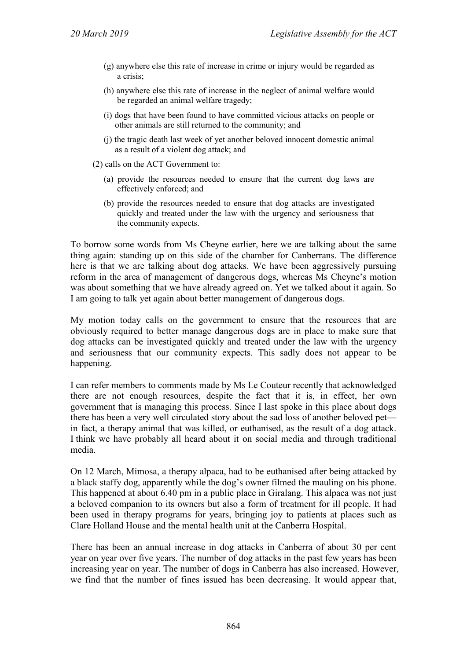- (g) anywhere else this rate of increase in crime or injury would be regarded as a crisis;
- (h) anywhere else this rate of increase in the neglect of animal welfare would be regarded an animal welfare tragedy;
- (i) dogs that have been found to have committed vicious attacks on people or other animals are still returned to the community; and
- (j) the tragic death last week of yet another beloved innocent domestic animal as a result of a violent dog attack; and
- (2) calls on the ACT Government to:
	- (a) provide the resources needed to ensure that the current dog laws are effectively enforced; and
	- (b) provide the resources needed to ensure that dog attacks are investigated quickly and treated under the law with the urgency and seriousness that the community expects.

To borrow some words from Ms Cheyne earlier, here we are talking about the same thing again: standing up on this side of the chamber for Canberrans. The difference here is that we are talking about dog attacks. We have been aggressively pursuing reform in the area of management of dangerous dogs, whereas Ms Cheyne's motion was about something that we have already agreed on. Yet we talked about it again. So I am going to talk yet again about better management of dangerous dogs.

My motion today calls on the government to ensure that the resources that are obviously required to better manage dangerous dogs are in place to make sure that dog attacks can be investigated quickly and treated under the law with the urgency and seriousness that our community expects. This sadly does not appear to be happening.

I can refer members to comments made by Ms Le Couteur recently that acknowledged there are not enough resources, despite the fact that it is, in effect, her own government that is managing this process. Since I last spoke in this place about dogs there has been a very well circulated story about the sad loss of another beloved pet in fact, a therapy animal that was killed, or euthanised, as the result of a dog attack. I think we have probably all heard about it on social media and through traditional media.

On 12 March, Mimosa, a therapy alpaca, had to be euthanised after being attacked by a black staffy dog, apparently while the dog's owner filmed the mauling on his phone. This happened at about 6.40 pm in a public place in Giralang. This alpaca was not just a beloved companion to its owners but also a form of treatment for ill people. It had been used in therapy programs for years, bringing joy to patients at places such as Clare Holland House and the mental health unit at the Canberra Hospital.

There has been an annual increase in dog attacks in Canberra of about 30 per cent year on year over five years. The number of dog attacks in the past few years has been increasing year on year. The number of dogs in Canberra has also increased. However, we find that the number of fines issued has been decreasing. It would appear that,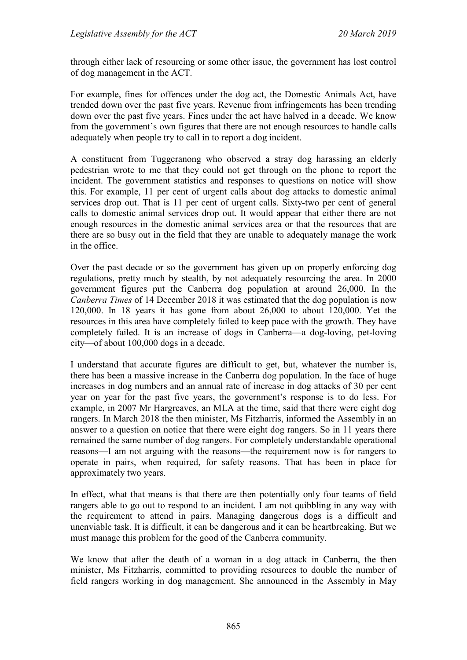through either lack of resourcing or some other issue, the government has lost control of dog management in the ACT.

For example, fines for offences under the dog act, the Domestic Animals Act, have trended down over the past five years. Revenue from infringements has been trending down over the past five years. Fines under the act have halved in a decade. We know from the government's own figures that there are not enough resources to handle calls adequately when people try to call in to report a dog incident.

A constituent from Tuggeranong who observed a stray dog harassing an elderly pedestrian wrote to me that they could not get through on the phone to report the incident. The government statistics and responses to questions on notice will show this. For example, 11 per cent of urgent calls about dog attacks to domestic animal services drop out. That is 11 per cent of urgent calls. Sixty-two per cent of general calls to domestic animal services drop out. It would appear that either there are not enough resources in the domestic animal services area or that the resources that are there are so busy out in the field that they are unable to adequately manage the work in the office.

Over the past decade or so the government has given up on properly enforcing dog regulations, pretty much by stealth, by not adequately resourcing the area. In 2000 government figures put the Canberra dog population at around 26,000. In the *Canberra Times* of 14 December 2018 it was estimated that the dog population is now 120,000. In 18 years it has gone from about 26,000 to about 120,000. Yet the resources in this area have completely failed to keep pace with the growth. They have completely failed. It is an increase of dogs in Canberra—a dog-loving, pet-loving city—of about 100,000 dogs in a decade.

I understand that accurate figures are difficult to get, but, whatever the number is, there has been a massive increase in the Canberra dog population. In the face of huge increases in dog numbers and an annual rate of increase in dog attacks of 30 per cent year on year for the past five years, the government's response is to do less. For example, in 2007 Mr Hargreaves, an MLA at the time, said that there were eight dog rangers. In March 2018 the then minister, Ms Fitzharris, informed the Assembly in an answer to a question on notice that there were eight dog rangers. So in 11 years there remained the same number of dog rangers. For completely understandable operational reasons—I am not arguing with the reasons—the requirement now is for rangers to operate in pairs, when required, for safety reasons. That has been in place for approximately two years.

In effect, what that means is that there are then potentially only four teams of field rangers able to go out to respond to an incident. I am not quibbling in any way with the requirement to attend in pairs. Managing dangerous dogs is a difficult and unenviable task. It is difficult, it can be dangerous and it can be heartbreaking. But we must manage this problem for the good of the Canberra community.

We know that after the death of a woman in a dog attack in Canberra, the then minister, Ms Fitzharris, committed to providing resources to double the number of field rangers working in dog management. She announced in the Assembly in May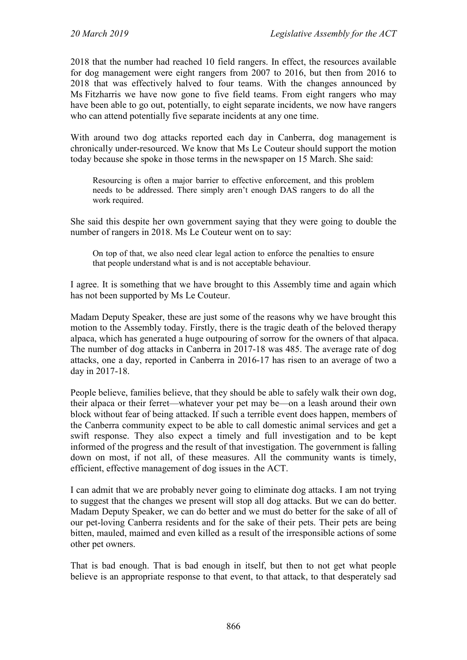2018 that the number had reached 10 field rangers. In effect, the resources available for dog management were eight rangers from 2007 to 2016, but then from 2016 to 2018 that was effectively halved to four teams. With the changes announced by Ms Fitzharris we have now gone to five field teams. From eight rangers who may have been able to go out, potentially, to eight separate incidents, we now have rangers who can attend potentially five separate incidents at any one time.

With around two dog attacks reported each day in Canberra, dog management is chronically under-resourced. We know that Ms Le Couteur should support the motion today because she spoke in those terms in the newspaper on 15 March. She said:

Resourcing is often a major barrier to effective enforcement, and this problem needs to be addressed. There simply aren't enough DAS rangers to do all the work required.

She said this despite her own government saying that they were going to double the number of rangers in 2018. Ms Le Couteur went on to say:

On top of that, we also need clear legal action to enforce the penalties to ensure that people understand what is and is not acceptable behaviour.

I agree. It is something that we have brought to this Assembly time and again which has not been supported by Ms Le Couteur.

Madam Deputy Speaker, these are just some of the reasons why we have brought this motion to the Assembly today. Firstly, there is the tragic death of the beloved therapy alpaca, which has generated a huge outpouring of sorrow for the owners of that alpaca. The number of dog attacks in Canberra in 2017-18 was 485. The average rate of dog attacks, one a day, reported in Canberra in 2016-17 has risen to an average of two a day in 2017-18.

People believe, families believe, that they should be able to safely walk their own dog, their alpaca or their ferret—whatever your pet may be—on a leash around their own block without fear of being attacked. If such a terrible event does happen, members of the Canberra community expect to be able to call domestic animal services and get a swift response. They also expect a timely and full investigation and to be kept informed of the progress and the result of that investigation. The government is falling down on most, if not all, of these measures. All the community wants is timely, efficient, effective management of dog issues in the ACT.

I can admit that we are probably never going to eliminate dog attacks. I am not trying to suggest that the changes we present will stop all dog attacks. But we can do better. Madam Deputy Speaker, we can do better and we must do better for the sake of all of our pet-loving Canberra residents and for the sake of their pets. Their pets are being bitten, mauled, maimed and even killed as a result of the irresponsible actions of some other pet owners.

That is bad enough. That is bad enough in itself, but then to not get what people believe is an appropriate response to that event, to that attack, to that desperately sad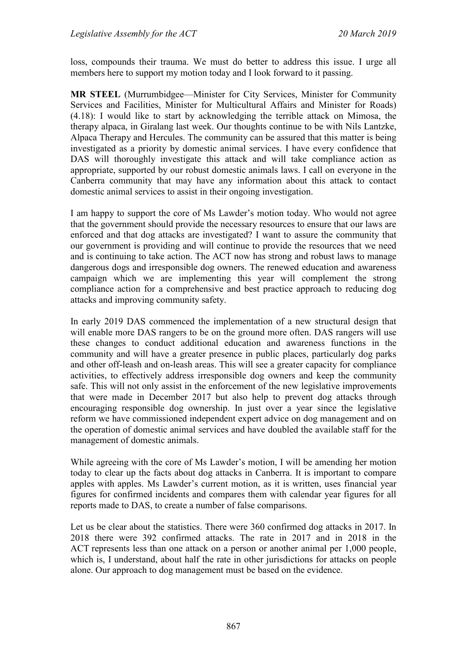loss, compounds their trauma. We must do better to address this issue. I urge all members here to support my motion today and I look forward to it passing.

**MR STEEL** (Murrumbidgee—Minister for City Services, Minister for Community Services and Facilities, Minister for Multicultural Affairs and Minister for Roads) (4.18): I would like to start by acknowledging the terrible attack on Mimosa, the therapy alpaca, in Giralang last week. Our thoughts continue to be with Nils Lantzke, Alpaca Therapy and Hercules. The community can be assured that this matter is being investigated as a priority by domestic animal services. I have every confidence that DAS will thoroughly investigate this attack and will take compliance action as appropriate, supported by our robust domestic animals laws. I call on everyone in the Canberra community that may have any information about this attack to contact domestic animal services to assist in their ongoing investigation.

I am happy to support the core of Ms Lawder's motion today. Who would not agree that the government should provide the necessary resources to ensure that our laws are enforced and that dog attacks are investigated? I want to assure the community that our government is providing and will continue to provide the resources that we need and is continuing to take action. The ACT now has strong and robust laws to manage dangerous dogs and irresponsible dog owners. The renewed education and awareness campaign which we are implementing this year will complement the strong compliance action for a comprehensive and best practice approach to reducing dog attacks and improving community safety.

In early 2019 DAS commenced the implementation of a new structural design that will enable more DAS rangers to be on the ground more often. DAS rangers will use these changes to conduct additional education and awareness functions in the community and will have a greater presence in public places, particularly dog parks and other off-leash and on-leash areas. This will see a greater capacity for compliance activities, to effectively address irresponsible dog owners and keep the community safe. This will not only assist in the enforcement of the new legislative improvements that were made in December 2017 but also help to prevent dog attacks through encouraging responsible dog ownership. In just over a year since the legislative reform we have commissioned independent expert advice on dog management and on the operation of domestic animal services and have doubled the available staff for the management of domestic animals.

While agreeing with the core of Ms Lawder's motion, I will be amending her motion today to clear up the facts about dog attacks in Canberra. It is important to compare apples with apples. Ms Lawder's current motion, as it is written, uses financial year figures for confirmed incidents and compares them with calendar year figures for all reports made to DAS, to create a number of false comparisons.

Let us be clear about the statistics. There were 360 confirmed dog attacks in 2017. In 2018 there were 392 confirmed attacks. The rate in 2017 and in 2018 in the ACT represents less than one attack on a person or another animal per 1,000 people, which is, I understand, about half the rate in other jurisdictions for attacks on people alone. Our approach to dog management must be based on the evidence.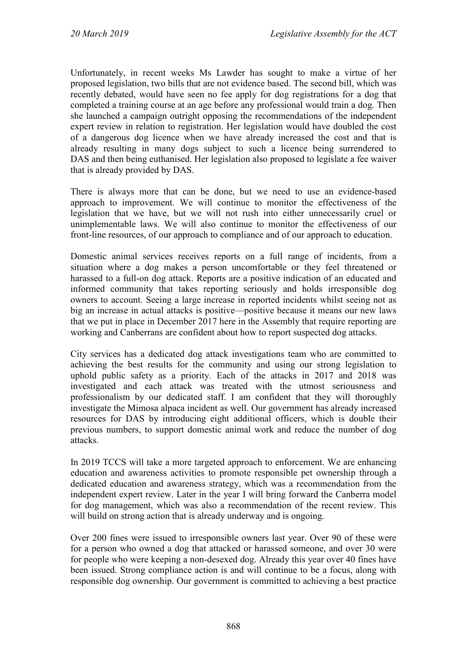Unfortunately, in recent weeks Ms Lawder has sought to make a virtue of her proposed legislation, two bills that are not evidence based. The second bill, which was recently debated, would have seen no fee apply for dog registrations for a dog that completed a training course at an age before any professional would train a dog. Then she launched a campaign outright opposing the recommendations of the independent expert review in relation to registration. Her legislation would have doubled the cost of a dangerous dog licence when we have already increased the cost and that is already resulting in many dogs subject to such a licence being surrendered to DAS and then being euthanised. Her legislation also proposed to legislate a fee waiver that is already provided by DAS.

There is always more that can be done, but we need to use an evidence-based approach to improvement. We will continue to monitor the effectiveness of the legislation that we have, but we will not rush into either unnecessarily cruel or unimplementable laws. We will also continue to monitor the effectiveness of our front-line resources, of our approach to compliance and of our approach to education.

Domestic animal services receives reports on a full range of incidents, from a situation where a dog makes a person uncomfortable or they feel threatened or harassed to a full-on dog attack. Reports are a positive indication of an educated and informed community that takes reporting seriously and holds irresponsible dog owners to account. Seeing a large increase in reported incidents whilst seeing not as big an increase in actual attacks is positive—positive because it means our new laws that we put in place in December 2017 here in the Assembly that require reporting are working and Canberrans are confident about how to report suspected dog attacks.

City services has a dedicated dog attack investigations team who are committed to achieving the best results for the community and using our strong legislation to uphold public safety as a priority. Each of the attacks in 2017 and 2018 was investigated and each attack was treated with the utmost seriousness and professionalism by our dedicated staff. I am confident that they will thoroughly investigate the Mimosa alpaca incident as well. Our government has already increased resources for DAS by introducing eight additional officers, which is double their previous numbers, to support domestic animal work and reduce the number of dog attacks.

In 2019 TCCS will take a more targeted approach to enforcement. We are enhancing education and awareness activities to promote responsible pet ownership through a dedicated education and awareness strategy, which was a recommendation from the independent expert review. Later in the year I will bring forward the Canberra model for dog management, which was also a recommendation of the recent review. This will build on strong action that is already underway and is ongoing.

Over 200 fines were issued to irresponsible owners last year. Over 90 of these were for a person who owned a dog that attacked or harassed someone, and over 30 were for people who were keeping a non-desexed dog. Already this year over 40 fines have been issued. Strong compliance action is and will continue to be a focus, along with responsible dog ownership. Our government is committed to achieving a best practice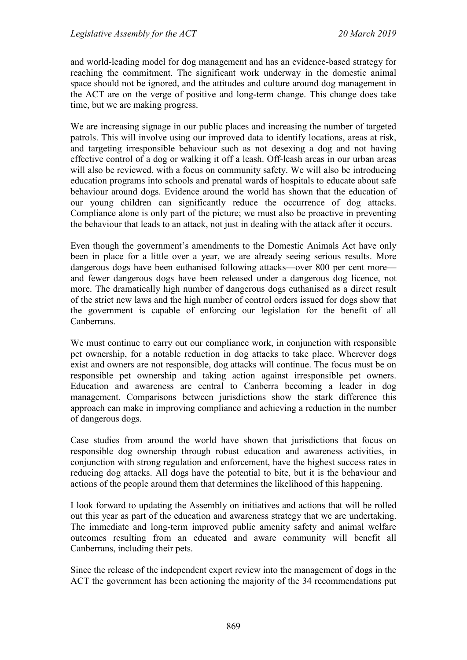and world-leading model for dog management and has an evidence-based strategy for reaching the commitment. The significant work underway in the domestic animal space should not be ignored, and the attitudes and culture around dog management in the ACT are on the verge of positive and long-term change. This change does take time, but we are making progress.

We are increasing signage in our public places and increasing the number of targeted patrols. This will involve using our improved data to identify locations, areas at risk, and targeting irresponsible behaviour such as not desexing a dog and not having effective control of a dog or walking it off a leash. Off-leash areas in our urban areas will also be reviewed, with a focus on community safety. We will also be introducing education programs into schools and prenatal wards of hospitals to educate about safe behaviour around dogs. Evidence around the world has shown that the education of our young children can significantly reduce the occurrence of dog attacks. Compliance alone is only part of the picture; we must also be proactive in preventing the behaviour that leads to an attack, not just in dealing with the attack after it occurs.

Even though the government's amendments to the Domestic Animals Act have only been in place for a little over a year, we are already seeing serious results. More dangerous dogs have been euthanised following attacks—over 800 per cent more and fewer dangerous dogs have been released under a dangerous dog licence, not more. The dramatically high number of dangerous dogs euthanised as a direct result of the strict new laws and the high number of control orders issued for dogs show that the government is capable of enforcing our legislation for the benefit of all Canberrans.

We must continue to carry out our compliance work, in conjunction with responsible pet ownership, for a notable reduction in dog attacks to take place. Wherever dogs exist and owners are not responsible, dog attacks will continue. The focus must be on responsible pet ownership and taking action against irresponsible pet owners. Education and awareness are central to Canberra becoming a leader in dog management. Comparisons between jurisdictions show the stark difference this approach can make in improving compliance and achieving a reduction in the number of dangerous dogs.

Case studies from around the world have shown that jurisdictions that focus on responsible dog ownership through robust education and awareness activities, in conjunction with strong regulation and enforcement, have the highest success rates in reducing dog attacks. All dogs have the potential to bite, but it is the behaviour and actions of the people around them that determines the likelihood of this happening.

I look forward to updating the Assembly on initiatives and actions that will be rolled out this year as part of the education and awareness strategy that we are undertaking. The immediate and long-term improved public amenity safety and animal welfare outcomes resulting from an educated and aware community will benefit all Canberrans, including their pets.

Since the release of the independent expert review into the management of dogs in the ACT the government has been actioning the majority of the 34 recommendations put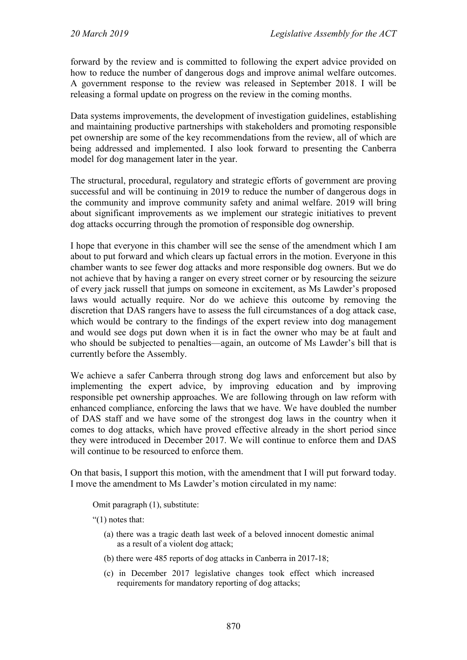forward by the review and is committed to following the expert advice provided on how to reduce the number of dangerous dogs and improve animal welfare outcomes. A government response to the review was released in September 2018. I will be releasing a formal update on progress on the review in the coming months.

Data systems improvements, the development of investigation guidelines, establishing and maintaining productive partnerships with stakeholders and promoting responsible pet ownership are some of the key recommendations from the review, all of which are being addressed and implemented. I also look forward to presenting the Canberra model for dog management later in the year.

The structural, procedural, regulatory and strategic efforts of government are proving successful and will be continuing in 2019 to reduce the number of dangerous dogs in the community and improve community safety and animal welfare. 2019 will bring about significant improvements as we implement our strategic initiatives to prevent dog attacks occurring through the promotion of responsible dog ownership.

I hope that everyone in this chamber will see the sense of the amendment which I am about to put forward and which clears up factual errors in the motion. Everyone in this chamber wants to see fewer dog attacks and more responsible dog owners. But we do not achieve that by having a ranger on every street corner or by resourcing the seizure of every jack russell that jumps on someone in excitement, as Ms Lawder's proposed laws would actually require. Nor do we achieve this outcome by removing the discretion that DAS rangers have to assess the full circumstances of a dog attack case, which would be contrary to the findings of the expert review into dog management and would see dogs put down when it is in fact the owner who may be at fault and who should be subjected to penalties—again, an outcome of Ms Lawder's bill that is currently before the Assembly.

We achieve a safer Canberra through strong dog laws and enforcement but also by implementing the expert advice, by improving education and by improving responsible pet ownership approaches. We are following through on law reform with enhanced compliance, enforcing the laws that we have. We have doubled the number of DAS staff and we have some of the strongest dog laws in the country when it comes to dog attacks, which have proved effective already in the short period since they were introduced in December 2017. We will continue to enforce them and DAS will continue to be resourced to enforce them.

On that basis, I support this motion, with the amendment that I will put forward today. I move the amendment to Ms Lawder's motion circulated in my name:

Omit paragraph (1), substitute:

"(1) notes that:

- (a) there was a tragic death last week of a beloved innocent domestic animal as a result of a violent dog attack;
- (b) there were 485 reports of dog attacks in Canberra in 2017-18;
- (c) in December 2017 legislative changes took effect which increased requirements for mandatory reporting of dog attacks;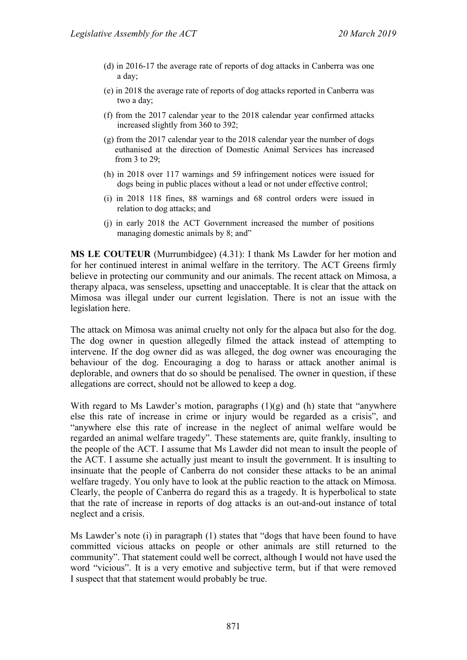- (d) in 2016-17 the average rate of reports of dog attacks in Canberra was one a day;
- (e) in 2018 the average rate of reports of dog attacks reported in Canberra was two a day;
- (f) from the 2017 calendar year to the 2018 calendar year confirmed attacks increased slightly from 360 to 392;
- (g) from the 2017 calendar year to the 2018 calendar year the number of dogs euthanised at the direction of Domestic Animal Services has increased from 3 to 29;
- (h) in 2018 over 117 warnings and 59 infringement notices were issued for dogs being in public places without a lead or not under effective control;
- (i) in 2018 118 fines, 88 warnings and 68 control orders were issued in relation to dog attacks; and
- (j) in early 2018 the ACT Government increased the number of positions managing domestic animals by 8; and"

**MS LE COUTEUR** (Murrumbidgee) (4.31): I thank Ms Lawder for her motion and for her continued interest in animal welfare in the territory. The ACT Greens firmly believe in protecting our community and our animals. The recent attack on Mimosa, a therapy alpaca, was senseless, upsetting and unacceptable. It is clear that the attack on Mimosa was illegal under our current legislation. There is not an issue with the legislation here.

The attack on Mimosa was animal cruelty not only for the alpaca but also for the dog. The dog owner in question allegedly filmed the attack instead of attempting to intervene. If the dog owner did as was alleged, the dog owner was encouraging the behaviour of the dog. Encouraging a dog to harass or attack another animal is deplorable, and owners that do so should be penalised. The owner in question, if these allegations are correct, should not be allowed to keep a dog.

With regard to Ms Lawder's motion, paragraphs  $(1)(g)$  and  $(h)$  state that "anywhere" else this rate of increase in crime or injury would be regarded as a crisis", and "anywhere else this rate of increase in the neglect of animal welfare would be regarded an animal welfare tragedy". These statements are, quite frankly, insulting to the people of the ACT. I assume that Ms Lawder did not mean to insult the people of the ACT. I assume she actually just meant to insult the government. It is insulting to insinuate that the people of Canberra do not consider these attacks to be an animal welfare tragedy. You only have to look at the public reaction to the attack on Mimosa. Clearly, the people of Canberra do regard this as a tragedy. It is hyperbolical to state that the rate of increase in reports of dog attacks is an out-and-out instance of total neglect and a crisis.

Ms Lawder's note (i) in paragraph (1) states that "dogs that have been found to have committed vicious attacks on people or other animals are still returned to the community". That statement could well be correct, although I would not have used the word "vicious". It is a very emotive and subjective term, but if that were removed I suspect that that statement would probably be true.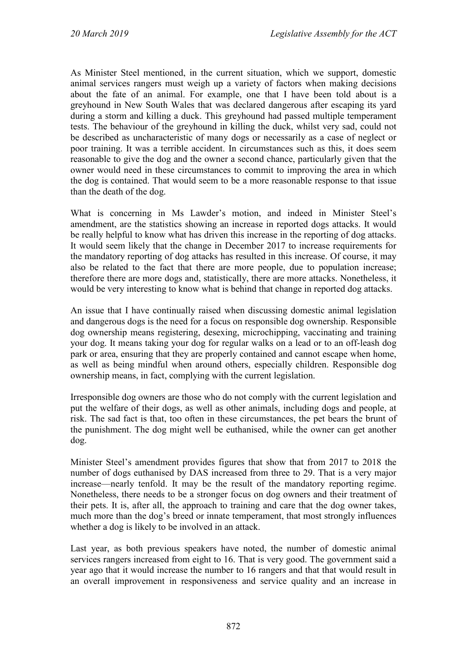As Minister Steel mentioned, in the current situation, which we support, domestic animal services rangers must weigh up a variety of factors when making decisions about the fate of an animal. For example, one that I have been told about is a greyhound in New South Wales that was declared dangerous after escaping its yard during a storm and killing a duck. This greyhound had passed multiple temperament tests. The behaviour of the greyhound in killing the duck, whilst very sad, could not be described as uncharacteristic of many dogs or necessarily as a case of neglect or poor training. It was a terrible accident. In circumstances such as this, it does seem reasonable to give the dog and the owner a second chance, particularly given that the owner would need in these circumstances to commit to improving the area in which the dog is contained. That would seem to be a more reasonable response to that issue than the death of the dog.

What is concerning in Ms Lawder's motion, and indeed in Minister Steel's amendment, are the statistics showing an increase in reported dogs attacks. It would be really helpful to know what has driven this increase in the reporting of dog attacks. It would seem likely that the change in December 2017 to increase requirements for the mandatory reporting of dog attacks has resulted in this increase. Of course, it may also be related to the fact that there are more people, due to population increase; therefore there are more dogs and, statistically, there are more attacks. Nonetheless, it would be very interesting to know what is behind that change in reported dog attacks.

An issue that I have continually raised when discussing domestic animal legislation and dangerous dogs is the need for a focus on responsible dog ownership. Responsible dog ownership means registering, desexing, microchipping, vaccinating and training your dog. It means taking your dog for regular walks on a lead or to an off-leash dog park or area, ensuring that they are properly contained and cannot escape when home, as well as being mindful when around others, especially children. Responsible dog ownership means, in fact, complying with the current legislation.

Irresponsible dog owners are those who do not comply with the current legislation and put the welfare of their dogs, as well as other animals, including dogs and people, at risk. The sad fact is that, too often in these circumstances, the pet bears the brunt of the punishment. The dog might well be euthanised, while the owner can get another dog.

Minister Steel's amendment provides figures that show that from 2017 to 2018 the number of dogs euthanised by DAS increased from three to 29. That is a very major increase—nearly tenfold. It may be the result of the mandatory reporting regime. Nonetheless, there needs to be a stronger focus on dog owners and their treatment of their pets. It is, after all, the approach to training and care that the dog owner takes, much more than the dog's breed or innate temperament, that most strongly influences whether a dog is likely to be involved in an attack.

Last year, as both previous speakers have noted, the number of domestic animal services rangers increased from eight to 16. That is very good. The government said a year ago that it would increase the number to 16 rangers and that that would result in an overall improvement in responsiveness and service quality and an increase in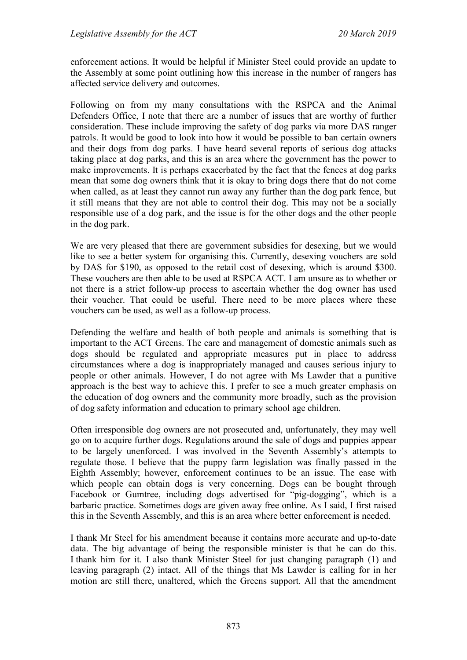enforcement actions. It would be helpful if Minister Steel could provide an update to the Assembly at some point outlining how this increase in the number of rangers has affected service delivery and outcomes.

Following on from my many consultations with the RSPCA and the Animal Defenders Office, I note that there are a number of issues that are worthy of further consideration. These include improving the safety of dog parks via more DAS ranger patrols. It would be good to look into how it would be possible to ban certain owners and their dogs from dog parks. I have heard several reports of serious dog attacks taking place at dog parks, and this is an area where the government has the power to make improvements. It is perhaps exacerbated by the fact that the fences at dog parks mean that some dog owners think that it is okay to bring dogs there that do not come when called, as at least they cannot run away any further than the dog park fence, but it still means that they are not able to control their dog. This may not be a socially responsible use of a dog park, and the issue is for the other dogs and the other people in the dog park.

We are very pleased that there are government subsidies for desexing, but we would like to see a better system for organising this. Currently, desexing vouchers are sold by DAS for \$190, as opposed to the retail cost of desexing, which is around \$300. These vouchers are then able to be used at RSPCA ACT. I am unsure as to whether or not there is a strict follow-up process to ascertain whether the dog owner has used their voucher. That could be useful. There need to be more places where these vouchers can be used, as well as a follow-up process.

Defending the welfare and health of both people and animals is something that is important to the ACT Greens. The care and management of domestic animals such as dogs should be regulated and appropriate measures put in place to address circumstances where a dog is inappropriately managed and causes serious injury to people or other animals. However, I do not agree with Ms Lawder that a punitive approach is the best way to achieve this. I prefer to see a much greater emphasis on the education of dog owners and the community more broadly, such as the provision of dog safety information and education to primary school age children.

Often irresponsible dog owners are not prosecuted and, unfortunately, they may well go on to acquire further dogs. Regulations around the sale of dogs and puppies appear to be largely unenforced. I was involved in the Seventh Assembly's attempts to regulate those. I believe that the puppy farm legislation was finally passed in the Eighth Assembly; however, enforcement continues to be an issue. The ease with which people can obtain dogs is very concerning. Dogs can be bought through Facebook or Gumtree, including dogs advertised for "pig-dogging", which is a barbaric practice. Sometimes dogs are given away free online. As I said, I first raised this in the Seventh Assembly, and this is an area where better enforcement is needed.

I thank Mr Steel for his amendment because it contains more accurate and up-to-date data. The big advantage of being the responsible minister is that he can do this. I thank him for it. I also thank Minister Steel for just changing paragraph (1) and leaving paragraph (2) intact. All of the things that Ms Lawder is calling for in her motion are still there, unaltered, which the Greens support. All that the amendment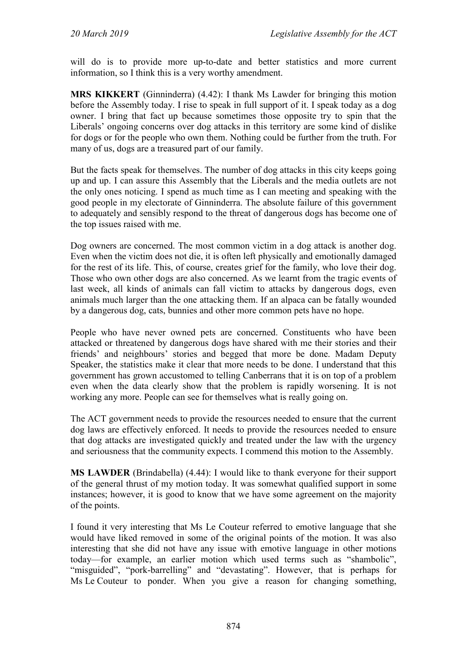will do is to provide more up-to-date and better statistics and more current information, so I think this is a very worthy amendment.

**MRS KIKKERT** (Ginninderra) (4.42): I thank Ms Lawder for bringing this motion before the Assembly today. I rise to speak in full support of it. I speak today as a dog owner. I bring that fact up because sometimes those opposite try to spin that the Liberals' ongoing concerns over dog attacks in this territory are some kind of dislike for dogs or for the people who own them. Nothing could be further from the truth. For many of us, dogs are a treasured part of our family.

But the facts speak for themselves. The number of dog attacks in this city keeps going up and up. I can assure this Assembly that the Liberals and the media outlets are not the only ones noticing. I spend as much time as I can meeting and speaking with the good people in my electorate of Ginninderra. The absolute failure of this government to adequately and sensibly respond to the threat of dangerous dogs has become one of the top issues raised with me.

Dog owners are concerned. The most common victim in a dog attack is another dog. Even when the victim does not die, it is often left physically and emotionally damaged for the rest of its life. This, of course, creates grief for the family, who love their dog. Those who own other dogs are also concerned. As we learnt from the tragic events of last week, all kinds of animals can fall victim to attacks by dangerous dogs, even animals much larger than the one attacking them. If an alpaca can be fatally wounded by a dangerous dog, cats, bunnies and other more common pets have no hope.

People who have never owned pets are concerned. Constituents who have been attacked or threatened by dangerous dogs have shared with me their stories and their friends' and neighbours' stories and begged that more be done. Madam Deputy Speaker, the statistics make it clear that more needs to be done. I understand that this government has grown accustomed to telling Canberrans that it is on top of a problem even when the data clearly show that the problem is rapidly worsening. It is not working any more. People can see for themselves what is really going on.

The ACT government needs to provide the resources needed to ensure that the current dog laws are effectively enforced. It needs to provide the resources needed to ensure that dog attacks are investigated quickly and treated under the law with the urgency and seriousness that the community expects. I commend this motion to the Assembly.

**MS LAWDER** (Brindabella) (4.44): I would like to thank everyone for their support of the general thrust of my motion today. It was somewhat qualified support in some instances; however, it is good to know that we have some agreement on the majority of the points.

I found it very interesting that Ms Le Couteur referred to emotive language that she would have liked removed in some of the original points of the motion. It was also interesting that she did not have any issue with emotive language in other motions today—for example, an earlier motion which used terms such as "shambolic", "misguided", "pork-barrelling" and "devastating". However, that is perhaps for Ms Le Couteur to ponder. When you give a reason for changing something,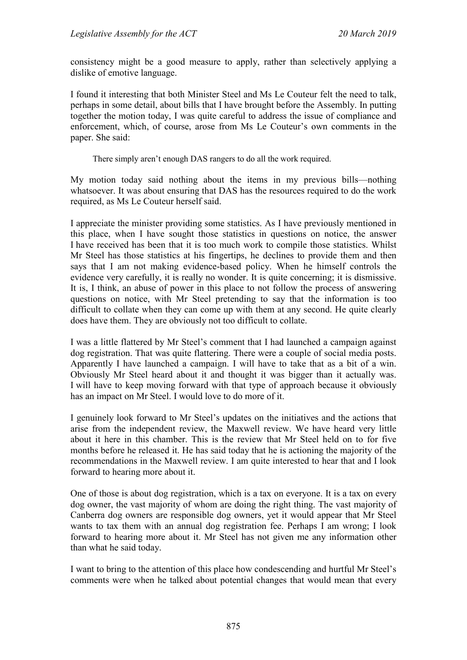consistency might be a good measure to apply, rather than selectively applying a dislike of emotive language.

I found it interesting that both Minister Steel and Ms Le Couteur felt the need to talk, perhaps in some detail, about bills that I have brought before the Assembly. In putting together the motion today, I was quite careful to address the issue of compliance and enforcement, which, of course, arose from Ms Le Couteur's own comments in the paper. She said:

There simply aren't enough DAS rangers to do all the work required.

My motion today said nothing about the items in my previous bills—nothing whatsoever. It was about ensuring that DAS has the resources required to do the work required, as Ms Le Couteur herself said.

I appreciate the minister providing some statistics. As I have previously mentioned in this place, when I have sought those statistics in questions on notice, the answer I have received has been that it is too much work to compile those statistics. Whilst Mr Steel has those statistics at his fingertips, he declines to provide them and then says that I am not making evidence-based policy. When he himself controls the evidence very carefully, it is really no wonder. It is quite concerning; it is dismissive. It is, I think, an abuse of power in this place to not follow the process of answering questions on notice, with Mr Steel pretending to say that the information is too difficult to collate when they can come up with them at any second. He quite clearly does have them. They are obviously not too difficult to collate.

I was a little flattered by Mr Steel's comment that I had launched a campaign against dog registration. That was quite flattering. There were a couple of social media posts. Apparently I have launched a campaign. I will have to take that as a bit of a win. Obviously Mr Steel heard about it and thought it was bigger than it actually was. I will have to keep moving forward with that type of approach because it obviously has an impact on Mr Steel. I would love to do more of it.

I genuinely look forward to Mr Steel's updates on the initiatives and the actions that arise from the independent review, the Maxwell review. We have heard very little about it here in this chamber. This is the review that Mr Steel held on to for five months before he released it. He has said today that he is actioning the majority of the recommendations in the Maxwell review. I am quite interested to hear that and I look forward to hearing more about it.

One of those is about dog registration, which is a tax on everyone. It is a tax on every dog owner, the vast majority of whom are doing the right thing. The vast majority of Canberra dog owners are responsible dog owners, yet it would appear that Mr Steel wants to tax them with an annual dog registration fee. Perhaps I am wrong; I look forward to hearing more about it. Mr Steel has not given me any information other than what he said today.

I want to bring to the attention of this place how condescending and hurtful Mr Steel's comments were when he talked about potential changes that would mean that every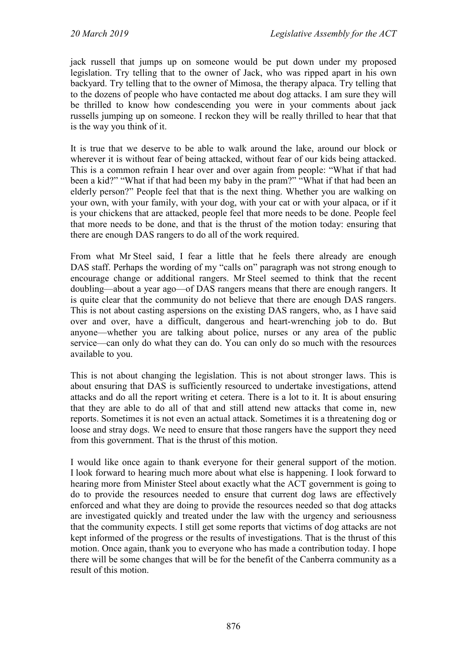jack russell that jumps up on someone would be put down under my proposed legislation. Try telling that to the owner of Jack, who was ripped apart in his own backyard. Try telling that to the owner of Mimosa, the therapy alpaca. Try telling that to the dozens of people who have contacted me about dog attacks. I am sure they will be thrilled to know how condescending you were in your comments about jack russells jumping up on someone. I reckon they will be really thrilled to hear that that is the way you think of it.

It is true that we deserve to be able to walk around the lake, around our block or wherever it is without fear of being attacked, without fear of our kids being attacked. This is a common refrain I hear over and over again from people: "What if that had been a kid?" "What if that had been my baby in the pram?" "What if that had been an elderly person?" People feel that that is the next thing. Whether you are walking on your own, with your family, with your dog, with your cat or with your alpaca, or if it is your chickens that are attacked, people feel that more needs to be done. People feel that more needs to be done, and that is the thrust of the motion today: ensuring that there are enough DAS rangers to do all of the work required.

From what Mr Steel said, I fear a little that he feels there already are enough DAS staff. Perhaps the wording of my "calls on" paragraph was not strong enough to encourage change or additional rangers. Mr Steel seemed to think that the recent doubling—about a year ago—of DAS rangers means that there are enough rangers. It is quite clear that the community do not believe that there are enough DAS rangers. This is not about casting aspersions on the existing DAS rangers, who, as I have said over and over, have a difficult, dangerous and heart-wrenching job to do. But anyone—whether you are talking about police, nurses or any area of the public service—can only do what they can do. You can only do so much with the resources available to you.

This is not about changing the legislation. This is not about stronger laws. This is about ensuring that DAS is sufficiently resourced to undertake investigations, attend attacks and do all the report writing et cetera. There is a lot to it. It is about ensuring that they are able to do all of that and still attend new attacks that come in, new reports. Sometimes it is not even an actual attack. Sometimes it is a threatening dog or loose and stray dogs. We need to ensure that those rangers have the support they need from this government. That is the thrust of this motion.

I would like once again to thank everyone for their general support of the motion. I look forward to hearing much more about what else is happening. I look forward to hearing more from Minister Steel about exactly what the ACT government is going to do to provide the resources needed to ensure that current dog laws are effectively enforced and what they are doing to provide the resources needed so that dog attacks are investigated quickly and treated under the law with the urgency and seriousness that the community expects. I still get some reports that victims of dog attacks are not kept informed of the progress or the results of investigations. That is the thrust of this motion. Once again, thank you to everyone who has made a contribution today. I hope there will be some changes that will be for the benefit of the Canberra community as a result of this motion.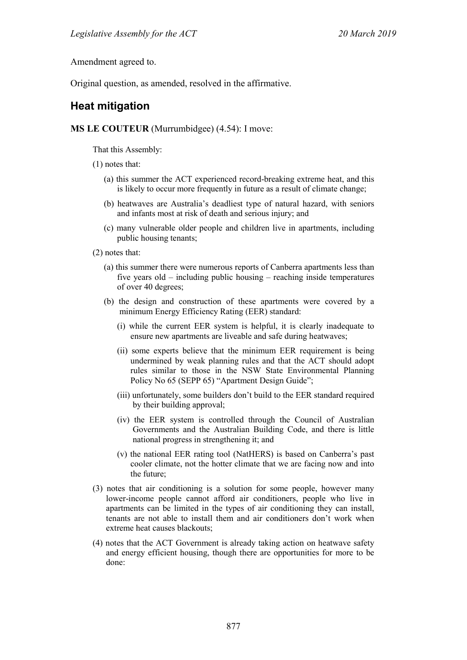Amendment agreed to.

Original question, as amended, resolved in the affirmative.

## **Heat mitigation**

## **MS LE COUTEUR** (Murrumbidgee) (4.54): I move:

That this Assembly:

- (1) notes that:
	- (a) this summer the ACT experienced record-breaking extreme heat, and this is likely to occur more frequently in future as a result of climate change;
	- (b) heatwaves are Australia's deadliest type of natural hazard, with seniors and infants most at risk of death and serious injury; and
	- (c) many vulnerable older people and children live in apartments, including public housing tenants;
- (2) notes that:
	- (a) this summer there were numerous reports of Canberra apartments less than five years old – including public housing – reaching inside temperatures of over 40 degrees;
	- (b) the design and construction of these apartments were covered by a minimum Energy Efficiency Rating (EER) standard:
		- (i) while the current EER system is helpful, it is clearly inadequate to ensure new apartments are liveable and safe during heatwaves;
		- (ii) some experts believe that the minimum EER requirement is being undermined by weak planning rules and that the ACT should adopt rules similar to those in the NSW State Environmental Planning Policy No 65 (SEPP 65) "Apartment Design Guide";
		- (iii) unfortunately, some builders don't build to the EER standard required by their building approval;
		- (iv) the EER system is controlled through the Council of Australian Governments and the Australian Building Code, and there is little national progress in strengthening it; and
		- (v) the national EER rating tool (NatHERS) is based on Canberra's past cooler climate, not the hotter climate that we are facing now and into the future;
- (3) notes that air conditioning is a solution for some people, however many lower-income people cannot afford air conditioners, people who live in apartments can be limited in the types of air conditioning they can install, tenants are not able to install them and air conditioners don't work when extreme heat causes blackouts;
- (4) notes that the ACT Government is already taking action on heatwave safety and energy efficient housing, though there are opportunities for more to be done: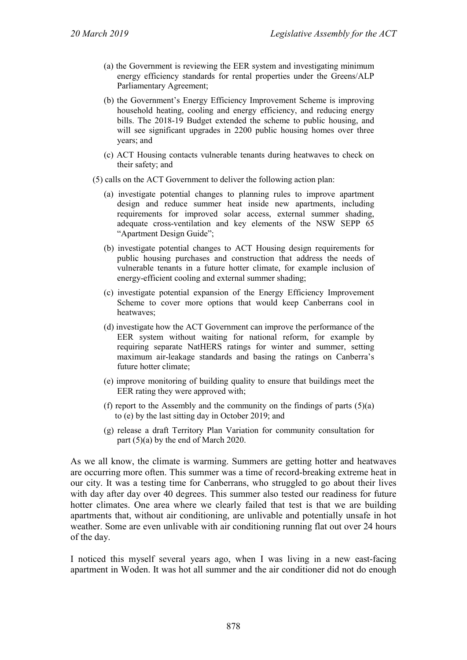- (a) the Government is reviewing the EER system and investigating minimum energy efficiency standards for rental properties under the Greens/ALP Parliamentary Agreement;
- (b) the Government's Energy Efficiency Improvement Scheme is improving household heating, cooling and energy efficiency, and reducing energy bills. The 2018-19 Budget extended the scheme to public housing, and will see significant upgrades in 2200 public housing homes over three years; and
- (c) ACT Housing contacts vulnerable tenants during heatwaves to check on their safety; and
- (5) calls on the ACT Government to deliver the following action plan:
	- (a) investigate potential changes to planning rules to improve apartment design and reduce summer heat inside new apartments, including requirements for improved solar access, external summer shading, adequate cross-ventilation and key elements of the NSW SEPP 65 "Apartment Design Guide";
	- (b) investigate potential changes to ACT Housing design requirements for public housing purchases and construction that address the needs of vulnerable tenants in a future hotter climate, for example inclusion of energy-efficient cooling and external summer shading;
	- (c) investigate potential expansion of the Energy Efficiency Improvement Scheme to cover more options that would keep Canberrans cool in heatwaves;
	- (d) investigate how the ACT Government can improve the performance of the EER system without waiting for national reform, for example by requiring separate NatHERS ratings for winter and summer, setting maximum air-leakage standards and basing the ratings on Canberra's future hotter climate;
	- (e) improve monitoring of building quality to ensure that buildings meet the EER rating they were approved with;
	- (f) report to the Assembly and the community on the findings of parts  $(5)(a)$ to (e) by the last sitting day in October 2019; and
	- (g) release a draft Territory Plan Variation for community consultation for part (5)(a) by the end of March 2020.

As we all know, the climate is warming. Summers are getting hotter and heatwaves are occurring more often. This summer was a time of record-breaking extreme heat in our city. It was a testing time for Canberrans, who struggled to go about their lives with day after day over 40 degrees. This summer also tested our readiness for future hotter climates. One area where we clearly failed that test is that we are building apartments that, without air conditioning, are unlivable and potentially unsafe in hot weather. Some are even unlivable with air conditioning running flat out over 24 hours of the day.

I noticed this myself several years ago, when I was living in a new east-facing apartment in Woden. It was hot all summer and the air conditioner did not do enough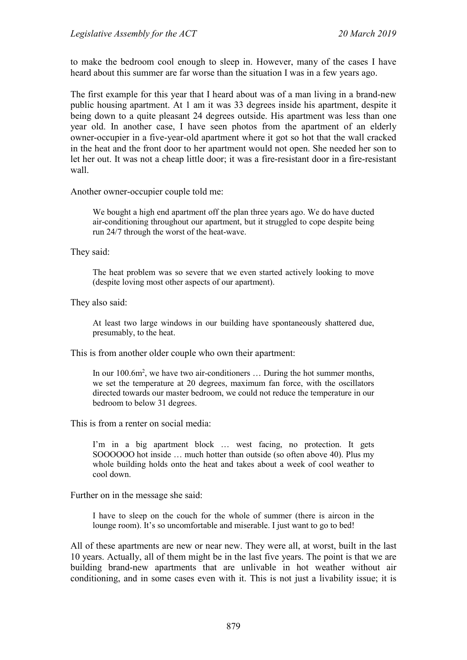to make the bedroom cool enough to sleep in. However, many of the cases I have heard about this summer are far worse than the situation I was in a few years ago.

The first example for this year that I heard about was of a man living in a brand-new public housing apartment. At 1 am it was 33 degrees inside his apartment, despite it being down to a quite pleasant 24 degrees outside. His apartment was less than one year old. In another case, I have seen photos from the apartment of an elderly owner-occupier in a five-year-old apartment where it got so hot that the wall cracked in the heat and the front door to her apartment would not open. She needed her son to let her out. It was not a cheap little door; it was a fire-resistant door in a fire-resistant wall.

Another owner-occupier couple told me:

We bought a high end apartment off the plan three years ago. We do have ducted air-conditioning throughout our apartment, but it struggled to cope despite being run 24/7 through the worst of the heat-wave.

They said:

The heat problem was so severe that we even started actively looking to move (despite loving most other aspects of our apartment).

They also said:

At least two large windows in our building have spontaneously shattered due, presumably, to the heat.

This is from another older couple who own their apartment:

In our  $100.6m^2$ , we have two air-conditioners ... During the hot summer months, we set the temperature at 20 degrees, maximum fan force, with the oscillators directed towards our master bedroom, we could not reduce the temperature in our bedroom to below 31 degrees.

This is from a renter on social media:

I'm in a big apartment block ... west facing, no protection. It gets SOOOOOO hot inside … much hotter than outside (so often above 40). Plus my whole building holds onto the heat and takes about a week of cool weather to cool down.

Further on in the message she said:

I have to sleep on the couch for the whole of summer (there is aircon in the lounge room). It's so uncomfortable and miserable. I just want to go to bed!

All of these apartments are new or near new. They were all, at worst, built in the last 10 years. Actually, all of them might be in the last five years. The point is that we are building brand-new apartments that are unlivable in hot weather without air conditioning, and in some cases even with it. This is not just a livability issue; it is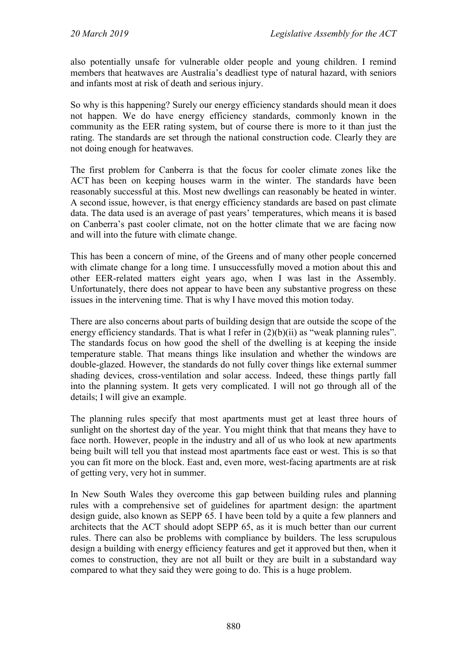also potentially unsafe for vulnerable older people and young children. I remind members that heatwaves are Australia's deadliest type of natural hazard, with seniors and infants most at risk of death and serious injury.

So why is this happening? Surely our energy efficiency standards should mean it does not happen. We do have energy efficiency standards, commonly known in the community as the EER rating system, but of course there is more to it than just the rating. The standards are set through the national construction code. Clearly they are not doing enough for heatwaves.

The first problem for Canberra is that the focus for cooler climate zones like the ACT has been on keeping houses warm in the winter. The standards have been reasonably successful at this. Most new dwellings can reasonably be heated in winter. A second issue, however, is that energy efficiency standards are based on past climate data. The data used is an average of past years' temperatures, which means it is based on Canberra's past cooler climate, not on the hotter climate that we are facing now and will into the future with climate change.

This has been a concern of mine, of the Greens and of many other people concerned with climate change for a long time. I unsuccessfully moved a motion about this and other EER-related matters eight years ago, when I was last in the Assembly. Unfortunately, there does not appear to have been any substantive progress on these issues in the intervening time. That is why I have moved this motion today.

There are also concerns about parts of building design that are outside the scope of the energy efficiency standards. That is what I refer in  $(2)(b)(ii)$  as "weak planning rules". The standards focus on how good the shell of the dwelling is at keeping the inside temperature stable. That means things like insulation and whether the windows are double-glazed. However, the standards do not fully cover things like external summer shading devices, cross-ventilation and solar access. Indeed, these things partly fall into the planning system. It gets very complicated. I will not go through all of the details; I will give an example.

The planning rules specify that most apartments must get at least three hours of sunlight on the shortest day of the year. You might think that that means they have to face north. However, people in the industry and all of us who look at new apartments being built will tell you that instead most apartments face east or west. This is so that you can fit more on the block. East and, even more, west-facing apartments are at risk of getting very, very hot in summer.

In New South Wales they overcome this gap between building rules and planning rules with a comprehensive set of guidelines for apartment design: the apartment design guide, also known as SEPP 65. I have been told by a quite a few planners and architects that the ACT should adopt SEPP 65, as it is much better than our current rules. There can also be problems with compliance by builders. The less scrupulous design a building with energy efficiency features and get it approved but then, when it comes to construction, they are not all built or they are built in a substandard way compared to what they said they were going to do. This is a huge problem.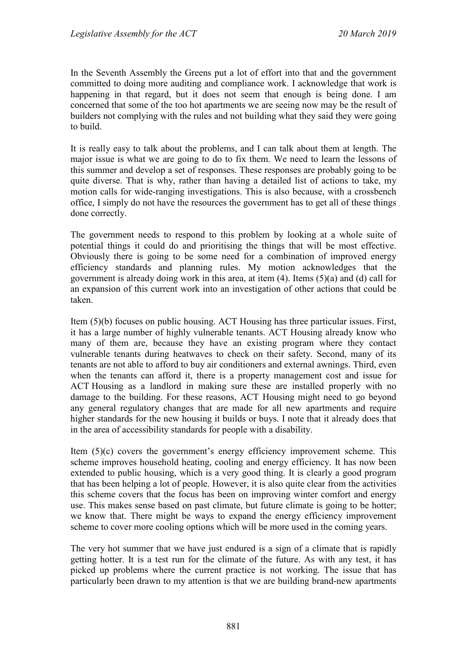In the Seventh Assembly the Greens put a lot of effort into that and the government committed to doing more auditing and compliance work. I acknowledge that work is happening in that regard, but it does not seem that enough is being done. I am concerned that some of the too hot apartments we are seeing now may be the result of builders not complying with the rules and not building what they said they were going to build.

It is really easy to talk about the problems, and I can talk about them at length. The major issue is what we are going to do to fix them. We need to learn the lessons of this summer and develop a set of responses. These responses are probably going to be quite diverse. That is why, rather than having a detailed list of actions to take, my motion calls for wide-ranging investigations. This is also because, with a crossbench office, I simply do not have the resources the government has to get all of these things done correctly.

The government needs to respond to this problem by looking at a whole suite of potential things it could do and prioritising the things that will be most effective. Obviously there is going to be some need for a combination of improved energy efficiency standards and planning rules. My motion acknowledges that the government is already doing work in this area, at item (4). Items (5)(a) and (d) call for an expansion of this current work into an investigation of other actions that could be taken.

Item (5)(b) focuses on public housing. ACT Housing has three particular issues. First, it has a large number of highly vulnerable tenants. ACT Housing already know who many of them are, because they have an existing program where they contact vulnerable tenants during heatwaves to check on their safety. Second, many of its tenants are not able to afford to buy air conditioners and external awnings. Third, even when the tenants can afford it, there is a property management cost and issue for ACT Housing as a landlord in making sure these are installed properly with no damage to the building. For these reasons, ACT Housing might need to go beyond any general regulatory changes that are made for all new apartments and require higher standards for the new housing it builds or buys. I note that it already does that in the area of accessibility standards for people with a disability.

Item (5)(c) covers the government's energy efficiency improvement scheme. This scheme improves household heating, cooling and energy efficiency. It has now been extended to public housing, which is a very good thing. It is clearly a good program that has been helping a lot of people. However, it is also quite clear from the activities this scheme covers that the focus has been on improving winter comfort and energy use. This makes sense based on past climate, but future climate is going to be hotter; we know that. There might be ways to expand the energy efficiency improvement scheme to cover more cooling options which will be more used in the coming years.

The very hot summer that we have just endured is a sign of a climate that is rapidly getting hotter. It is a test run for the climate of the future. As with any test, it has picked up problems where the current practice is not working. The issue that has particularly been drawn to my attention is that we are building brand-new apartments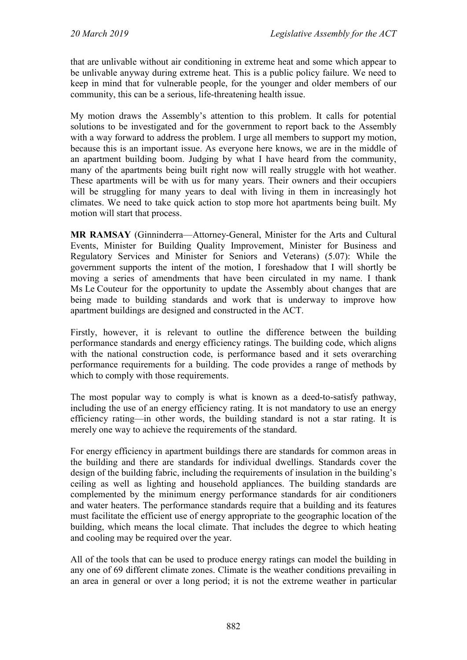that are unlivable without air conditioning in extreme heat and some which appear to be unlivable anyway during extreme heat. This is a public policy failure. We need to keep in mind that for vulnerable people, for the younger and older members of our community, this can be a serious, life-threatening health issue.

My motion draws the Assembly's attention to this problem. It calls for potential solutions to be investigated and for the government to report back to the Assembly with a way forward to address the problem. I urge all members to support my motion, because this is an important issue. As everyone here knows, we are in the middle of an apartment building boom. Judging by what I have heard from the community, many of the apartments being built right now will really struggle with hot weather. These apartments will be with us for many years. Their owners and their occupiers will be struggling for many years to deal with living in them in increasingly hot climates. We need to take quick action to stop more hot apartments being built. My motion will start that process.

**MR RAMSAY** (Ginninderra—Attorney-General, Minister for the Arts and Cultural Events, Minister for Building Quality Improvement, Minister for Business and Regulatory Services and Minister for Seniors and Veterans) (5.07): While the government supports the intent of the motion, I foreshadow that I will shortly be moving a series of amendments that have been circulated in my name. I thank Ms Le Couteur for the opportunity to update the Assembly about changes that are being made to building standards and work that is underway to improve how apartment buildings are designed and constructed in the ACT.

Firstly, however, it is relevant to outline the difference between the building performance standards and energy efficiency ratings. The building code, which aligns with the national construction code, is performance based and it sets overarching performance requirements for a building. The code provides a range of methods by which to comply with those requirements.

The most popular way to comply is what is known as a deed-to-satisfy pathway, including the use of an energy efficiency rating. It is not mandatory to use an energy efficiency rating—in other words, the building standard is not a star rating. It is merely one way to achieve the requirements of the standard.

For energy efficiency in apartment buildings there are standards for common areas in the building and there are standards for individual dwellings. Standards cover the design of the building fabric, including the requirements of insulation in the building's ceiling as well as lighting and household appliances. The building standards are complemented by the minimum energy performance standards for air conditioners and water heaters. The performance standards require that a building and its features must facilitate the efficient use of energy appropriate to the geographic location of the building, which means the local climate. That includes the degree to which heating and cooling may be required over the year.

All of the tools that can be used to produce energy ratings can model the building in any one of 69 different climate zones. Climate is the weather conditions prevailing in an area in general or over a long period; it is not the extreme weather in particular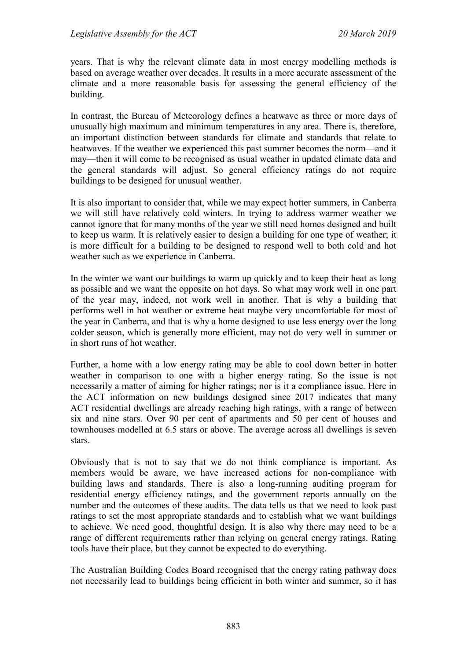years. That is why the relevant climate data in most energy modelling methods is based on average weather over decades. It results in a more accurate assessment of the climate and a more reasonable basis for assessing the general efficiency of the building.

In contrast, the Bureau of Meteorology defines a heatwave as three or more days of unusually high maximum and minimum temperatures in any area. There is, therefore, an important distinction between standards for climate and standards that relate to heatwaves. If the weather we experienced this past summer becomes the norm—and it may—then it will come to be recognised as usual weather in updated climate data and the general standards will adjust. So general efficiency ratings do not require buildings to be designed for unusual weather.

It is also important to consider that, while we may expect hotter summers, in Canberra we will still have relatively cold winters. In trying to address warmer weather we cannot ignore that for many months of the year we still need homes designed and built to keep us warm. It is relatively easier to design a building for one type of weather; it is more difficult for a building to be designed to respond well to both cold and hot weather such as we experience in Canberra.

In the winter we want our buildings to warm up quickly and to keep their heat as long as possible and we want the opposite on hot days. So what may work well in one part of the year may, indeed, not work well in another. That is why a building that performs well in hot weather or extreme heat maybe very uncomfortable for most of the year in Canberra, and that is why a home designed to use less energy over the long colder season, which is generally more efficient, may not do very well in summer or in short runs of hot weather.

Further, a home with a low energy rating may be able to cool down better in hotter weather in comparison to one with a higher energy rating. So the issue is not necessarily a matter of aiming for higher ratings; nor is it a compliance issue. Here in the ACT information on new buildings designed since 2017 indicates that many ACT residential dwellings are already reaching high ratings, with a range of between six and nine stars. Over 90 per cent of apartments and 50 per cent of houses and townhouses modelled at 6.5 stars or above. The average across all dwellings is seven stars.

Obviously that is not to say that we do not think compliance is important. As members would be aware, we have increased actions for non-compliance with building laws and standards. There is also a long-running auditing program for residential energy efficiency ratings, and the government reports annually on the number and the outcomes of these audits. The data tells us that we need to look past ratings to set the most appropriate standards and to establish what we want buildings to achieve. We need good, thoughtful design. It is also why there may need to be a range of different requirements rather than relying on general energy ratings. Rating tools have their place, but they cannot be expected to do everything.

The Australian Building Codes Board recognised that the energy rating pathway does not necessarily lead to buildings being efficient in both winter and summer, so it has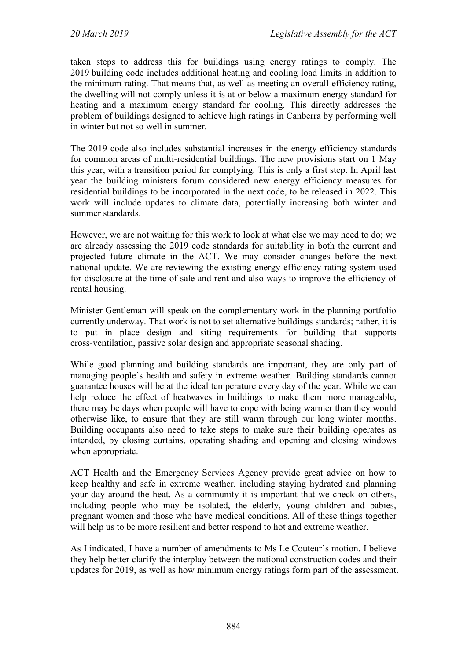taken steps to address this for buildings using energy ratings to comply. The 2019 building code includes additional heating and cooling load limits in addition to the minimum rating. That means that, as well as meeting an overall efficiency rating, the dwelling will not comply unless it is at or below a maximum energy standard for heating and a maximum energy standard for cooling. This directly addresses the problem of buildings designed to achieve high ratings in Canberra by performing well in winter but not so well in summer.

The 2019 code also includes substantial increases in the energy efficiency standards for common areas of multi-residential buildings. The new provisions start on 1 May this year, with a transition period for complying. This is only a first step. In April last year the building ministers forum considered new energy efficiency measures for residential buildings to be incorporated in the next code, to be released in 2022. This work will include updates to climate data, potentially increasing both winter and summer standards.

However, we are not waiting for this work to look at what else we may need to do; we are already assessing the 2019 code standards for suitability in both the current and projected future climate in the ACT. We may consider changes before the next national update. We are reviewing the existing energy efficiency rating system used for disclosure at the time of sale and rent and also ways to improve the efficiency of rental housing.

Minister Gentleman will speak on the complementary work in the planning portfolio currently underway. That work is not to set alternative buildings standards; rather, it is to put in place design and siting requirements for building that supports cross-ventilation, passive solar design and appropriate seasonal shading.

While good planning and building standards are important, they are only part of managing people's health and safety in extreme weather. Building standards cannot guarantee houses will be at the ideal temperature every day of the year. While we can help reduce the effect of heatwaves in buildings to make them more manageable, there may be days when people will have to cope with being warmer than they would otherwise like, to ensure that they are still warm through our long winter months. Building occupants also need to take steps to make sure their building operates as intended, by closing curtains, operating shading and opening and closing windows when appropriate.

ACT Health and the Emergency Services Agency provide great advice on how to keep healthy and safe in extreme weather, including staying hydrated and planning your day around the heat. As a community it is important that we check on others, including people who may be isolated, the elderly, young children and babies, pregnant women and those who have medical conditions. All of these things together will help us to be more resilient and better respond to hot and extreme weather.

As I indicated, I have a number of amendments to Ms Le Couteur's motion. I believe they help better clarify the interplay between the national construction codes and their updates for 2019, as well as how minimum energy ratings form part of the assessment.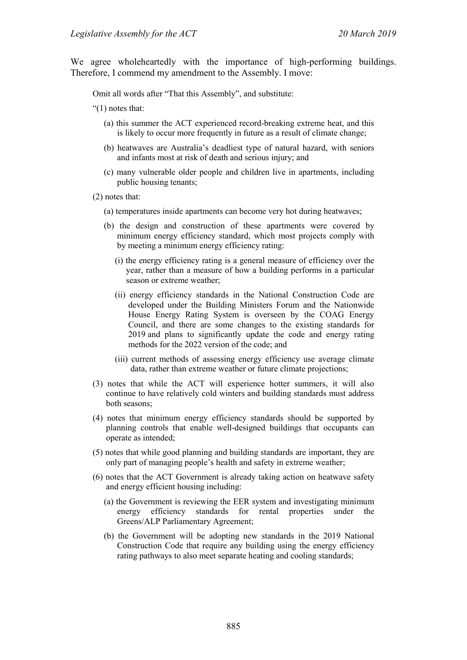We agree wholeheartedly with the importance of high-performing buildings. Therefore, I commend my amendment to the Assembly. I move:

Omit all words after "That this Assembly", and substitute:

"(1) notes that:

- (a) this summer the ACT experienced record-breaking extreme heat, and this is likely to occur more frequently in future as a result of climate change;
- (b) heatwaves are Australia's deadliest type of natural hazard, with seniors and infants most at risk of death and serious injury; and
- (c) many vulnerable older people and children live in apartments, including public housing tenants;

(2) notes that:

- (a) temperatures inside apartments can become very hot during heatwaves;
- (b) the design and construction of these apartments were covered by minimum energy efficiency standard, which most projects comply with by meeting a minimum energy efficiency rating:
	- (i) the energy efficiency rating is a general measure of efficiency over the year, rather than a measure of how a building performs in a particular season or extreme weather;
	- (ii) energy efficiency standards in the National Construction Code are developed under the Building Ministers Forum and the Nationwide House Energy Rating System is overseen by the COAG Energy Council, and there are some changes to the existing standards for 2019 and plans to significantly update the code and energy rating methods for the 2022 version of the code; and
	- (iii) current methods of assessing energy efficiency use average climate data, rather than extreme weather or future climate projections;
- (3) notes that while the ACT will experience hotter summers, it will also continue to have relatively cold winters and building standards must address both seasons;
- (4) notes that minimum energy efficiency standards should be supported by planning controls that enable well-designed buildings that occupants can operate as intended;
- (5) notes that while good planning and building standards are important, they are only part of managing people's health and safety in extreme weather;
- (6) notes that the ACT Government is already taking action on heatwave safety and energy efficient housing including:
	- (a) the Government is reviewing the EER system and investigating minimum energy efficiency standards for rental properties under the Greens/ALP Parliamentary Agreement;
	- (b) the Government will be adopting new standards in the 2019 National Construction Code that require any building using the energy efficiency rating pathways to also meet separate heating and cooling standards;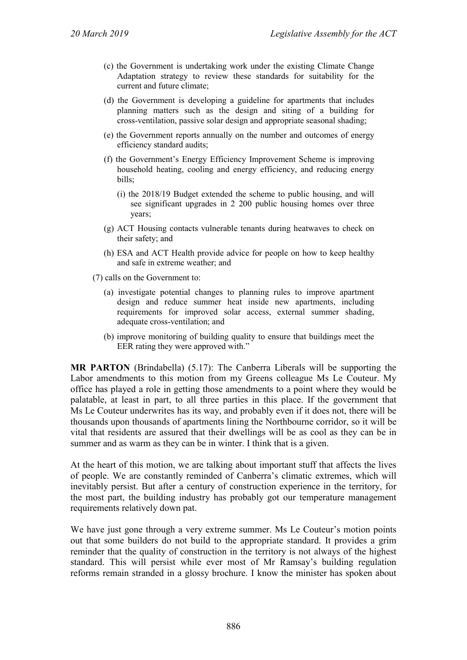- (c) the Government is undertaking work under the existing Climate Change Adaptation strategy to review these standards for suitability for the current and future climate;
- (d) the Government is developing a guideline for apartments that includes planning matters such as the design and siting of a building for cross-ventilation, passive solar design and appropriate seasonal shading;
- (e) the Government reports annually on the number and outcomes of energy efficiency standard audits;
- (f) the Government's Energy Efficiency Improvement Scheme is improving household heating, cooling and energy efficiency, and reducing energy bills;
	- (i) the 2018/19 Budget extended the scheme to public housing, and will see significant upgrades in 2 200 public housing homes over three years;
- (g) ACT Housing contacts vulnerable tenants during heatwaves to check on their safety; and
- (h) ESA and ACT Health provide advice for people on how to keep healthy and safe in extreme weather; and
- (7) calls on the Government to:
	- (a) investigate potential changes to planning rules to improve apartment design and reduce summer heat inside new apartments, including requirements for improved solar access, external summer shading, adequate cross-ventilation; and
	- (b) improve monitoring of building quality to ensure that buildings meet the EER rating they were approved with."

**MR PARTON** (Brindabella) (5.17): The Canberra Liberals will be supporting the Labor amendments to this motion from my Greens colleague Ms Le Couteur. My office has played a role in getting those amendments to a point where they would be palatable, at least in part, to all three parties in this place. If the government that Ms Le Couteur underwrites has its way, and probably even if it does not, there will be thousands upon thousands of apartments lining the Northbourne corridor, so it will be vital that residents are assured that their dwellings will be as cool as they can be in summer and as warm as they can be in winter. I think that is a given.

At the heart of this motion, we are talking about important stuff that affects the lives of people. We are constantly reminded of Canberra's climatic extremes, which will inevitably persist. But after a century of construction experience in the territory, for the most part, the building industry has probably got our temperature management requirements relatively down pat.

We have just gone through a very extreme summer. Ms Le Couteur's motion points out that some builders do not build to the appropriate standard. It provides a grim reminder that the quality of construction in the territory is not always of the highest standard. This will persist while ever most of Mr Ramsay's building regulation reforms remain stranded in a glossy brochure. I know the minister has spoken about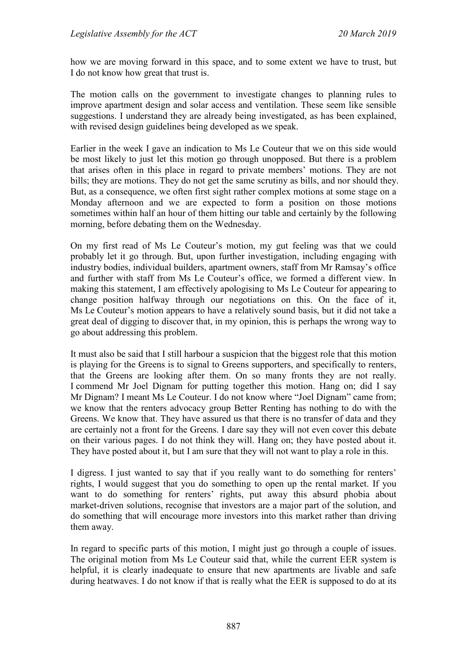how we are moving forward in this space, and to some extent we have to trust, but I do not know how great that trust is.

The motion calls on the government to investigate changes to planning rules to improve apartment design and solar access and ventilation. These seem like sensible suggestions. I understand they are already being investigated, as has been explained, with revised design guidelines being developed as we speak.

Earlier in the week I gave an indication to Ms Le Couteur that we on this side would be most likely to just let this motion go through unopposed. But there is a problem that arises often in this place in regard to private members' motions. They are not bills; they are motions. They do not get the same scrutiny as bills, and nor should they. But, as a consequence, we often first sight rather complex motions at some stage on a Monday afternoon and we are expected to form a position on those motions sometimes within half an hour of them hitting our table and certainly by the following morning, before debating them on the Wednesday.

On my first read of Ms Le Couteur's motion, my gut feeling was that we could probably let it go through. But, upon further investigation, including engaging with industry bodies, individual builders, apartment owners, staff from Mr Ramsay's office and further with staff from Ms Le Couteur's office, we formed a different view. In making this statement, I am effectively apologising to Ms Le Couteur for appearing to change position halfway through our negotiations on this. On the face of it, Ms Le Couteur's motion appears to have a relatively sound basis, but it did not take a great deal of digging to discover that, in my opinion, this is perhaps the wrong way to go about addressing this problem.

It must also be said that I still harbour a suspicion that the biggest role that this motion is playing for the Greens is to signal to Greens supporters, and specifically to renters, that the Greens are looking after them. On so many fronts they are not really. I commend Mr Joel Dignam for putting together this motion. Hang on; did I say Mr Dignam? I meant Ms Le Couteur. I do not know where "Joel Dignam" came from; we know that the renters advocacy group Better Renting has nothing to do with the Greens. We know that. They have assured us that there is no transfer of data and they are certainly not a front for the Greens. I dare say they will not even cover this debate on their various pages. I do not think they will. Hang on; they have posted about it. They have posted about it, but I am sure that they will not want to play a role in this.

I digress. I just wanted to say that if you really want to do something for renters' rights, I would suggest that you do something to open up the rental market. If you want to do something for renters' rights, put away this absurd phobia about market-driven solutions, recognise that investors are a major part of the solution, and do something that will encourage more investors into this market rather than driving them away.

In regard to specific parts of this motion, I might just go through a couple of issues. The original motion from Ms Le Couteur said that, while the current EER system is helpful, it is clearly inadequate to ensure that new apartments are livable and safe during heatwaves. I do not know if that is really what the EER is supposed to do at its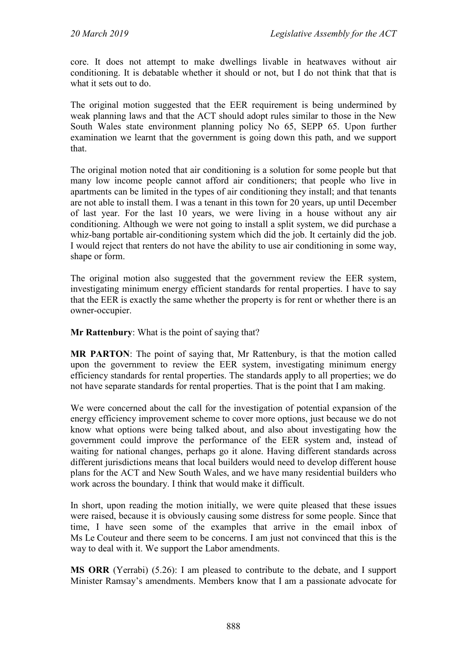core. It does not attempt to make dwellings livable in heatwaves without air conditioning. It is debatable whether it should or not, but I do not think that that is what it sets out to do.

The original motion suggested that the EER requirement is being undermined by weak planning laws and that the ACT should adopt rules similar to those in the New South Wales state environment planning policy No 65, SEPP 65. Upon further examination we learnt that the government is going down this path, and we support that.

The original motion noted that air conditioning is a solution for some people but that many low income people cannot afford air conditioners; that people who live in apartments can be limited in the types of air conditioning they install; and that tenants are not able to install them. I was a tenant in this town for 20 years, up until December of last year. For the last 10 years, we were living in a house without any air conditioning. Although we were not going to install a split system, we did purchase a whiz-bang portable air-conditioning system which did the job. It certainly did the job. I would reject that renters do not have the ability to use air conditioning in some way, shape or form.

The original motion also suggested that the government review the EER system, investigating minimum energy efficient standards for rental properties. I have to say that the EER is exactly the same whether the property is for rent or whether there is an owner-occupier.

**Mr Rattenbury**: What is the point of saying that?

**MR PARTON**: The point of saying that, Mr Rattenbury, is that the motion called upon the government to review the EER system, investigating minimum energy efficiency standards for rental properties. The standards apply to all properties; we do not have separate standards for rental properties. That is the point that I am making.

We were concerned about the call for the investigation of potential expansion of the energy efficiency improvement scheme to cover more options, just because we do not know what options were being talked about, and also about investigating how the government could improve the performance of the EER system and, instead of waiting for national changes, perhaps go it alone. Having different standards across different jurisdictions means that local builders would need to develop different house plans for the ACT and New South Wales, and we have many residential builders who work across the boundary. I think that would make it difficult.

In short, upon reading the motion initially, we were quite pleased that these issues were raised, because it is obviously causing some distress for some people. Since that time, I have seen some of the examples that arrive in the email inbox of Ms Le Couteur and there seem to be concerns. I am just not convinced that this is the way to deal with it. We support the Labor amendments.

**MS ORR** (Yerrabi) (5.26): I am pleased to contribute to the debate, and I support Minister Ramsay's amendments. Members know that I am a passionate advocate for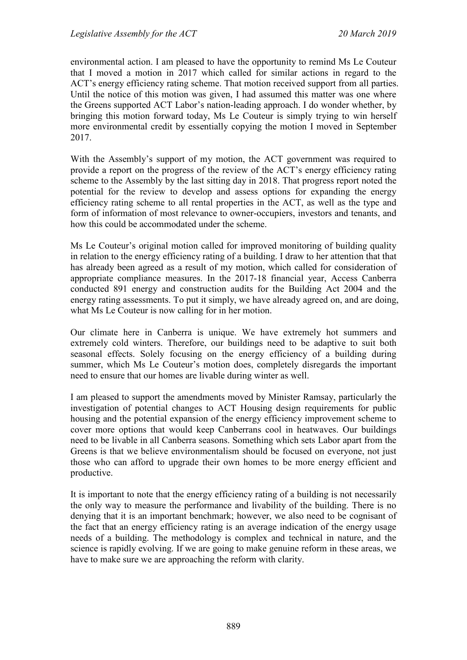environmental action. I am pleased to have the opportunity to remind Ms Le Couteur that I moved a motion in 2017 which called for similar actions in regard to the ACT's energy efficiency rating scheme. That motion received support from all parties. Until the notice of this motion was given, I had assumed this matter was one where the Greens supported ACT Labor's nation-leading approach. I do wonder whether, by bringing this motion forward today, Ms Le Couteur is simply trying to win herself more environmental credit by essentially copying the motion I moved in September 2017.

With the Assembly's support of my motion, the ACT government was required to provide a report on the progress of the review of the ACT's energy efficiency rating scheme to the Assembly by the last sitting day in 2018. That progress report noted the potential for the review to develop and assess options for expanding the energy efficiency rating scheme to all rental properties in the ACT, as well as the type and form of information of most relevance to owner-occupiers, investors and tenants, and how this could be accommodated under the scheme.

Ms Le Couteur's original motion called for improved monitoring of building quality in relation to the energy efficiency rating of a building. I draw to her attention that that has already been agreed as a result of my motion, which called for consideration of appropriate compliance measures. In the 2017-18 financial year, Access Canberra conducted 891 energy and construction audits for the Building Act 2004 and the energy rating assessments. To put it simply, we have already agreed on, and are doing, what Ms Le Couteur is now calling for in her motion.

Our climate here in Canberra is unique. We have extremely hot summers and extremely cold winters. Therefore, our buildings need to be adaptive to suit both seasonal effects. Solely focusing on the energy efficiency of a building during summer, which Ms Le Couteur's motion does, completely disregards the important need to ensure that our homes are livable during winter as well.

I am pleased to support the amendments moved by Minister Ramsay, particularly the investigation of potential changes to ACT Housing design requirements for public housing and the potential expansion of the energy efficiency improvement scheme to cover more options that would keep Canberrans cool in heatwaves. Our buildings need to be livable in all Canberra seasons. Something which sets Labor apart from the Greens is that we believe environmentalism should be focused on everyone, not just those who can afford to upgrade their own homes to be more energy efficient and productive.

It is important to note that the energy efficiency rating of a building is not necessarily the only way to measure the performance and livability of the building. There is no denying that it is an important benchmark; however, we also need to be cognisant of the fact that an energy efficiency rating is an average indication of the energy usage needs of a building. The methodology is complex and technical in nature, and the science is rapidly evolving. If we are going to make genuine reform in these areas, we have to make sure we are approaching the reform with clarity.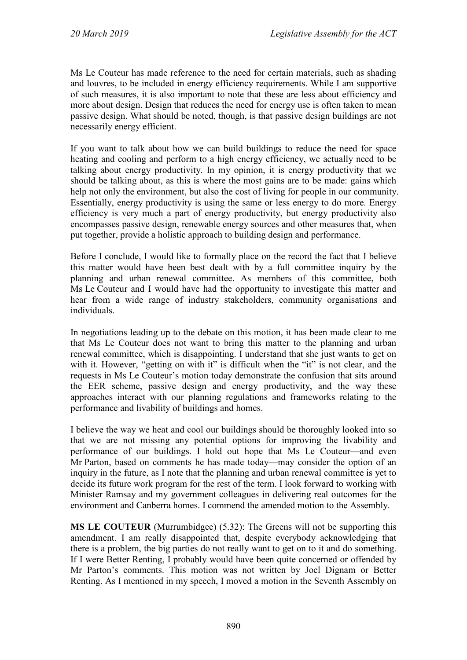Ms Le Couteur has made reference to the need for certain materials, such as shading and louvres, to be included in energy efficiency requirements. While I am supportive of such measures, it is also important to note that these are less about efficiency and more about design. Design that reduces the need for energy use is often taken to mean passive design. What should be noted, though, is that passive design buildings are not necessarily energy efficient.

If you want to talk about how we can build buildings to reduce the need for space heating and cooling and perform to a high energy efficiency, we actually need to be talking about energy productivity. In my opinion, it is energy productivity that we should be talking about, as this is where the most gains are to be made: gains which help not only the environment, but also the cost of living for people in our community. Essentially, energy productivity is using the same or less energy to do more. Energy efficiency is very much a part of energy productivity, but energy productivity also encompasses passive design, renewable energy sources and other measures that, when put together, provide a holistic approach to building design and performance.

Before I conclude, I would like to formally place on the record the fact that I believe this matter would have been best dealt with by a full committee inquiry by the planning and urban renewal committee. As members of this committee, both Ms Le Couteur and I would have had the opportunity to investigate this matter and hear from a wide range of industry stakeholders, community organisations and individuals.

In negotiations leading up to the debate on this motion, it has been made clear to me that Ms Le Couteur does not want to bring this matter to the planning and urban renewal committee, which is disappointing. I understand that she just wants to get on with it. However, "getting on with it" is difficult when the "it" is not clear, and the requests in Ms Le Couteur's motion today demonstrate the confusion that sits around the EER scheme, passive design and energy productivity, and the way these approaches interact with our planning regulations and frameworks relating to the performance and livability of buildings and homes.

I believe the way we heat and cool our buildings should be thoroughly looked into so that we are not missing any potential options for improving the livability and performance of our buildings. I hold out hope that Ms Le Couteur—and even Mr Parton, based on comments he has made today—may consider the option of an inquiry in the future, as I note that the planning and urban renewal committee is yet to decide its future work program for the rest of the term. I look forward to working with Minister Ramsay and my government colleagues in delivering real outcomes for the environment and Canberra homes. I commend the amended motion to the Assembly.

**MS LE COUTEUR** (Murrumbidgee) (5.32): The Greens will not be supporting this amendment. I am really disappointed that, despite everybody acknowledging that there is a problem, the big parties do not really want to get on to it and do something. If I were Better Renting, I probably would have been quite concerned or offended by Mr Parton's comments. This motion was not written by Joel Dignam or Better Renting. As I mentioned in my speech, I moved a motion in the Seventh Assembly on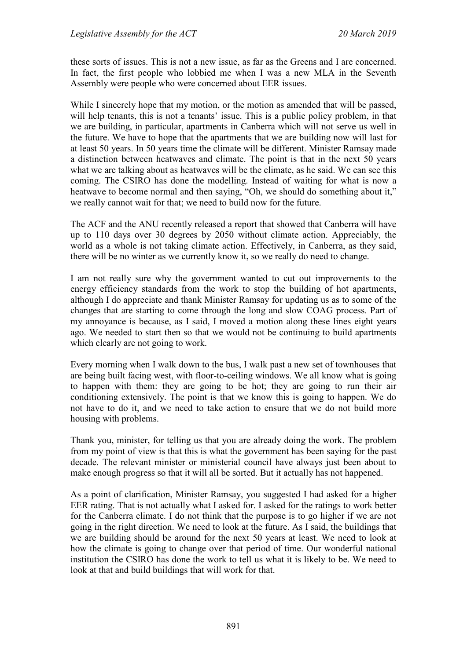these sorts of issues. This is not a new issue, as far as the Greens and I are concerned. In fact, the first people who lobbied me when I was a new MLA in the Seventh Assembly were people who were concerned about EER issues.

While I sincerely hope that my motion, or the motion as amended that will be passed, will help tenants, this is not a tenants' issue. This is a public policy problem, in that we are building, in particular, apartments in Canberra which will not serve us well in the future. We have to hope that the apartments that we are building now will last for at least 50 years. In 50 years time the climate will be different. Minister Ramsay made a distinction between heatwaves and climate. The point is that in the next 50 years what we are talking about as heatwaves will be the climate, as he said. We can see this coming. The CSIRO has done the modelling. Instead of waiting for what is now a heatwave to become normal and then saying, "Oh, we should do something about it," we really cannot wait for that; we need to build now for the future.

The ACF and the ANU recently released a report that showed that Canberra will have up to 110 days over 30 degrees by 2050 without climate action. Appreciably, the world as a whole is not taking climate action. Effectively, in Canberra, as they said, there will be no winter as we currently know it, so we really do need to change.

I am not really sure why the government wanted to cut out improvements to the energy efficiency standards from the work to stop the building of hot apartments, although I do appreciate and thank Minister Ramsay for updating us as to some of the changes that are starting to come through the long and slow COAG process. Part of my annoyance is because, as I said, I moved a motion along these lines eight years ago. We needed to start then so that we would not be continuing to build apartments which clearly are not going to work.

Every morning when I walk down to the bus, I walk past a new set of townhouses that are being built facing west, with floor-to-ceiling windows. We all know what is going to happen with them: they are going to be hot; they are going to run their air conditioning extensively. The point is that we know this is going to happen. We do not have to do it, and we need to take action to ensure that we do not build more housing with problems.

Thank you, minister, for telling us that you are already doing the work. The problem from my point of view is that this is what the government has been saying for the past decade. The relevant minister or ministerial council have always just been about to make enough progress so that it will all be sorted. But it actually has not happened.

As a point of clarification, Minister Ramsay, you suggested I had asked for a higher EER rating. That is not actually what I asked for. I asked for the ratings to work better for the Canberra climate. I do not think that the purpose is to go higher if we are not going in the right direction. We need to look at the future. As I said, the buildings that we are building should be around for the next 50 years at least. We need to look at how the climate is going to change over that period of time. Our wonderful national institution the CSIRO has done the work to tell us what it is likely to be. We need to look at that and build buildings that will work for that.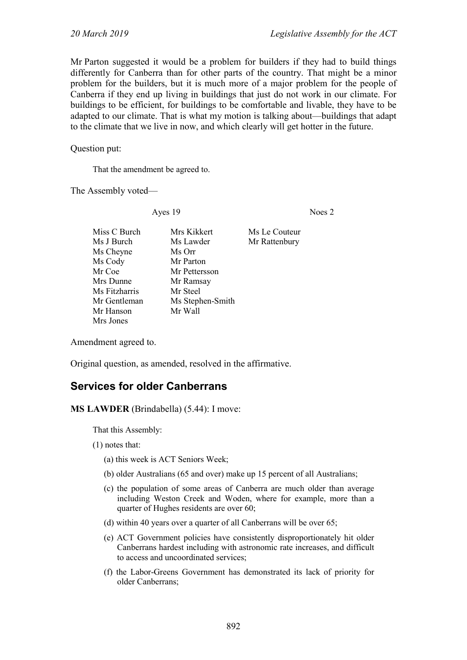Mr Parton suggested it would be a problem for builders if they had to build things differently for Canberra than for other parts of the country. That might be a minor problem for the builders, but it is much more of a major problem for the people of Canberra if they end up living in buildings that just do not work in our climate. For buildings to be efficient, for buildings to be comfortable and livable, they have to be adapted to our climate. That is what my motion is talking about—buildings that adapt to the climate that we live in now, and which clearly will get hotter in the future.

Question put:

That the amendment be agreed to.

The Assembly voted—

Ayes 19 Noes 2

| Miss C Burch  | Mrs Kikkert      | Ms Le Couteur |
|---------------|------------------|---------------|
| Ms J Burch    | Ms Lawder        | Mr Rattenbury |
| Ms Cheyne     | Ms Orr           |               |
| Ms Cody       | Mr Parton        |               |
| Mr Coe        | Mr Pettersson    |               |
| Mrs Dunne     | Mr Ramsay        |               |
| Ms Fitzharris | Mr Steel         |               |
| Mr Gentleman  | Ms Stephen-Smith |               |
| Mr Hanson     | Mr Wall          |               |
| Mrs Jones     |                  |               |

Amendment agreed to.

Original question, as amended, resolved in the affirmative.

## **Services for older Canberrans**

**MS LAWDER** (Brindabella) (5.44): I move:

That this Assembly:

(1) notes that:

- (a) this week is ACT Seniors Week;
- (b) older Australians (65 and over) make up 15 percent of all Australians;
- (c) the population of some areas of Canberra are much older than average including Weston Creek and Woden, where for example, more than a quarter of Hughes residents are over 60;
- (d) within 40 years over a quarter of all Canberrans will be over 65;
- (e) ACT Government policies have consistently disproportionately hit older Canberrans hardest including with astronomic rate increases, and difficult to access and uncoordinated services;
- (f) the Labor-Greens Government has demonstrated its lack of priority for older Canberrans;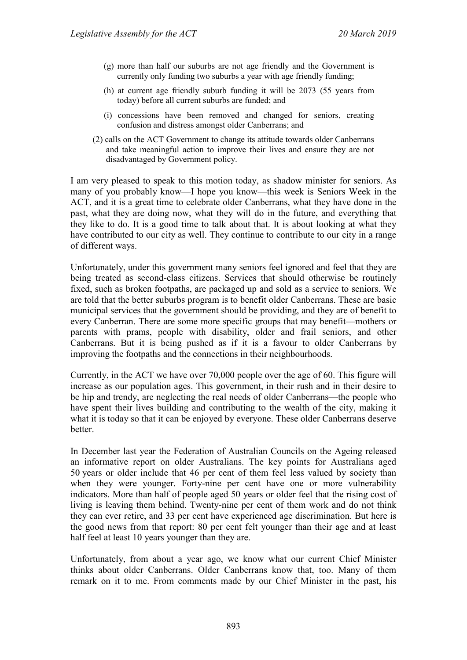- (g) more than half our suburbs are not age friendly and the Government is currently only funding two suburbs a year with age friendly funding;
- (h) at current age friendly suburb funding it will be 2073 (55 years from today) before all current suburbs are funded; and
- (i) concessions have been removed and changed for seniors, creating confusion and distress amongst older Canberrans; and
- (2) calls on the ACT Government to change its attitude towards older Canberrans and take meaningful action to improve their lives and ensure they are not disadvantaged by Government policy.

I am very pleased to speak to this motion today, as shadow minister for seniors. As many of you probably know—I hope you know—this week is Seniors Week in the ACT, and it is a great time to celebrate older Canberrans, what they have done in the past, what they are doing now, what they will do in the future, and everything that they like to do. It is a good time to talk about that. It is about looking at what they have contributed to our city as well. They continue to contribute to our city in a range of different ways.

Unfortunately, under this government many seniors feel ignored and feel that they are being treated as second-class citizens. Services that should otherwise be routinely fixed, such as broken footpaths, are packaged up and sold as a service to seniors. We are told that the better suburbs program is to benefit older Canberrans. These are basic municipal services that the government should be providing, and they are of benefit to every Canberran. There are some more specific groups that may benefit—mothers or parents with prams, people with disability, older and frail seniors, and other Canberrans. But it is being pushed as if it is a favour to older Canberrans by improving the footpaths and the connections in their neighbourhoods.

Currently, in the ACT we have over 70,000 people over the age of 60. This figure will increase as our population ages. This government, in their rush and in their desire to be hip and trendy, are neglecting the real needs of older Canberrans—the people who have spent their lives building and contributing to the wealth of the city, making it what it is today so that it can be enjoyed by everyone. These older Canberrans deserve **better** 

In December last year the Federation of Australian Councils on the Ageing released an informative report on older Australians. The key points for Australians aged 50 years or older include that 46 per cent of them feel less valued by society than when they were younger. Forty-nine per cent have one or more vulnerability indicators. More than half of people aged 50 years or older feel that the rising cost of living is leaving them behind. Twenty-nine per cent of them work and do not think they can ever retire, and 33 per cent have experienced age discrimination. But here is the good news from that report: 80 per cent felt younger than their age and at least half feel at least 10 years younger than they are.

Unfortunately, from about a year ago, we know what our current Chief Minister thinks about older Canberrans. Older Canberrans know that, too. Many of them remark on it to me. From comments made by our Chief Minister in the past, his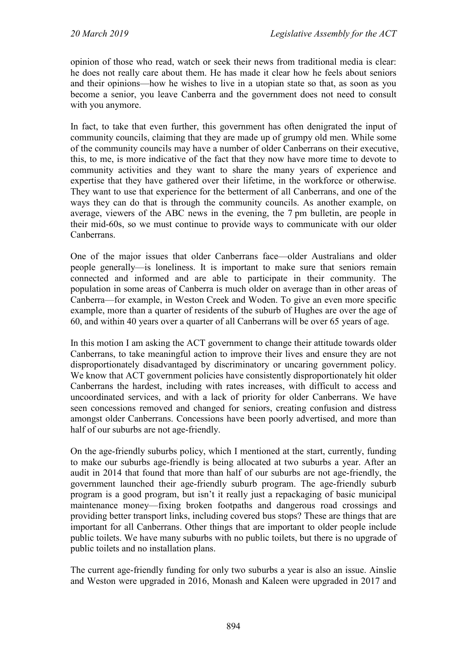opinion of those who read, watch or seek their news from traditional media is clear: he does not really care about them. He has made it clear how he feels about seniors and their opinions—how he wishes to live in a utopian state so that, as soon as you become a senior, you leave Canberra and the government does not need to consult with you anymore.

In fact, to take that even further, this government has often denigrated the input of community councils, claiming that they are made up of grumpy old men. While some of the community councils may have a number of older Canberrans on their executive, this, to me, is more indicative of the fact that they now have more time to devote to community activities and they want to share the many years of experience and expertise that they have gathered over their lifetime, in the workforce or otherwise. They want to use that experience for the betterment of all Canberrans, and one of the ways they can do that is through the community councils. As another example, on average, viewers of the ABC news in the evening, the 7 pm bulletin, are people in their mid-60s, so we must continue to provide ways to communicate with our older Canberrans.

One of the major issues that older Canberrans face—older Australians and older people generally—is loneliness. It is important to make sure that seniors remain connected and informed and are able to participate in their community. The population in some areas of Canberra is much older on average than in other areas of Canberra—for example, in Weston Creek and Woden. To give an even more specific example, more than a quarter of residents of the suburb of Hughes are over the age of 60, and within 40 years over a quarter of all Canberrans will be over 65 years of age.

In this motion I am asking the ACT government to change their attitude towards older Canberrans, to take meaningful action to improve their lives and ensure they are not disproportionately disadvantaged by discriminatory or uncaring government policy. We know that ACT government policies have consistently disproportionately hit older Canberrans the hardest, including with rates increases, with difficult to access and uncoordinated services, and with a lack of priority for older Canberrans. We have seen concessions removed and changed for seniors, creating confusion and distress amongst older Canberrans. Concessions have been poorly advertised, and more than half of our suburbs are not age-friendly.

On the age-friendly suburbs policy, which I mentioned at the start, currently, funding to make our suburbs age-friendly is being allocated at two suburbs a year. After an audit in 2014 that found that more than half of our suburbs are not age-friendly, the government launched their age-friendly suburb program. The age-friendly suburb program is a good program, but isn't it really just a repackaging of basic municipal maintenance money—fixing broken footpaths and dangerous road crossings and providing better transport links, including covered bus stops? These are things that are important for all Canberrans. Other things that are important to older people include public toilets. We have many suburbs with no public toilets, but there is no upgrade of public toilets and no installation plans.

The current age-friendly funding for only two suburbs a year is also an issue. Ainslie and Weston were upgraded in 2016, Monash and Kaleen were upgraded in 2017 and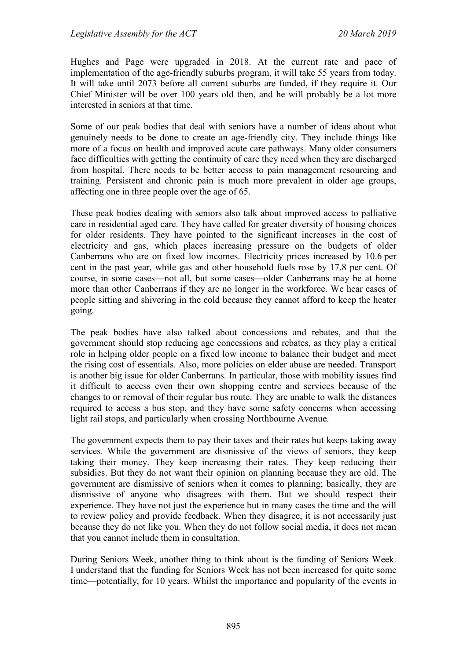Hughes and Page were upgraded in 2018. At the current rate and pace of implementation of the age-friendly suburbs program, it will take 55 years from today. It will take until 2073 before all current suburbs are funded, if they require it. Our Chief Minister will be over 100 years old then, and he will probably be a lot more interested in seniors at that time.

Some of our peak bodies that deal with seniors have a number of ideas about what genuinely needs to be done to create an age-friendly city. They include things like more of a focus on health and improved acute care pathways. Many older consumers face difficulties with getting the continuity of care they need when they are discharged from hospital. There needs to be better access to pain management resourcing and training. Persistent and chronic pain is much more prevalent in older age groups, affecting one in three people over the age of 65.

These peak bodies dealing with seniors also talk about improved access to palliative care in residential aged care. They have called for greater diversity of housing choices for older residents. They have pointed to the significant increases in the cost of electricity and gas, which places increasing pressure on the budgets of older Canberrans who are on fixed low incomes. Electricity prices increased by 10.6 per cent in the past year, while gas and other household fuels rose by 17.8 per cent. Of course, in some cases—not all, but some cases—older Canberrans may be at home more than other Canberrans if they are no longer in the workforce. We hear cases of people sitting and shivering in the cold because they cannot afford to keep the heater going.

The peak bodies have also talked about concessions and rebates, and that the government should stop reducing age concessions and rebates, as they play a critical role in helping older people on a fixed low income to balance their budget and meet the rising cost of essentials. Also, more policies on elder abuse are needed. Transport is another big issue for older Canberrans. In particular, those with mobility issues find it difficult to access even their own shopping centre and services because of the changes to or removal of their regular bus route. They are unable to walk the distances required to access a bus stop, and they have some safety concerns when accessing light rail stops, and particularly when crossing Northbourne Avenue.

The government expects them to pay their taxes and their rates but keeps taking away services. While the government are dismissive of the views of seniors, they keep taking their money. They keep increasing their rates. They keep reducing their subsidies. But they do not want their opinion on planning because they are old. The government are dismissive of seniors when it comes to planning; basically, they are dismissive of anyone who disagrees with them. But we should respect their experience. They have not just the experience but in many cases the time and the will to review policy and provide feedback. When they disagree, it is not necessarily just because they do not like you. When they do not follow social media, it does not mean that you cannot include them in consultation.

During Seniors Week, another thing to think about is the funding of Seniors Week. I understand that the funding for Seniors Week has not been increased for quite some time—potentially, for 10 years. Whilst the importance and popularity of the events in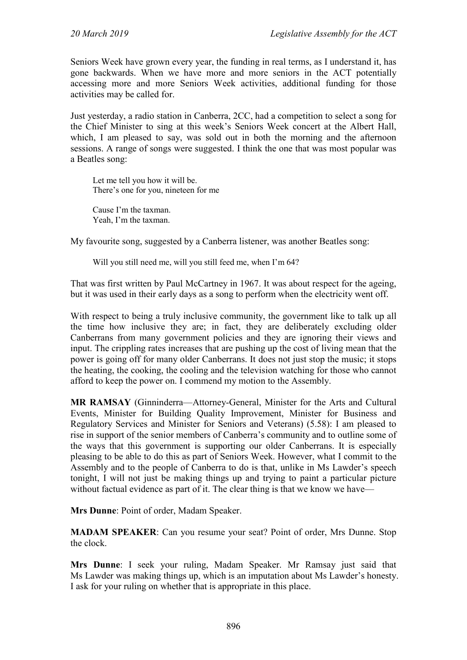Seniors Week have grown every year, the funding in real terms, as I understand it, has gone backwards. When we have more and more seniors in the ACT potentially accessing more and more Seniors Week activities, additional funding for those activities may be called for.

Just yesterday, a radio station in Canberra, 2CC, had a competition to select a song for the Chief Minister to sing at this week's Seniors Week concert at the Albert Hall, which, I am pleased to say, was sold out in both the morning and the afternoon sessions. A range of songs were suggested. I think the one that was most popular was a Beatles song:

Let me tell you how it will be. There's one for you, nineteen for me

Cause I'm the taxman. Yeah, I'm the taxman.

My favourite song, suggested by a Canberra listener, was another Beatles song:

Will you still need me, will you still feed me, when I'm 64?

That was first written by Paul McCartney in 1967. It was about respect for the ageing, but it was used in their early days as a song to perform when the electricity went off.

With respect to being a truly inclusive community, the government like to talk up all the time how inclusive they are; in fact, they are deliberately excluding older Canberrans from many government policies and they are ignoring their views and input. The crippling rates increases that are pushing up the cost of living mean that the power is going off for many older Canberrans. It does not just stop the music; it stops the heating, the cooking, the cooling and the television watching for those who cannot afford to keep the power on. I commend my motion to the Assembly.

**MR RAMSAY** (Ginninderra—Attorney-General, Minister for the Arts and Cultural Events, Minister for Building Quality Improvement, Minister for Business and Regulatory Services and Minister for Seniors and Veterans) (5.58): I am pleased to rise in support of the senior members of Canberra's community and to outline some of the ways that this government is supporting our older Canberrans. It is especially pleasing to be able to do this as part of Seniors Week. However, what I commit to the Assembly and to the people of Canberra to do is that, unlike in Ms Lawder's speech tonight, I will not just be making things up and trying to paint a particular picture without factual evidence as part of it. The clear thing is that we know we have—

**Mrs Dunne**: Point of order, Madam Speaker.

**MADAM SPEAKER**: Can you resume your seat? Point of order, Mrs Dunne. Stop the clock.

**Mrs Dunne**: I seek your ruling, Madam Speaker. Mr Ramsay just said that Ms Lawder was making things up, which is an imputation about Ms Lawder's honesty. I ask for your ruling on whether that is appropriate in this place.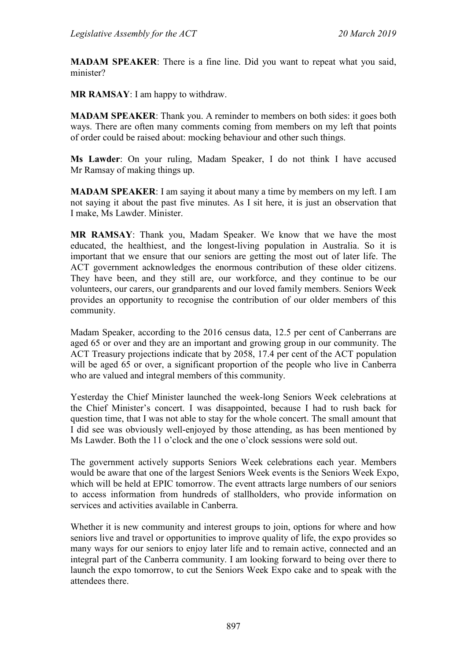**MADAM SPEAKER**: There is a fine line. Did you want to repeat what you said, minister?

**MR RAMSAY**: I am happy to withdraw.

**MADAM SPEAKER**: Thank you. A reminder to members on both sides: it goes both ways. There are often many comments coming from members on my left that points of order could be raised about: mocking behaviour and other such things.

**Ms Lawder**: On your ruling, Madam Speaker, I do not think I have accused Mr Ramsay of making things up.

**MADAM SPEAKER**: I am saying it about many a time by members on my left. I am not saying it about the past five minutes. As I sit here, it is just an observation that I make, Ms Lawder. Minister.

**MR RAMSAY**: Thank you, Madam Speaker. We know that we have the most educated, the healthiest, and the longest-living population in Australia. So it is important that we ensure that our seniors are getting the most out of later life. The ACT government acknowledges the enormous contribution of these older citizens. They have been, and they still are, our workforce, and they continue to be our volunteers, our carers, our grandparents and our loved family members. Seniors Week provides an opportunity to recognise the contribution of our older members of this community.

Madam Speaker, according to the 2016 census data, 12.5 per cent of Canberrans are aged 65 or over and they are an important and growing group in our community. The ACT Treasury projections indicate that by 2058, 17.4 per cent of the ACT population will be aged 65 or over, a significant proportion of the people who live in Canberra who are valued and integral members of this community.

Yesterday the Chief Minister launched the week-long Seniors Week celebrations at the Chief Minister's concert. I was disappointed, because I had to rush back for question time, that I was not able to stay for the whole concert. The small amount that I did see was obviously well-enjoyed by those attending, as has been mentioned by Ms Lawder. Both the 11 o'clock and the one o'clock sessions were sold out.

The government actively supports Seniors Week celebrations each year. Members would be aware that one of the largest Seniors Week events is the Seniors Week Expo, which will be held at EPIC tomorrow. The event attracts large numbers of our seniors to access information from hundreds of stallholders, who provide information on services and activities available in Canberra.

Whether it is new community and interest groups to join, options for where and how seniors live and travel or opportunities to improve quality of life, the expo provides so many ways for our seniors to enjoy later life and to remain active, connected and an integral part of the Canberra community. I am looking forward to being over there to launch the expo tomorrow, to cut the Seniors Week Expo cake and to speak with the attendees there.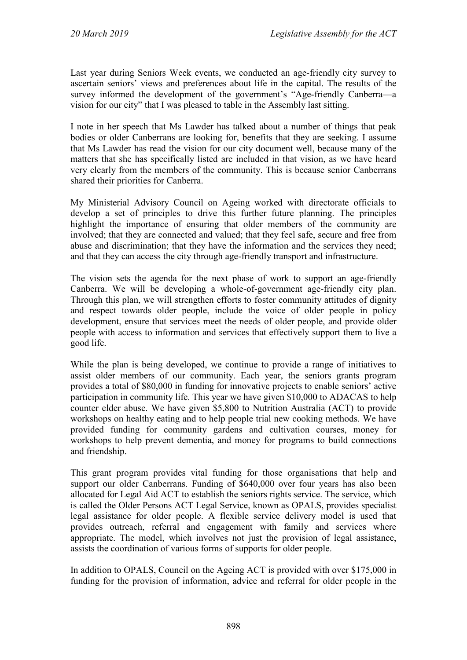Last year during Seniors Week events, we conducted an age-friendly city survey to ascertain seniors' views and preferences about life in the capital. The results of the survey informed the development of the government's "Age-friendly Canberra—a vision for our city" that I was pleased to table in the Assembly last sitting.

I note in her speech that Ms Lawder has talked about a number of things that peak bodies or older Canberrans are looking for, benefits that they are seeking. I assume that Ms Lawder has read the vision for our city document well, because many of the matters that she has specifically listed are included in that vision, as we have heard very clearly from the members of the community. This is because senior Canberrans shared their priorities for Canberra.

My Ministerial Advisory Council on Ageing worked with directorate officials to develop a set of principles to drive this further future planning. The principles highlight the importance of ensuring that older members of the community are involved; that they are connected and valued; that they feel safe, secure and free from abuse and discrimination; that they have the information and the services they need; and that they can access the city through age-friendly transport and infrastructure.

The vision sets the agenda for the next phase of work to support an age-friendly Canberra. We will be developing a whole-of-government age-friendly city plan. Through this plan, we will strengthen efforts to foster community attitudes of dignity and respect towards older people, include the voice of older people in policy development, ensure that services meet the needs of older people, and provide older people with access to information and services that effectively support them to live a good life.

While the plan is being developed, we continue to provide a range of initiatives to assist older members of our community. Each year, the seniors grants program provides a total of \$80,000 in funding for innovative projects to enable seniors' active participation in community life. This year we have given \$10,000 to ADACAS to help counter elder abuse. We have given \$5,800 to Nutrition Australia (ACT) to provide workshops on healthy eating and to help people trial new cooking methods. We have provided funding for community gardens and cultivation courses, money for workshops to help prevent dementia, and money for programs to build connections and friendship.

This grant program provides vital funding for those organisations that help and support our older Canberrans. Funding of \$640,000 over four years has also been allocated for Legal Aid ACT to establish the seniors rights service. The service, which is called the Older Persons ACT Legal Service, known as OPALS, provides specialist legal assistance for older people. A flexible service delivery model is used that provides outreach, referral and engagement with family and services where appropriate. The model, which involves not just the provision of legal assistance, assists the coordination of various forms of supports for older people.

In addition to OPALS, Council on the Ageing ACT is provided with over \$175,000 in funding for the provision of information, advice and referral for older people in the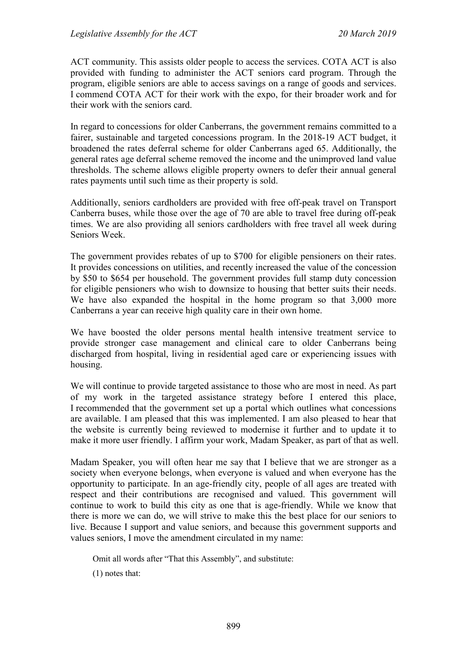ACT community. This assists older people to access the services. COTA ACT is also provided with funding to administer the ACT seniors card program. Through the program, eligible seniors are able to access savings on a range of goods and services. I commend COTA ACT for their work with the expo, for their broader work and for their work with the seniors card.

In regard to concessions for older Canberrans, the government remains committed to a fairer, sustainable and targeted concessions program. In the 2018-19 ACT budget, it broadened the rates deferral scheme for older Canberrans aged 65. Additionally, the general rates age deferral scheme removed the income and the unimproved land value thresholds. The scheme allows eligible property owners to defer their annual general rates payments until such time as their property is sold.

Additionally, seniors cardholders are provided with free off-peak travel on Transport Canberra buses, while those over the age of 70 are able to travel free during off-peak times. We are also providing all seniors cardholders with free travel all week during Seniors Week.

The government provides rebates of up to \$700 for eligible pensioners on their rates. It provides concessions on utilities, and recently increased the value of the concession by \$50 to \$654 per household. The government provides full stamp duty concession for eligible pensioners who wish to downsize to housing that better suits their needs. We have also expanded the hospital in the home program so that 3,000 more Canberrans a year can receive high quality care in their own home.

We have boosted the older persons mental health intensive treatment service to provide stronger case management and clinical care to older Canberrans being discharged from hospital, living in residential aged care or experiencing issues with housing.

We will continue to provide targeted assistance to those who are most in need. As part of my work in the targeted assistance strategy before I entered this place, I recommended that the government set up a portal which outlines what concessions are available. I am pleased that this was implemented. I am also pleased to hear that the website is currently being reviewed to modernise it further and to update it to make it more user friendly. I affirm your work, Madam Speaker, as part of that as well.

Madam Speaker, you will often hear me say that I believe that we are stronger as a society when everyone belongs, when everyone is valued and when everyone has the opportunity to participate. In an age-friendly city, people of all ages are treated with respect and their contributions are recognised and valued. This government will continue to work to build this city as one that is age-friendly. While we know that there is more we can do, we will strive to make this the best place for our seniors to live. Because I support and value seniors, and because this government supports and values seniors, I move the amendment circulated in my name:

Omit all words after "That this Assembly", and substitute:

(1) notes that: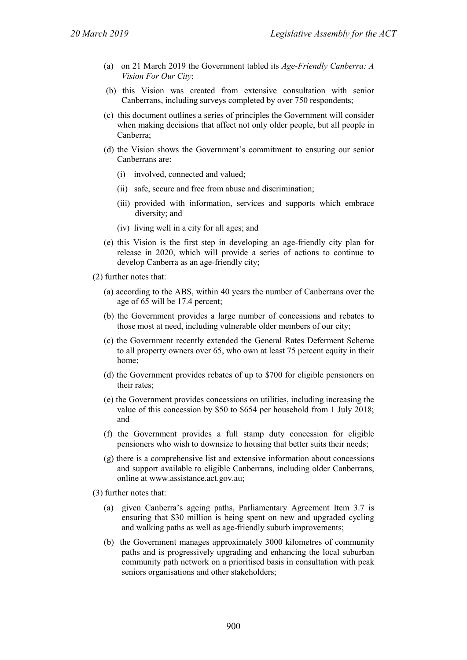- (a) on 21 March 2019 the Government tabled its *Age-Friendly Canberra: A Vision For Our City*;
- (b) this Vision was created from extensive consultation with senior Canberrans, including surveys completed by over 750 respondents;
- (c) this document outlines a series of principles the Government will consider when making decisions that affect not only older people, but all people in Canberra;
- (d) the Vision shows the Government's commitment to ensuring our senior Canberrans are:
	- (i) involved, connected and valued;
	- (ii) safe, secure and free from abuse and discrimination;
	- (iii) provided with information, services and supports which embrace diversity; and
	- (iv) living well in a city for all ages; and
- (e) this Vision is the first step in developing an age-friendly city plan for release in 2020, which will provide a series of actions to continue to develop Canberra as an age-friendly city;
- (2) further notes that:
	- (a) according to the ABS, within 40 years the number of Canberrans over the age of 65 will be 17.4 percent;
	- (b) the Government provides a large number of concessions and rebates to those most at need, including vulnerable older members of our city;
	- (c) the Government recently extended the General Rates Deferment Scheme to all property owners over 65, who own at least 75 percent equity in their home;
	- (d) the Government provides rebates of up to \$700 for eligible pensioners on their rates;
	- (e) the Government provides concessions on utilities, including increasing the value of this concession by \$50 to \$654 per household from 1 July 2018; and
	- (f) the Government provides a full stamp duty concession for eligible pensioners who wish to downsize to housing that better suits their needs;
	- (g) there is a comprehensive list and extensive information about concessions and support available to eligible Canberrans, including older Canberrans, online at www.assistance.act.gov.au;
- (3) further notes that:
	- (a) given Canberra's ageing paths, Parliamentary Agreement Item 3.7 is ensuring that \$30 million is being spent on new and upgraded cycling and walking paths as well as age-friendly suburb improvements;
	- (b) the Government manages approximately 3000 kilometres of community paths and is progressively upgrading and enhancing the local suburban community path network on a prioritised basis in consultation with peak seniors organisations and other stakeholders;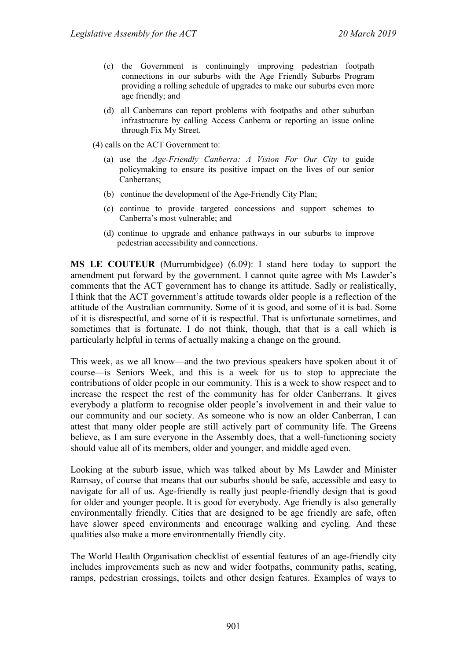- (c) the Government is continuingly improving pedestrian footpath connections in our suburbs with the Age Friendly Suburbs Program providing a rolling schedule of upgrades to make our suburbs even more age friendly; and
- (d) all Canberrans can report problems with footpaths and other suburban infrastructure by calling Access Canberra or reporting an issue online through Fix My Street.
- (4) calls on the ACT Government to:
	- (a) use the *Age-Friendly Canberra: A Vision For Our City* to guide policymaking to ensure its positive impact on the lives of our senior Canberrans;
	- (b) continue the development of the Age-Friendly City Plan;
	- (c) continue to provide targeted concessions and support schemes to Canberra's most vulnerable; and
	- (d) continue to upgrade and enhance pathways in our suburbs to improve pedestrian accessibility and connections.

**MS LE COUTEUR** (Murrumbidgee) (6.09): I stand here today to support the amendment put forward by the government. I cannot quite agree with Ms Lawder's comments that the ACT government has to change its attitude. Sadly or realistically, I think that the ACT government's attitude towards older people is a reflection of the attitude of the Australian community. Some of it is good, and some of it is bad. Some of it is disrespectful, and some of it is respectful. That is unfortunate sometimes, and sometimes that is fortunate. I do not think, though, that that is a call which is particularly helpful in terms of actually making a change on the ground.

This week, as we all know—and the two previous speakers have spoken about it of course—is Seniors Week, and this is a week for us to stop to appreciate the contributions of older people in our community. This is a week to show respect and to increase the respect the rest of the community has for older Canberrans. It gives everybody a platform to recognise older people's involvement in and their value to our community and our society. As someone who is now an older Canberran, I can attest that many older people are still actively part of community life. The Greens believe, as I am sure everyone in the Assembly does, that a well-functioning society should value all of its members, older and younger, and middle aged even.

Looking at the suburb issue, which was talked about by Ms Lawder and Minister Ramsay, of course that means that our suburbs should be safe, accessible and easy to navigate for all of us. Age-friendly is really just people-friendly design that is good for older and younger people. It is good for everybody. Age friendly is also generally environmentally friendly. Cities that are designed to be age friendly are safe, often have slower speed environments and encourage walking and cycling. And these qualities also make a more environmentally friendly city.

The World Health Organisation checklist of essential features of an age-friendly city includes improvements such as new and wider footpaths, community paths, seating, ramps, pedestrian crossings, toilets and other design features. Examples of ways to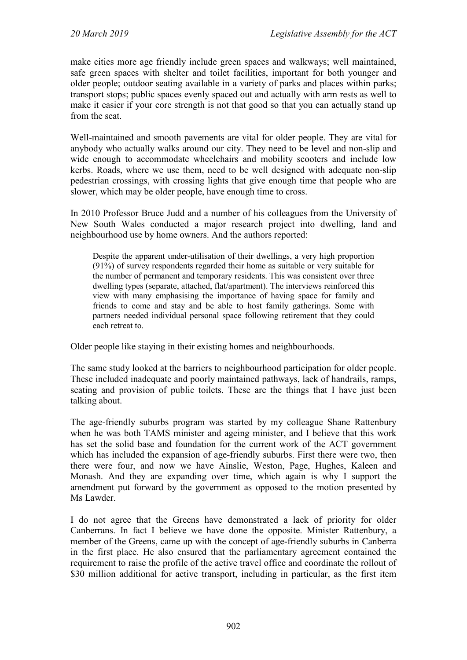make cities more age friendly include green spaces and walkways; well maintained, safe green spaces with shelter and toilet facilities, important for both younger and older people; outdoor seating available in a variety of parks and places within parks; transport stops; public spaces evenly spaced out and actually with arm rests as well to make it easier if your core strength is not that good so that you can actually stand up from the seat.

Well-maintained and smooth pavements are vital for older people. They are vital for anybody who actually walks around our city. They need to be level and non-slip and wide enough to accommodate wheelchairs and mobility scooters and include low kerbs. Roads, where we use them, need to be well designed with adequate non-slip pedestrian crossings, with crossing lights that give enough time that people who are slower, which may be older people, have enough time to cross.

In 2010 Professor Bruce Judd and a number of his colleagues from the University of New South Wales conducted a major research project into dwelling, land and neighbourhood use by home owners. And the authors reported:

Despite the apparent under-utilisation of their dwellings, a very high proportion (91%) of survey respondents regarded their home as suitable or very suitable for the number of permanent and temporary residents. This was consistent over three dwelling types (separate, attached, flat/apartment). The interviews reinforced this view with many emphasising the importance of having space for family and friends to come and stay and be able to host family gatherings. Some with partners needed individual personal space following retirement that they could each retreat to.

Older people like staying in their existing homes and neighbourhoods.

The same study looked at the barriers to neighbourhood participation for older people. These included inadequate and poorly maintained pathways, lack of handrails, ramps, seating and provision of public toilets. These are the things that I have just been talking about.

The age-friendly suburbs program was started by my colleague Shane Rattenbury when he was both TAMS minister and ageing minister, and I believe that this work has set the solid base and foundation for the current work of the ACT government which has included the expansion of age-friendly suburbs. First there were two, then there were four, and now we have Ainslie, Weston, Page, Hughes, Kaleen and Monash. And they are expanding over time, which again is why I support the amendment put forward by the government as opposed to the motion presented by Ms Lawder.

I do not agree that the Greens have demonstrated a lack of priority for older Canberrans. In fact I believe we have done the opposite. Minister Rattenbury, a member of the Greens, came up with the concept of age-friendly suburbs in Canberra in the first place. He also ensured that the parliamentary agreement contained the requirement to raise the profile of the active travel office and coordinate the rollout of \$30 million additional for active transport, including in particular, as the first item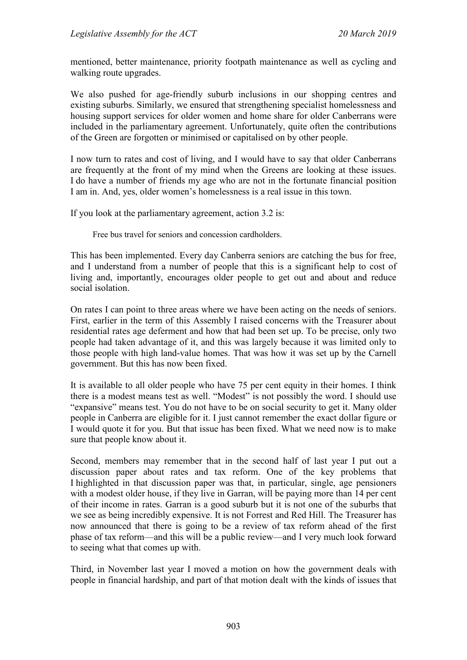mentioned, better maintenance, priority footpath maintenance as well as cycling and walking route upgrades.

We also pushed for age-friendly suburb inclusions in our shopping centres and existing suburbs. Similarly, we ensured that strengthening specialist homelessness and housing support services for older women and home share for older Canberrans were included in the parliamentary agreement. Unfortunately, quite often the contributions of the Green are forgotten or minimised or capitalised on by other people.

I now turn to rates and cost of living, and I would have to say that older Canberrans are frequently at the front of my mind when the Greens are looking at these issues. I do have a number of friends my age who are not in the fortunate financial position I am in. And, yes, older women's homelessness is a real issue in this town.

If you look at the parliamentary agreement, action 3.2 is:

Free bus travel for seniors and concession cardholders.

This has been implemented. Every day Canberra seniors are catching the bus for free, and I understand from a number of people that this is a significant help to cost of living and, importantly, encourages older people to get out and about and reduce social isolation.

On rates I can point to three areas where we have been acting on the needs of seniors. First, earlier in the term of this Assembly I raised concerns with the Treasurer about residential rates age deferment and how that had been set up. To be precise, only two people had taken advantage of it, and this was largely because it was limited only to those people with high land-value homes. That was how it was set up by the Carnell government. But this has now been fixed.

It is available to all older people who have 75 per cent equity in their homes. I think there is a modest means test as well. "Modest" is not possibly the word. I should use "expansive" means test. You do not have to be on social security to get it. Many older people in Canberra are eligible for it. I just cannot remember the exact dollar figure or I would quote it for you. But that issue has been fixed. What we need now is to make sure that people know about it.

Second, members may remember that in the second half of last year I put out a discussion paper about rates and tax reform. One of the key problems that I highlighted in that discussion paper was that, in particular, single, age pensioners with a modest older house, if they live in Garran, will be paying more than 14 per cent of their income in rates. Garran is a good suburb but it is not one of the suburbs that we see as being incredibly expensive. It is not Forrest and Red Hill. The Treasurer has now announced that there is going to be a review of tax reform ahead of the first phase of tax reform—and this will be a public review—and I very much look forward to seeing what that comes up with.

Third, in November last year I moved a motion on how the government deals with people in financial hardship, and part of that motion dealt with the kinds of issues that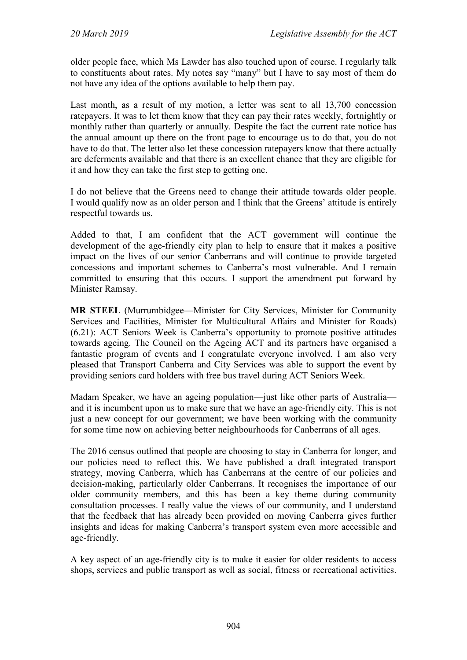older people face, which Ms Lawder has also touched upon of course. I regularly talk to constituents about rates. My notes say "many" but I have to say most of them do not have any idea of the options available to help them pay.

Last month, as a result of my motion, a letter was sent to all 13,700 concession ratepayers. It was to let them know that they can pay their rates weekly, fortnightly or monthly rather than quarterly or annually. Despite the fact the current rate notice has the annual amount up there on the front page to encourage us to do that, you do not have to do that. The letter also let these concession ratepayers know that there actually are deferments available and that there is an excellent chance that they are eligible for it and how they can take the first step to getting one.

I do not believe that the Greens need to change their attitude towards older people. I would qualify now as an older person and I think that the Greens' attitude is entirely respectful towards us.

Added to that, I am confident that the ACT government will continue the development of the age-friendly city plan to help to ensure that it makes a positive impact on the lives of our senior Canberrans and will continue to provide targeted concessions and important schemes to Canberra's most vulnerable. And I remain committed to ensuring that this occurs. I support the amendment put forward by Minister Ramsay.

**MR STEEL** (Murrumbidgee—Minister for City Services, Minister for Community Services and Facilities, Minister for Multicultural Affairs and Minister for Roads) (6.21): ACT Seniors Week is Canberra's opportunity to promote positive attitudes towards ageing. The Council on the Ageing ACT and its partners have organised a fantastic program of events and I congratulate everyone involved. I am also very pleased that Transport Canberra and City Services was able to support the event by providing seniors card holders with free bus travel during ACT Seniors Week.

Madam Speaker, we have an ageing population—just like other parts of Australia and it is incumbent upon us to make sure that we have an age-friendly city. This is not just a new concept for our government; we have been working with the community for some time now on achieving better neighbourhoods for Canberrans of all ages.

The 2016 census outlined that people are choosing to stay in Canberra for longer, and our policies need to reflect this. We have published a draft integrated transport strategy, moving Canberra, which has Canberrans at the centre of our policies and decision-making, particularly older Canberrans. It recognises the importance of our older community members, and this has been a key theme during community consultation processes. I really value the views of our community, and I understand that the feedback that has already been provided on moving Canberra gives further insights and ideas for making Canberra's transport system even more accessible and age-friendly.

A key aspect of an age-friendly city is to make it easier for older residents to access shops, services and public transport as well as social, fitness or recreational activities.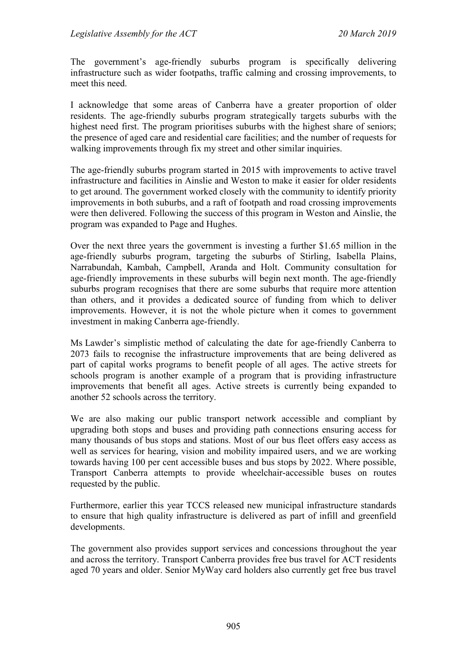The government's age-friendly suburbs program is specifically delivering infrastructure such as wider footpaths, traffic calming and crossing improvements, to meet this need.

I acknowledge that some areas of Canberra have a greater proportion of older residents. The age-friendly suburbs program strategically targets suburbs with the highest need first. The program prioritises suburbs with the highest share of seniors; the presence of aged care and residential care facilities; and the number of requests for walking improvements through fix my street and other similar inquiries.

The age-friendly suburbs program started in 2015 with improvements to active travel infrastructure and facilities in Ainslie and Weston to make it easier for older residents to get around. The government worked closely with the community to identify priority improvements in both suburbs, and a raft of footpath and road crossing improvements were then delivered. Following the success of this program in Weston and Ainslie, the program was expanded to Page and Hughes.

Over the next three years the government is investing a further \$1.65 million in the age-friendly suburbs program, targeting the suburbs of Stirling, Isabella Plains, Narrabundah, Kambah, Campbell, Aranda and Holt. Community consultation for age-friendly improvements in these suburbs will begin next month. The age-friendly suburbs program recognises that there are some suburbs that require more attention than others, and it provides a dedicated source of funding from which to deliver improvements. However, it is not the whole picture when it comes to government investment in making Canberra age-friendly.

Ms Lawder's simplistic method of calculating the date for age-friendly Canberra to 2073 fails to recognise the infrastructure improvements that are being delivered as part of capital works programs to benefit people of all ages. The active streets for schools program is another example of a program that is providing infrastructure improvements that benefit all ages. Active streets is currently being expanded to another 52 schools across the territory.

We are also making our public transport network accessible and compliant by upgrading both stops and buses and providing path connections ensuring access for many thousands of bus stops and stations. Most of our bus fleet offers easy access as well as services for hearing, vision and mobility impaired users, and we are working towards having 100 per cent accessible buses and bus stops by 2022. Where possible, Transport Canberra attempts to provide wheelchair-accessible buses on routes requested by the public.

Furthermore, earlier this year TCCS released new municipal infrastructure standards to ensure that high quality infrastructure is delivered as part of infill and greenfield developments.

The government also provides support services and concessions throughout the year and across the territory. Transport Canberra provides free bus travel for ACT residents aged 70 years and older. Senior MyWay card holders also currently get free bus travel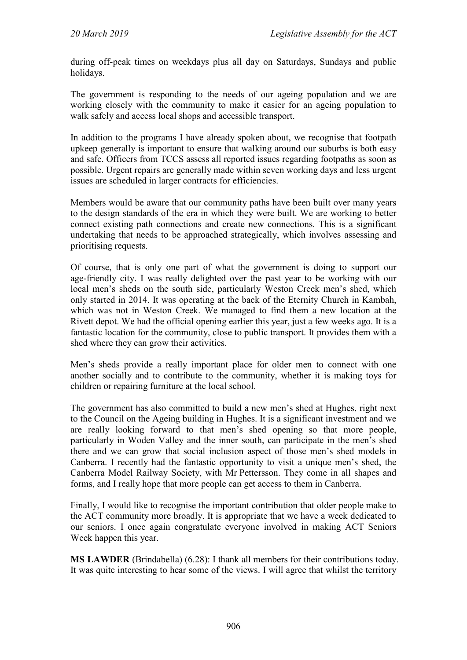during off-peak times on weekdays plus all day on Saturdays, Sundays and public holidays.

The government is responding to the needs of our ageing population and we are working closely with the community to make it easier for an ageing population to walk safely and access local shops and accessible transport.

In addition to the programs I have already spoken about, we recognise that footpath upkeep generally is important to ensure that walking around our suburbs is both easy and safe. Officers from TCCS assess all reported issues regarding footpaths as soon as possible. Urgent repairs are generally made within seven working days and less urgent issues are scheduled in larger contracts for efficiencies.

Members would be aware that our community paths have been built over many years to the design standards of the era in which they were built. We are working to better connect existing path connections and create new connections. This is a significant undertaking that needs to be approached strategically, which involves assessing and prioritising requests.

Of course, that is only one part of what the government is doing to support our age-friendly city. I was really delighted over the past year to be working with our local men's sheds on the south side, particularly Weston Creek men's shed, which only started in 2014. It was operating at the back of the Eternity Church in Kambah, which was not in Weston Creek. We managed to find them a new location at the Rivett depot. We had the official opening earlier this year, just a few weeks ago. It is a fantastic location for the community, close to public transport. It provides them with a shed where they can grow their activities.

Men's sheds provide a really important place for older men to connect with one another socially and to contribute to the community, whether it is making toys for children or repairing furniture at the local school.

The government has also committed to build a new men's shed at Hughes, right next to the Council on the Ageing building in Hughes. It is a significant investment and we are really looking forward to that men's shed opening so that more people, particularly in Woden Valley and the inner south, can participate in the men's shed there and we can grow that social inclusion aspect of those men's shed models in Canberra. I recently had the fantastic opportunity to visit a unique men's shed, the Canberra Model Railway Society, with Mr Pettersson. They come in all shapes and forms, and I really hope that more people can get access to them in Canberra.

Finally, I would like to recognise the important contribution that older people make to the ACT community more broadly. It is appropriate that we have a week dedicated to our seniors. I once again congratulate everyone involved in making ACT Seniors Week happen this year.

**MS LAWDER** (Brindabella) (6.28): I thank all members for their contributions today. It was quite interesting to hear some of the views. I will agree that whilst the territory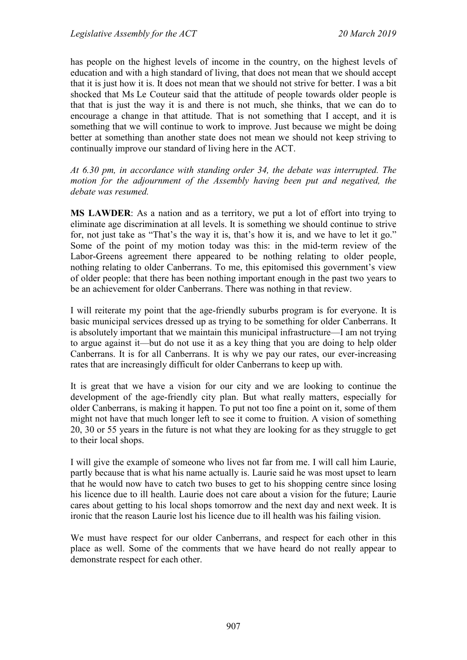has people on the highest levels of income in the country, on the highest levels of education and with a high standard of living, that does not mean that we should accept that it is just how it is. It does not mean that we should not strive for better. I was a bit shocked that Ms Le Couteur said that the attitude of people towards older people is that that is just the way it is and there is not much, she thinks, that we can do to encourage a change in that attitude. That is not something that I accept, and it is something that we will continue to work to improve. Just because we might be doing better at something than another state does not mean we should not keep striving to continually improve our standard of living here in the ACT.

*At 6.30 pm, in accordance with standing order 34, the debate was interrupted. The motion for the adjournment of the Assembly having been put and negatived, the debate was resumed.*

**MS LAWDER**: As a nation and as a territory, we put a lot of effort into trying to eliminate age discrimination at all levels. It is something we should continue to strive for, not just take as "That's the way it is, that's how it is, and we have to let it go." Some of the point of my motion today was this: in the mid-term review of the Labor-Greens agreement there appeared to be nothing relating to older people, nothing relating to older Canberrans. To me, this epitomised this government's view of older people: that there has been nothing important enough in the past two years to be an achievement for older Canberrans. There was nothing in that review.

I will reiterate my point that the age-friendly suburbs program is for everyone. It is basic municipal services dressed up as trying to be something for older Canberrans. It is absolutely important that we maintain this municipal infrastructure—I am not trying to argue against it—but do not use it as a key thing that you are doing to help older Canberrans. It is for all Canberrans. It is why we pay our rates, our ever-increasing rates that are increasingly difficult for older Canberrans to keep up with.

It is great that we have a vision for our city and we are looking to continue the development of the age-friendly city plan. But what really matters, especially for older Canberrans, is making it happen. To put not too fine a point on it, some of them might not have that much longer left to see it come to fruition. A vision of something 20, 30 or 55 years in the future is not what they are looking for as they struggle to get to their local shops.

I will give the example of someone who lives not far from me. I will call him Laurie, partly because that is what his name actually is. Laurie said he was most upset to learn that he would now have to catch two buses to get to his shopping centre since losing his licence due to ill health. Laurie does not care about a vision for the future; Laurie cares about getting to his local shops tomorrow and the next day and next week. It is ironic that the reason Laurie lost his licence due to ill health was his failing vision.

We must have respect for our older Canberrans, and respect for each other in this place as well. Some of the comments that we have heard do not really appear to demonstrate respect for each other.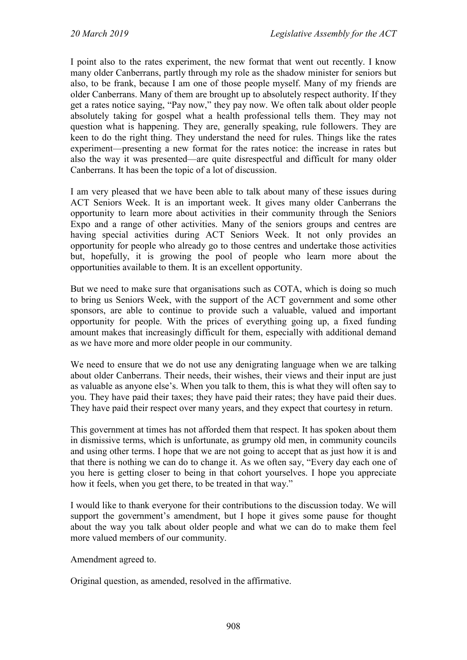I point also to the rates experiment, the new format that went out recently. I know many older Canberrans, partly through my role as the shadow minister for seniors but also, to be frank, because I am one of those people myself. Many of my friends are older Canberrans. Many of them are brought up to absolutely respect authority. If they get a rates notice saying, "Pay now," they pay now. We often talk about older people absolutely taking for gospel what a health professional tells them. They may not question what is happening. They are, generally speaking, rule followers. They are keen to do the right thing. They understand the need for rules. Things like the rates experiment—presenting a new format for the rates notice: the increase in rates but also the way it was presented—are quite disrespectful and difficult for many older Canberrans. It has been the topic of a lot of discussion.

I am very pleased that we have been able to talk about many of these issues during ACT Seniors Week. It is an important week. It gives many older Canberrans the opportunity to learn more about activities in their community through the Seniors Expo and a range of other activities. Many of the seniors groups and centres are having special activities during ACT Seniors Week. It not only provides an opportunity for people who already go to those centres and undertake those activities but, hopefully, it is growing the pool of people who learn more about the opportunities available to them. It is an excellent opportunity.

But we need to make sure that organisations such as COTA, which is doing so much to bring us Seniors Week, with the support of the ACT government and some other sponsors, are able to continue to provide such a valuable, valued and important opportunity for people. With the prices of everything going up, a fixed funding amount makes that increasingly difficult for them, especially with additional demand as we have more and more older people in our community.

We need to ensure that we do not use any denigrating language when we are talking about older Canberrans. Their needs, their wishes, their views and their input are just as valuable as anyone else's. When you talk to them, this is what they will often say to you. They have paid their taxes; they have paid their rates; they have paid their dues. They have paid their respect over many years, and they expect that courtesy in return.

This government at times has not afforded them that respect. It has spoken about them in dismissive terms, which is unfortunate, as grumpy old men, in community councils and using other terms. I hope that we are not going to accept that as just how it is and that there is nothing we can do to change it. As we often say, "Every day each one of you here is getting closer to being in that cohort yourselves. I hope you appreciate how it feels, when you get there, to be treated in that way."

I would like to thank everyone for their contributions to the discussion today. We will support the government's amendment, but I hope it gives some pause for thought about the way you talk about older people and what we can do to make them feel more valued members of our community.

Amendment agreed to.

Original question, as amended, resolved in the affirmative.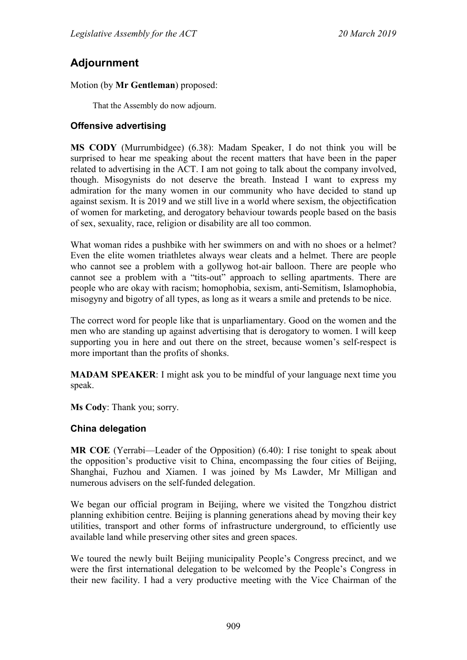# **Adjournment**

### Motion (by **Mr Gentleman**) proposed:

That the Assembly do now adjourn.

# **Offensive advertising**

**MS CODY** (Murrumbidgee) (6.38): Madam Speaker, I do not think you will be surprised to hear me speaking about the recent matters that have been in the paper related to advertising in the ACT. I am not going to talk about the company involved, though. Misogynists do not deserve the breath. Instead I want to express my admiration for the many women in our community who have decided to stand up against sexism. It is 2019 and we still live in a world where sexism, the objectification of women for marketing, and derogatory behaviour towards people based on the basis of sex, sexuality, race, religion or disability are all too common.

What woman rides a pushbike with her swimmers on and with no shoes or a helmet? Even the elite women triathletes always wear cleats and a helmet. There are people who cannot see a problem with a gollywog hot-air balloon. There are people who cannot see a problem with a "tits-out" approach to selling apartments. There are people who are okay with racism; homophobia, sexism, anti-Semitism, Islamophobia, misogyny and bigotry of all types, as long as it wears a smile and pretends to be nice.

The correct word for people like that is unparliamentary. Good on the women and the men who are standing up against advertising that is derogatory to women. I will keep supporting you in here and out there on the street, because women's self-respect is more important than the profits of shonks.

**MADAM SPEAKER**: I might ask you to be mindful of your language next time you speak.

**Ms Cody**: Thank you; sorry.

# **China delegation**

**MR COE** (Yerrabi—Leader of the Opposition) (6.40): I rise tonight to speak about the opposition's productive visit to China, encompassing the four cities of Beijing, Shanghai, Fuzhou and Xiamen. I was joined by Ms Lawder, Mr Milligan and numerous advisers on the self-funded delegation.

We began our official program in Beijing, where we visited the Tongzhou district planning exhibition centre. Beijing is planning generations ahead by moving their key utilities, transport and other forms of infrastructure underground, to efficiently use available land while preserving other sites and green spaces.

We toured the newly built Beijing municipality People's Congress precinct, and we were the first international delegation to be welcomed by the People's Congress in their new facility. I had a very productive meeting with the Vice Chairman of the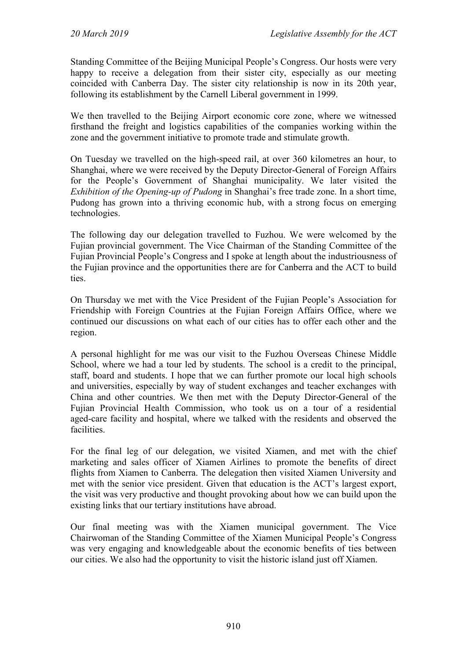Standing Committee of the Beijing Municipal People's Congress. Our hosts were very happy to receive a delegation from their sister city, especially as our meeting coincided with Canberra Day. The sister city relationship is now in its 20th year, following its establishment by the Carnell Liberal government in 1999.

We then travelled to the Beijing Airport economic core zone, where we witnessed firsthand the freight and logistics capabilities of the companies working within the zone and the government initiative to promote trade and stimulate growth.

On Tuesday we travelled on the high-speed rail, at over 360 kilometres an hour, to Shanghai, where we were received by the Deputy Director-General of Foreign Affairs for the People's Government of Shanghai municipality. We later visited the *Exhibition of the Opening-up of Pudong* in Shanghai's free trade zone. In a short time, Pudong has grown into a thriving economic hub, with a strong focus on emerging technologies.

The following day our delegation travelled to Fuzhou. We were welcomed by the Fujian provincial government. The Vice Chairman of the Standing Committee of the Fujian Provincial People's Congress and I spoke at length about the industriousness of the Fujian province and the opportunities there are for Canberra and the ACT to build ties.

On Thursday we met with the Vice President of the Fujian People's Association for Friendship with Foreign Countries at the Fujian Foreign Affairs Office, where we continued our discussions on what each of our cities has to offer each other and the region.

A personal highlight for me was our visit to the Fuzhou Overseas Chinese Middle School, where we had a tour led by students. The school is a credit to the principal, staff, board and students. I hope that we can further promote our local high schools and universities, especially by way of student exchanges and teacher exchanges with China and other countries. We then met with the Deputy Director-General of the Fujian Provincial Health Commission, who took us on a tour of a residential aged-care facility and hospital, where we talked with the residents and observed the facilities.

For the final leg of our delegation, we visited Xiamen, and met with the chief marketing and sales officer of Xiamen Airlines to promote the benefits of direct flights from Xiamen to Canberra. The delegation then visited Xiamen University and met with the senior vice president. Given that education is the ACT's largest export, the visit was very productive and thought provoking about how we can build upon the existing links that our tertiary institutions have abroad.

Our final meeting was with the Xiamen municipal government. The Vice Chairwoman of the Standing Committee of the Xiamen Municipal People's Congress was very engaging and knowledgeable about the economic benefits of ties between our cities. We also had the opportunity to visit the historic island just off Xiamen.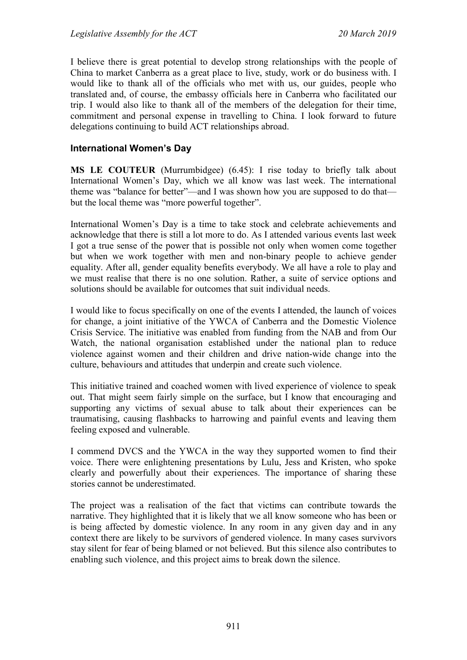I believe there is great potential to develop strong relationships with the people of China to market Canberra as a great place to live, study, work or do business with. I would like to thank all of the officials who met with us, our guides, people who translated and, of course, the embassy officials here in Canberra who facilitated our trip. I would also like to thank all of the members of the delegation for their time, commitment and personal expense in travelling to China. I look forward to future delegations continuing to build ACT relationships abroad.

### **International Women's Day**

**MS LE COUTEUR** (Murrumbidgee) (6.45): I rise today to briefly talk about International Women's Day, which we all know was last week. The international theme was "balance for better"—and I was shown how you are supposed to do that but the local theme was "more powerful together".

International Women's Day is a time to take stock and celebrate achievements and acknowledge that there is still a lot more to do. As I attended various events last week I got a true sense of the power that is possible not only when women come together but when we work together with men and non-binary people to achieve gender equality. After all, gender equality benefits everybody. We all have a role to play and we must realise that there is no one solution. Rather, a suite of service options and solutions should be available for outcomes that suit individual needs.

I would like to focus specifically on one of the events I attended, the launch of voices for change, a joint initiative of the YWCA of Canberra and the Domestic Violence Crisis Service. The initiative was enabled from funding from the NAB and from Our Watch, the national organisation established under the national plan to reduce violence against women and their children and drive nation-wide change into the culture, behaviours and attitudes that underpin and create such violence.

This initiative trained and coached women with lived experience of violence to speak out. That might seem fairly simple on the surface, but I know that encouraging and supporting any victims of sexual abuse to talk about their experiences can be traumatising, causing flashbacks to harrowing and painful events and leaving them feeling exposed and vulnerable.

I commend DVCS and the YWCA in the way they supported women to find their voice. There were enlightening presentations by Lulu, Jess and Kristen, who spoke clearly and powerfully about their experiences. The importance of sharing these stories cannot be underestimated.

The project was a realisation of the fact that victims can contribute towards the narrative. They highlighted that it is likely that we all know someone who has been or is being affected by domestic violence. In any room in any given day and in any context there are likely to be survivors of gendered violence. In many cases survivors stay silent for fear of being blamed or not believed. But this silence also contributes to enabling such violence, and this project aims to break down the silence.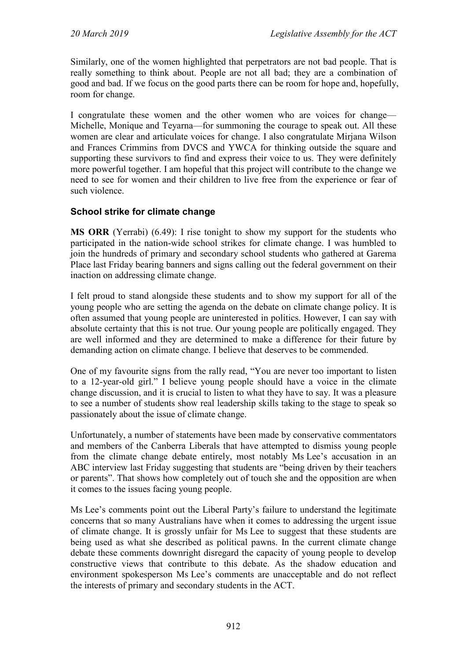Similarly, one of the women highlighted that perpetrators are not bad people. That is really something to think about. People are not all bad; they are a combination of good and bad. If we focus on the good parts there can be room for hope and, hopefully, room for change.

I congratulate these women and the other women who are voices for change— Michelle, Monique and Teyarna—for summoning the courage to speak out. All these women are clear and articulate voices for change. I also congratulate Mirjana Wilson and Frances Crimmins from DVCS and YWCA for thinking outside the square and supporting these survivors to find and express their voice to us. They were definitely more powerful together. I am hopeful that this project will contribute to the change we need to see for women and their children to live free from the experience or fear of such violence.

# **School strike for climate change**

**MS ORR** (Yerrabi) (6.49): I rise tonight to show my support for the students who participated in the nation-wide school strikes for climate change. I was humbled to join the hundreds of primary and secondary school students who gathered at Garema Place last Friday bearing banners and signs calling out the federal government on their inaction on addressing climate change.

I felt proud to stand alongside these students and to show my support for all of the young people who are setting the agenda on the debate on climate change policy. It is often assumed that young people are uninterested in politics. However, I can say with absolute certainty that this is not true. Our young people are politically engaged. They are well informed and they are determined to make a difference for their future by demanding action on climate change. I believe that deserves to be commended.

One of my favourite signs from the rally read, "You are never too important to listen to a 12-year-old girl." I believe young people should have a voice in the climate change discussion, and it is crucial to listen to what they have to say. It was a pleasure to see a number of students show real leadership skills taking to the stage to speak so passionately about the issue of climate change.

Unfortunately, a number of statements have been made by conservative commentators and members of the Canberra Liberals that have attempted to dismiss young people from the climate change debate entirely, most notably Ms Lee's accusation in an ABC interview last Friday suggesting that students are "being driven by their teachers or parents". That shows how completely out of touch she and the opposition are when it comes to the issues facing young people.

Ms Lee's comments point out the Liberal Party's failure to understand the legitimate concerns that so many Australians have when it comes to addressing the urgent issue of climate change. It is grossly unfair for Ms Lee to suggest that these students are being used as what she described as political pawns. In the current climate change debate these comments downright disregard the capacity of young people to develop constructive views that contribute to this debate. As the shadow education and environment spokesperson Ms Lee's comments are unacceptable and do not reflect the interests of primary and secondary students in the ACT.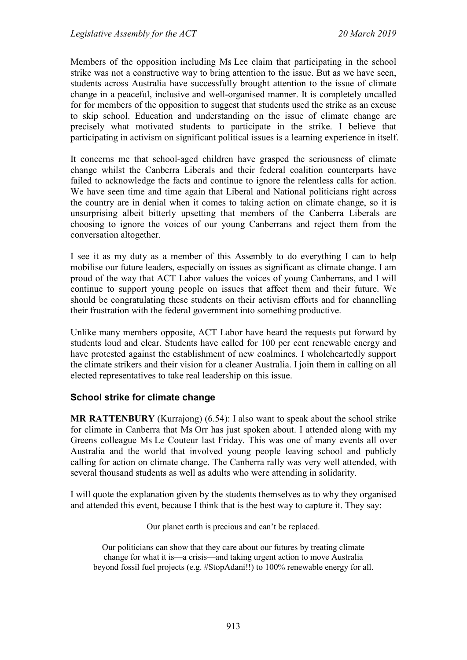Members of the opposition including Ms Lee claim that participating in the school strike was not a constructive way to bring attention to the issue. But as we have seen, students across Australia have successfully brought attention to the issue of climate change in a peaceful, inclusive and well-organised manner. It is completely uncalled for for members of the opposition to suggest that students used the strike as an excuse to skip school. Education and understanding on the issue of climate change are precisely what motivated students to participate in the strike. I believe that participating in activism on significant political issues is a learning experience in itself.

It concerns me that school-aged children have grasped the seriousness of climate change whilst the Canberra Liberals and their federal coalition counterparts have failed to acknowledge the facts and continue to ignore the relentless calls for action. We have seen time and time again that Liberal and National politicians right across the country are in denial when it comes to taking action on climate change, so it is unsurprising albeit bitterly upsetting that members of the Canberra Liberals are choosing to ignore the voices of our young Canberrans and reject them from the conversation altogether.

I see it as my duty as a member of this Assembly to do everything I can to help mobilise our future leaders, especially on issues as significant as climate change. I am proud of the way that ACT Labor values the voices of young Canberrans, and I will continue to support young people on issues that affect them and their future. We should be congratulating these students on their activism efforts and for channelling their frustration with the federal government into something productive.

Unlike many members opposite, ACT Labor have heard the requests put forward by students loud and clear. Students have called for 100 per cent renewable energy and have protested against the establishment of new coalmines. I wholeheartedly support the climate strikers and their vision for a cleaner Australia. I join them in calling on all elected representatives to take real leadership on this issue.

#### **School strike for climate change**

**MR RATTENBURY** (Kurrajong) (6.54): I also want to speak about the school strike for climate in Canberra that Ms Orr has just spoken about. I attended along with my Greens colleague Ms Le Couteur last Friday. This was one of many events all over Australia and the world that involved young people leaving school and publicly calling for action on climate change. The Canberra rally was very well attended, with several thousand students as well as adults who were attending in solidarity.

I will quote the explanation given by the students themselves as to why they organised and attended this event, because I think that is the best way to capture it. They say:

Our planet earth is precious and can't be replaced.

Our politicians can show that they care about our futures by treating climate change for what it is—a crisis—and taking urgent action to move Australia beyond fossil fuel projects (e.g. #StopAdani!!) to 100% renewable energy for all.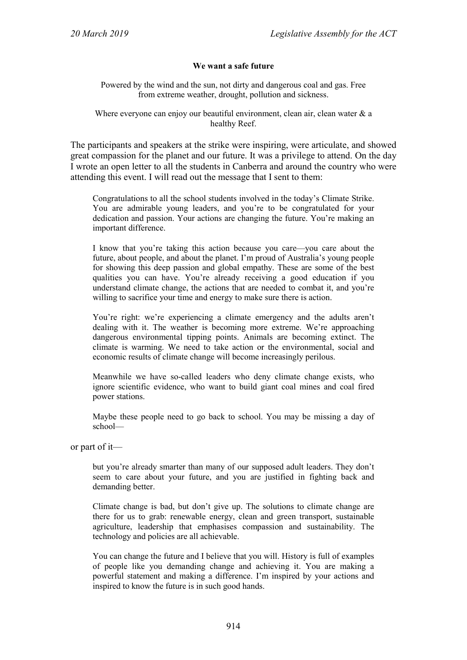#### **We want a safe future**

Powered by the wind and the sun, not dirty and dangerous coal and gas. Free from extreme weather, drought, pollution and sickness.

Where everyone can enjoy our beautiful environment, clean air, clean water & a healthy Reef.

The participants and speakers at the strike were inspiring, were articulate, and showed great compassion for the planet and our future. It was a privilege to attend. On the day I wrote an open letter to all the students in Canberra and around the country who were attending this event. I will read out the message that I sent to them:

Congratulations to all the school students involved in the today's Climate Strike. You are admirable young leaders, and you're to be congratulated for your dedication and passion. Your actions are changing the future. You're making an important difference.

I know that you're taking this action because you care—you care about the future, about people, and about the planet. I'm proud of Australia's young people for showing this deep passion and global empathy. These are some of the best qualities you can have. You're already receiving a good education if you understand climate change, the actions that are needed to combat it, and you're willing to sacrifice your time and energy to make sure there is action.

You're right: we're experiencing a climate emergency and the adults aren't dealing with it. The weather is becoming more extreme. We're approaching dangerous environmental tipping points. Animals are becoming extinct. The climate is warming. We need to take action or the environmental, social and economic results of climate change will become increasingly perilous.

Meanwhile we have so-called leaders who deny climate change exists, who ignore scientific evidence, who want to build giant coal mines and coal fired power stations.

Maybe these people need to go back to school. You may be missing a day of school—

or part of it—

but you're already smarter than many of our supposed adult leaders. They don't seem to care about your future, and you are justified in fighting back and demanding better.

Climate change is bad, but don't give up. The solutions to climate change are there for us to grab: renewable energy, clean and green transport, sustainable agriculture, leadership that emphasises compassion and sustainability. The technology and policies are all achievable.

You can change the future and I believe that you will. History is full of examples of people like you demanding change and achieving it. You are making a powerful statement and making a difference. I'm inspired by your actions and inspired to know the future is in such good hands.